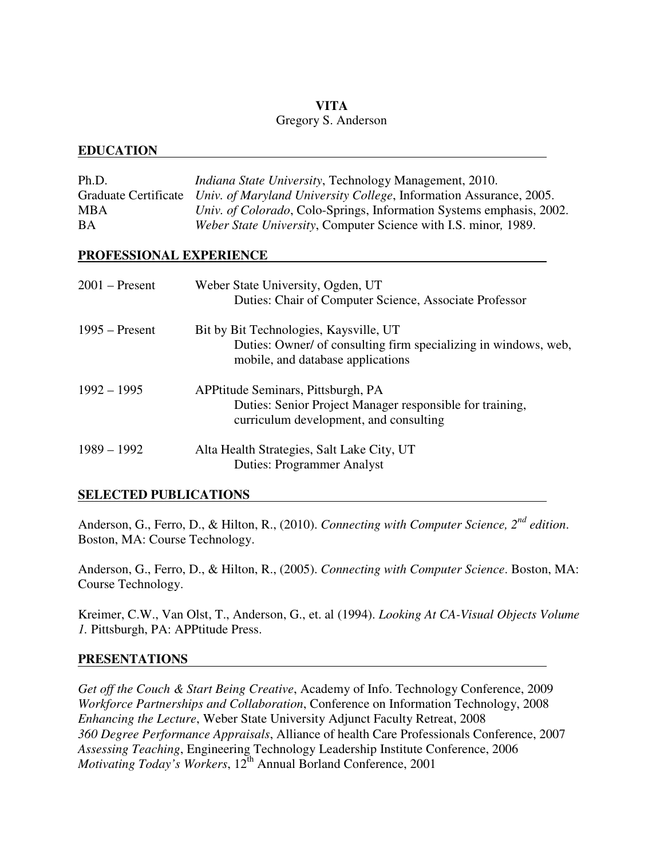# **VITA**

## Gregory S. Anderson

# **EDUCATION**

| Ph.D.<br><b>Graduate Certificate</b><br>MBA<br>ВA | <i>Indiana State University</i> , Technology Management, 2010.<br>Univ. of Maryland University College, Information Assurance, 2005.<br>Univ. of Colorado, Colo-Springs, Information Systems emphasis, 2002.<br>Weber State University, Computer Science with I.S. minor, 1989. |  |  |
|---------------------------------------------------|---------------------------------------------------------------------------------------------------------------------------------------------------------------------------------------------------------------------------------------------------------------------------------|--|--|
| PROFESSIONAL EXPERIENCE                           |                                                                                                                                                                                                                                                                                 |  |  |
| $2001$ – Present                                  | Weber State University, Ogden, UT<br>Duties: Chair of Computer Science, Associate Professor                                                                                                                                                                                     |  |  |
| $1995 -$ Present                                  | Bit by Bit Technologies, Kaysville, UT<br>Duties: Owner/ of consulting firm specializing in windows, web,<br>mobile, and database applications                                                                                                                                  |  |  |
| $1992 - 1995$                                     | APPtitude Seminars, Pittsburgh, PA<br>Duties: Senior Project Manager responsible for training,<br>curriculum development, and consulting                                                                                                                                        |  |  |
| $1989 - 1992$                                     | Alta Health Strategies, Salt Lake City, UT<br><b>Duties: Programmer Analyst</b>                                                                                                                                                                                                 |  |  |

# **SELECTED PUBLICATIONS**

Anderson, G., Ferro, D., & Hilton, R., (2010). *Connecting with Computer Science, 2nd edition*. Boston, MA: Course Technology.

Anderson, G., Ferro, D., & Hilton, R., (2005). *Connecting with Computer Science*. Boston, MA: Course Technology.

Kreimer, C.W., Van Olst, T., Anderson, G., et. al (1994). *Looking At CA-Visual Objects Volume 1.* Pittsburgh, PA: APPtitude Press.

# **PRESENTATIONS**

*Get off the Couch & Start Being Creative*, Academy of Info. Technology Conference, 2009 *Workforce Partnerships and Collaboration*, Conference on Information Technology, 2008 *Enhancing the Lecture*, Weber State University Adjunct Faculty Retreat, 2008 *360 Degree Performance Appraisals*, Alliance of health Care Professionals Conference, 2007 *Assessing Teaching*, Engineering Technology Leadership Institute Conference, 2006 *Motivating Today's Workers*, 12<sup>th</sup> Annual Borland Conference, 2001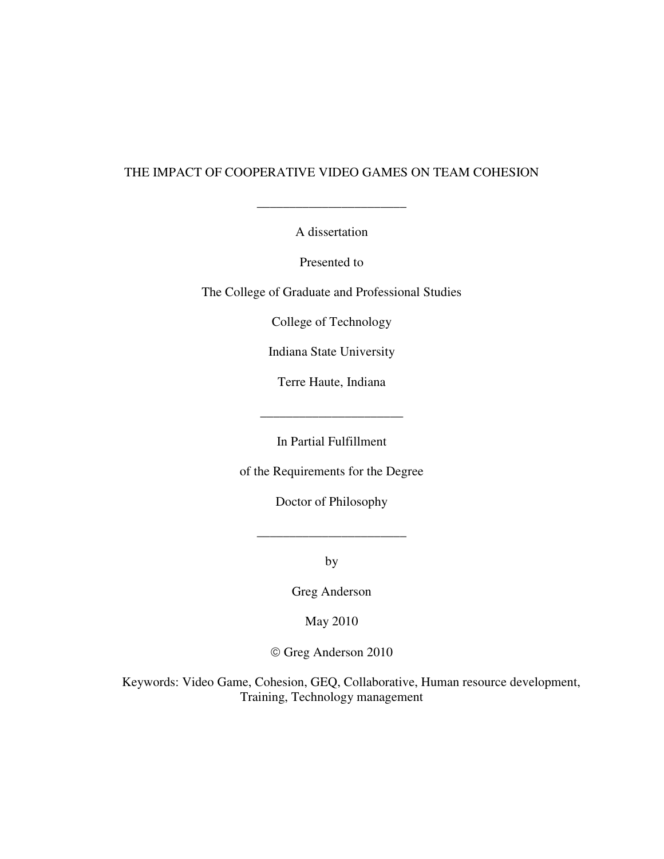# THE IMPACT OF COOPERATIVE VIDEO GAMES ON TEAM COHESION

A dissertation

\_\_\_\_\_\_\_\_\_\_\_\_\_\_\_\_\_\_\_\_\_\_\_

Presented to

The College of Graduate and Professional Studies

College of Technology

Indiana State University

Terre Haute, Indiana

In Partial Fulfillment

of the Requirements for the Degree

Doctor of Philosophy

\_\_\_\_\_\_\_\_\_\_\_\_\_\_\_\_\_\_\_\_\_\_\_

by

Greg Anderson

May 2010

Greg Anderson 2010

Keywords: Video Game, Cohesion, GEQ, Collaborative, Human resource development, Training, Technology management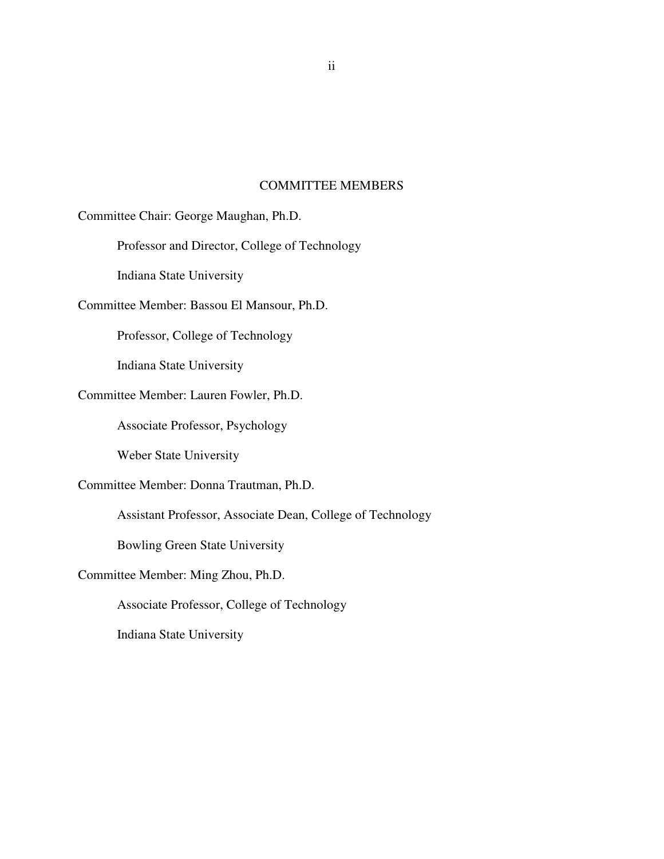## COMMITTEE MEMBERS

Committee Chair: George Maughan, Ph.D.

Professor and Director, College of Technology

Indiana State University

Committee Member: Bassou El Mansour, Ph.D.

Professor, College of Technology

Indiana State University

# Committee Member: Lauren Fowler, Ph.D.

Associate Professor, Psychology

Weber State University

Committee Member: Donna Trautman, Ph.D.

Assistant Professor, Associate Dean, College of Technology

Bowling Green State University

Committee Member: Ming Zhou, Ph.D.

Associate Professor, College of Technology

Indiana State University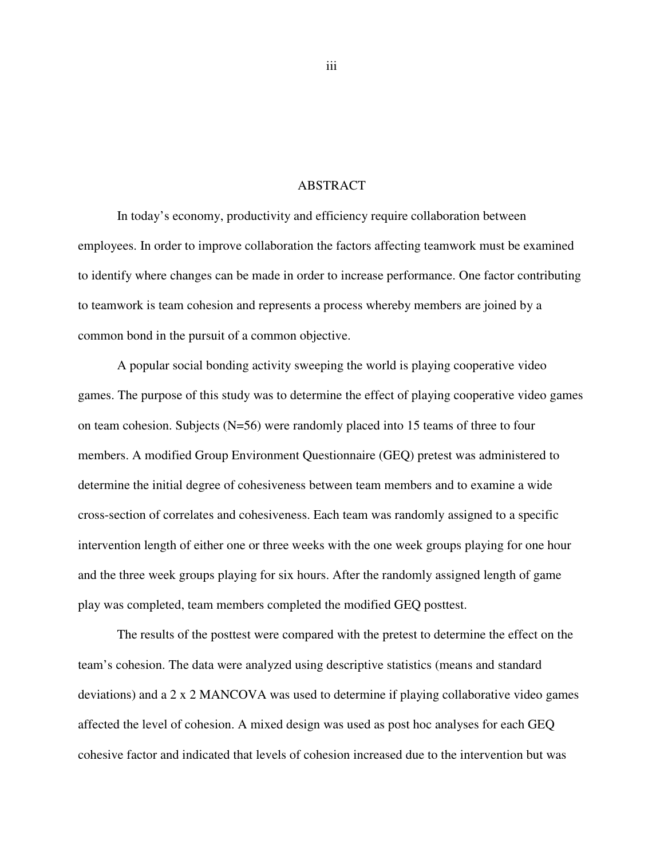## ABSTRACT

In today's economy, productivity and efficiency require collaboration between employees. In order to improve collaboration the factors affecting teamwork must be examined to identify where changes can be made in order to increase performance. One factor contributing to teamwork is team cohesion and represents a process whereby members are joined by a common bond in the pursuit of a common objective.

A popular social bonding activity sweeping the world is playing cooperative video games. The purpose of this study was to determine the effect of playing cooperative video games on team cohesion. Subjects (N=56) were randomly placed into 15 teams of three to four members. A modified Group Environment Questionnaire (GEQ) pretest was administered to determine the initial degree of cohesiveness between team members and to examine a wide cross-section of correlates and cohesiveness. Each team was randomly assigned to a specific intervention length of either one or three weeks with the one week groups playing for one hour and the three week groups playing for six hours. After the randomly assigned length of game play was completed, team members completed the modified GEQ posttest.

The results of the posttest were compared with the pretest to determine the effect on the team's cohesion. The data were analyzed using descriptive statistics (means and standard deviations) and a 2 x 2 MANCOVA was used to determine if playing collaborative video games affected the level of cohesion. A mixed design was used as post hoc analyses for each GEQ cohesive factor and indicated that levels of cohesion increased due to the intervention but was

iii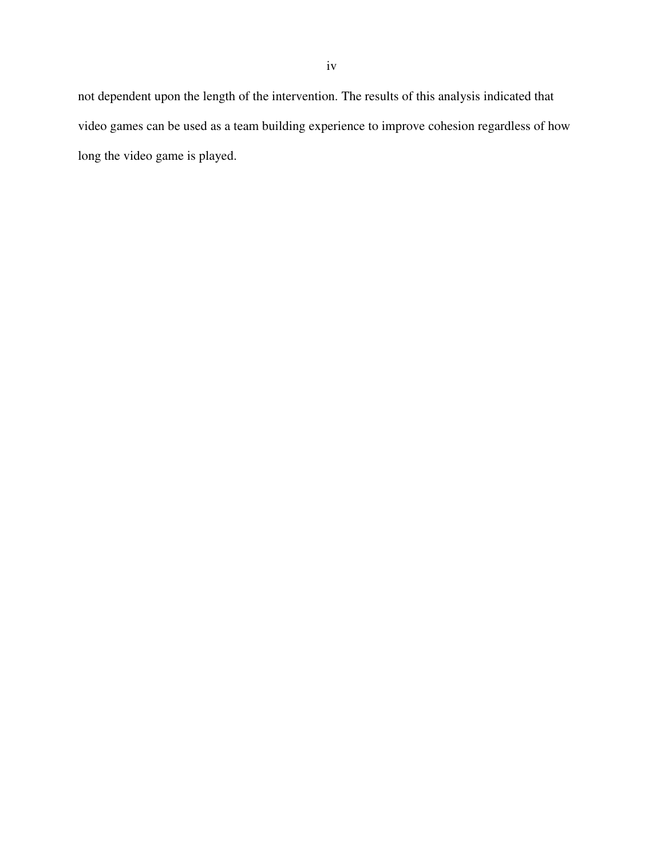not dependent upon the length of the intervention. The results of this analysis indicated that video games can be used as a team building experience to improve cohesion regardless of how long the video game is played.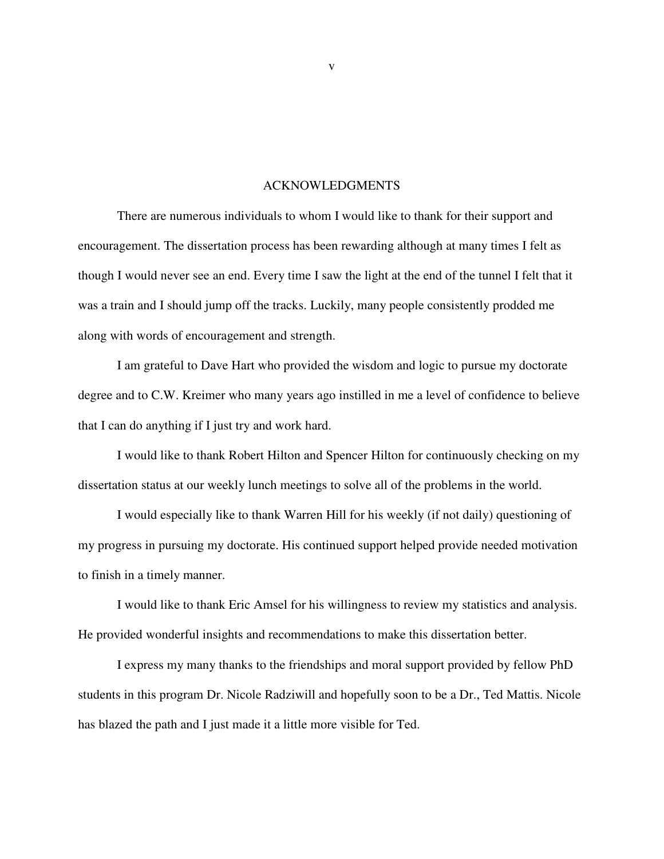#### ACKNOWLEDGMENTS

There are numerous individuals to whom I would like to thank for their support and encouragement. The dissertation process has been rewarding although at many times I felt as though I would never see an end. Every time I saw the light at the end of the tunnel I felt that it was a train and I should jump off the tracks. Luckily, many people consistently prodded me along with words of encouragement and strength.

I am grateful to Dave Hart who provided the wisdom and logic to pursue my doctorate degree and to C.W. Kreimer who many years ago instilled in me a level of confidence to believe that I can do anything if I just try and work hard.

I would like to thank Robert Hilton and Spencer Hilton for continuously checking on my dissertation status at our weekly lunch meetings to solve all of the problems in the world.

I would especially like to thank Warren Hill for his weekly (if not daily) questioning of my progress in pursuing my doctorate. His continued support helped provide needed motivation to finish in a timely manner.

I would like to thank Eric Amsel for his willingness to review my statistics and analysis. He provided wonderful insights and recommendations to make this dissertation better.

I express my many thanks to the friendships and moral support provided by fellow PhD students in this program Dr. Nicole Radziwill and hopefully soon to be a Dr., Ted Mattis. Nicole has blazed the path and I just made it a little more visible for Ted.

v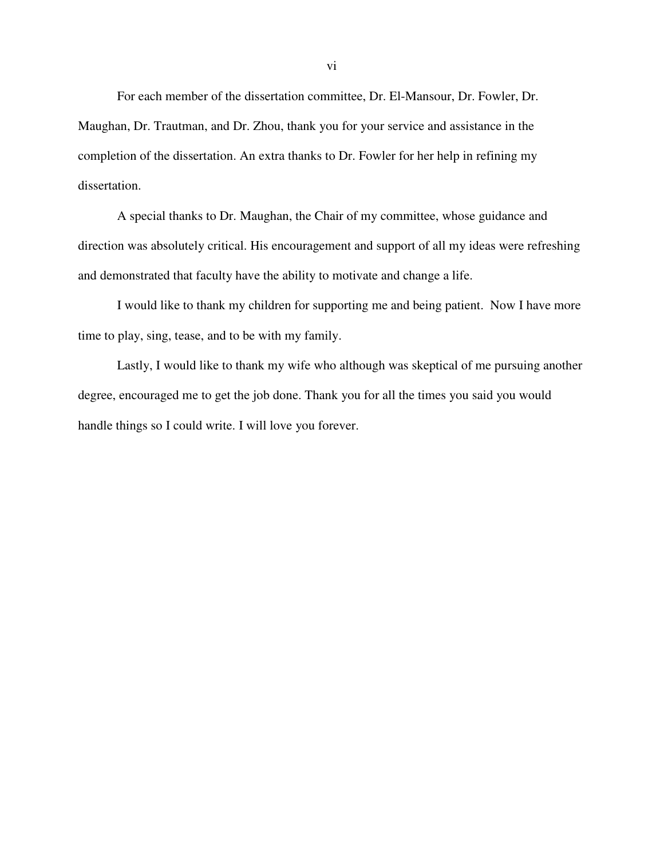For each member of the dissertation committee, Dr. El-Mansour, Dr. Fowler, Dr. Maughan, Dr. Trautman, and Dr. Zhou, thank you for your service and assistance in the completion of the dissertation. An extra thanks to Dr. Fowler for her help in refining my dissertation.

A special thanks to Dr. Maughan, the Chair of my committee, whose guidance and direction was absolutely critical. His encouragement and support of all my ideas were refreshing and demonstrated that faculty have the ability to motivate and change a life.

I would like to thank my children for supporting me and being patient. Now I have more time to play, sing, tease, and to be with my family.

Lastly, I would like to thank my wife who although was skeptical of me pursuing another degree, encouraged me to get the job done. Thank you for all the times you said you would handle things so I could write. I will love you forever.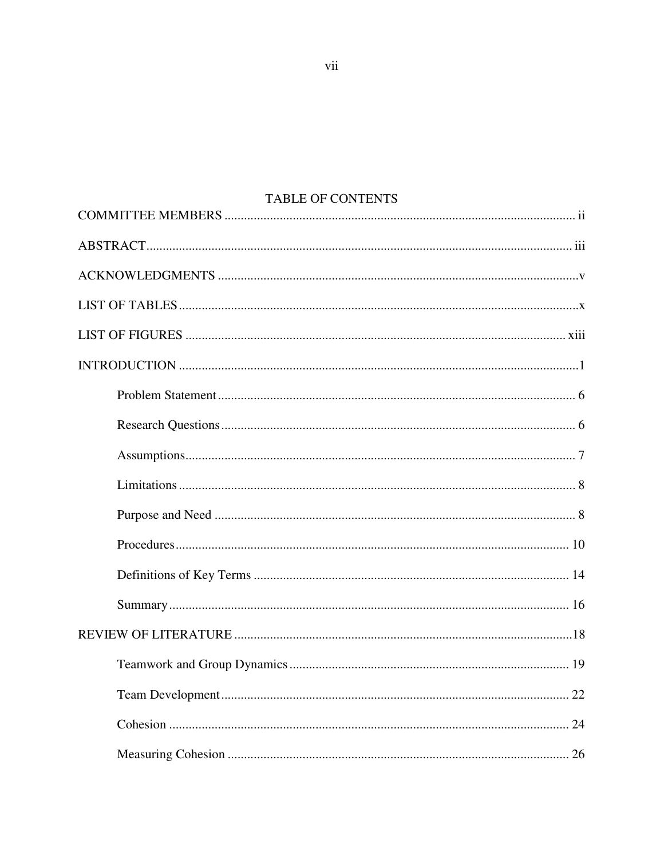# TABLE OF CONTENTS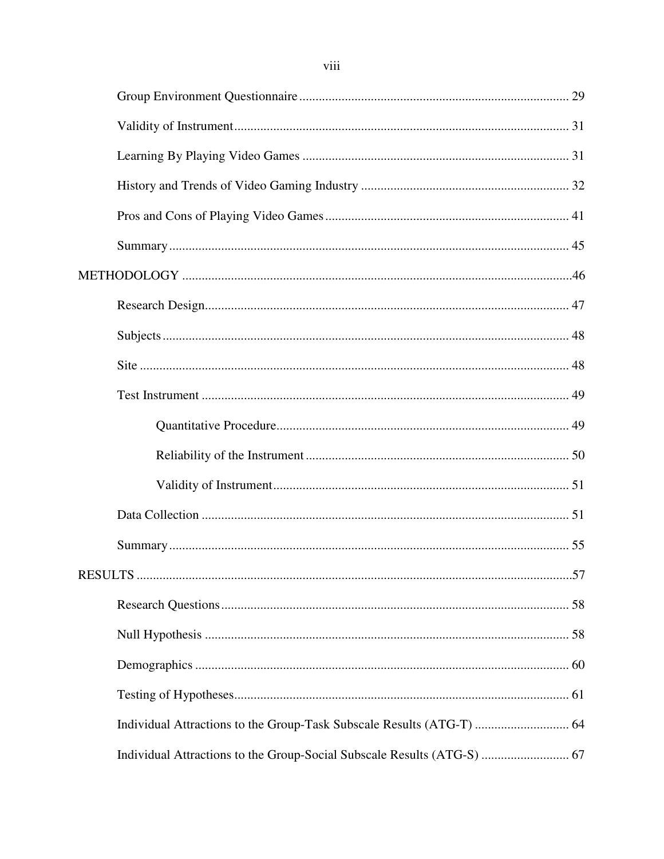| Individual Attractions to the Group-Social Subscale Results (ATG-S)  67 |  |
|-------------------------------------------------------------------------|--|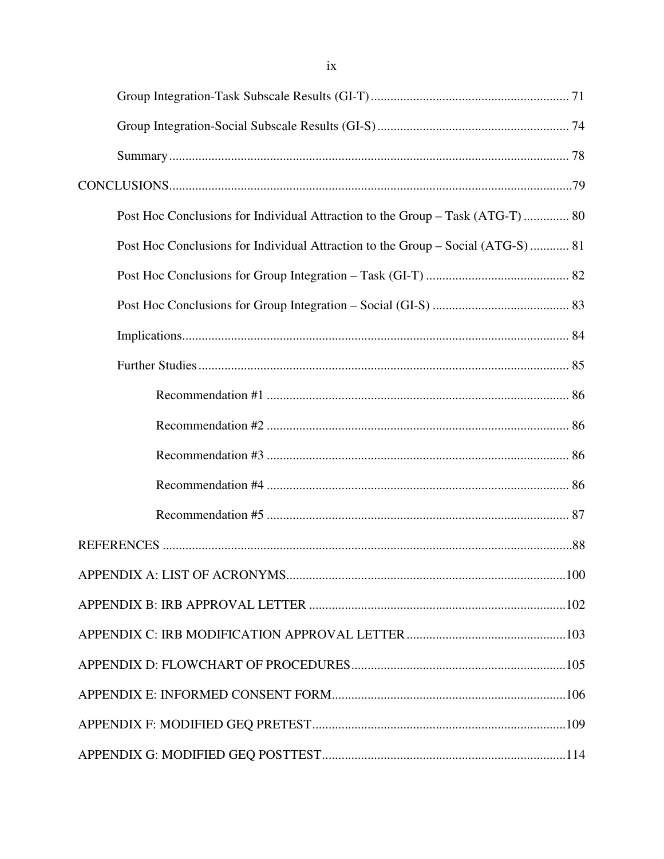| Post Hoc Conclusions for Individual Attraction to the Group - Task (ATG-T)  80   |  |
|----------------------------------------------------------------------------------|--|
| Post Hoc Conclusions for Individual Attraction to the Group – Social (ATG-S)  81 |  |
|                                                                                  |  |
|                                                                                  |  |
|                                                                                  |  |
|                                                                                  |  |
|                                                                                  |  |
|                                                                                  |  |
|                                                                                  |  |
|                                                                                  |  |
|                                                                                  |  |
|                                                                                  |  |
|                                                                                  |  |
|                                                                                  |  |
|                                                                                  |  |
|                                                                                  |  |
|                                                                                  |  |
|                                                                                  |  |
|                                                                                  |  |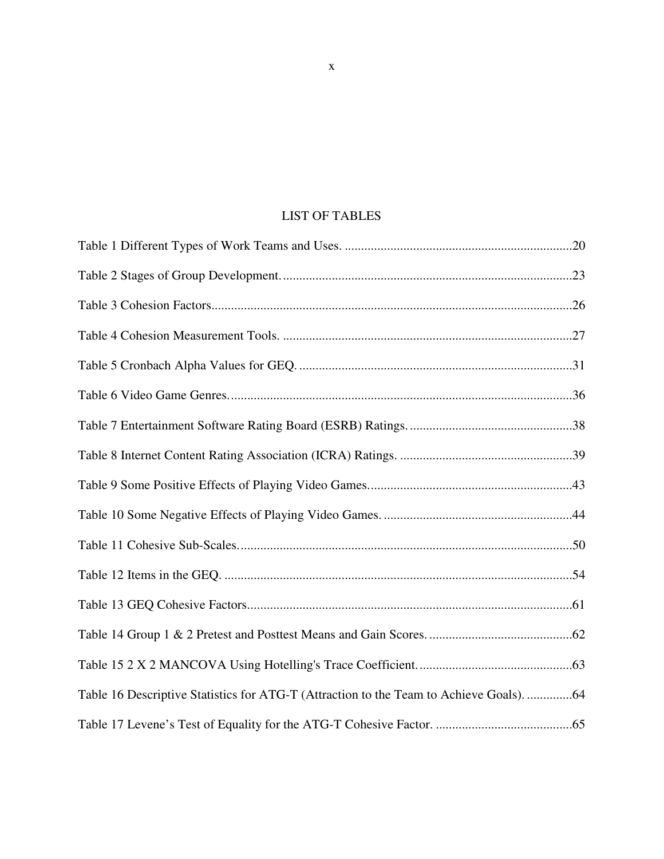# LIST OF TABLES

| Table 16 Descriptive Statistics for ATG-T (Attraction to the Team to Achieve Goals). 64 |  |
|-----------------------------------------------------------------------------------------|--|
|                                                                                         |  |

x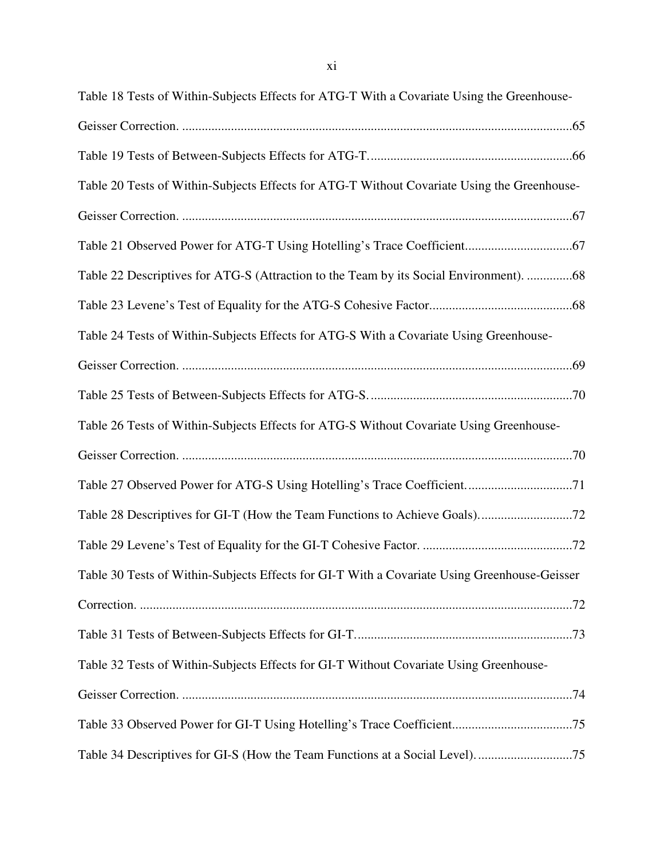| Table 18 Tests of Within-Subjects Effects for ATG-T With a Covariate Using the Greenhouse-   |
|----------------------------------------------------------------------------------------------|
|                                                                                              |
|                                                                                              |
| Table 20 Tests of Within-Subjects Effects for ATG-T Without Covariate Using the Greenhouse-  |
|                                                                                              |
|                                                                                              |
| Table 22 Descriptives for ATG-S (Attraction to the Team by its Social Environment). 68       |
|                                                                                              |
| Table 24 Tests of Within-Subjects Effects for ATG-S With a Covariate Using Greenhouse-       |
|                                                                                              |
|                                                                                              |
| Table 26 Tests of Within-Subjects Effects for ATG-S Without Covariate Using Greenhouse-      |
|                                                                                              |
| Table 27 Observed Power for ATG-S Using Hotelling's Trace Coefficient71                      |
|                                                                                              |
|                                                                                              |
| Table 30 Tests of Within-Subjects Effects for GI-T With a Covariate Using Greenhouse-Geisser |
|                                                                                              |
|                                                                                              |
| Table 32 Tests of Within-Subjects Effects for GI-T Without Covariate Using Greenhouse-       |
|                                                                                              |
|                                                                                              |
| Table 34 Descriptives for GI-S (How the Team Functions at a Social Level)75                  |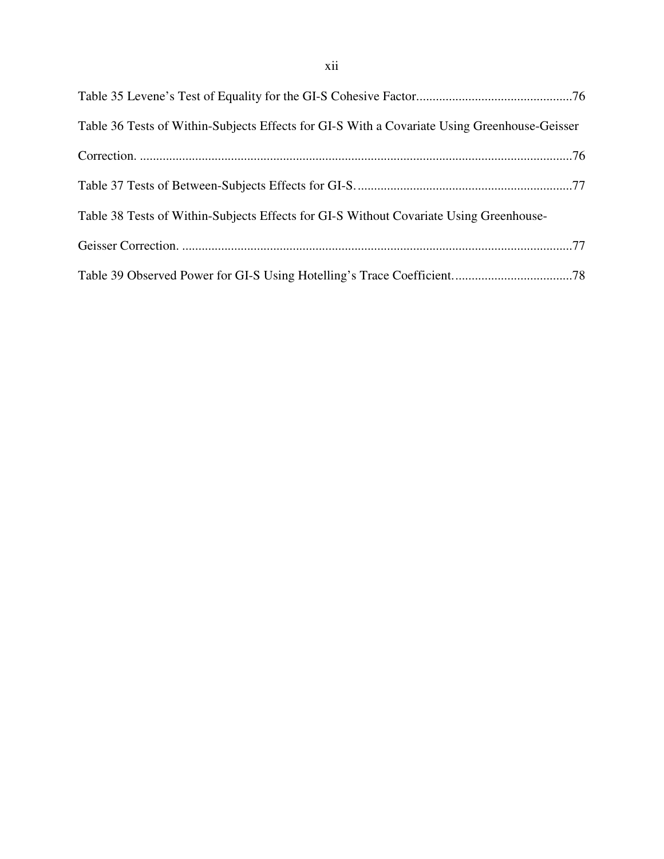| Table 36 Tests of Within-Subjects Effects for GI-S With a Covariate Using Greenhouse-Geisser |
|----------------------------------------------------------------------------------------------|
|                                                                                              |
|                                                                                              |
| Table 38 Tests of Within-Subjects Effects for GI-S Without Covariate Using Greenhouse-       |
|                                                                                              |
|                                                                                              |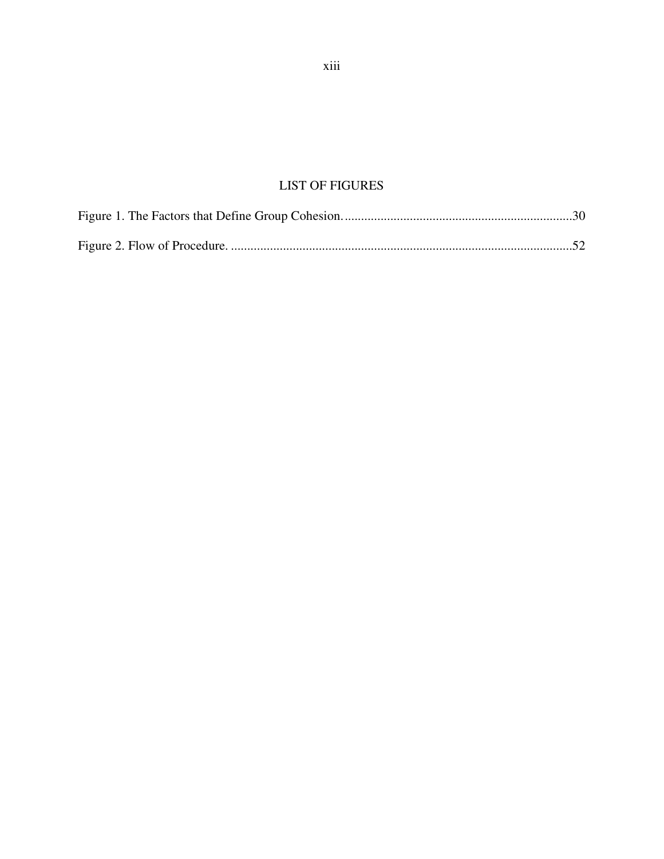# LIST OF FIGURES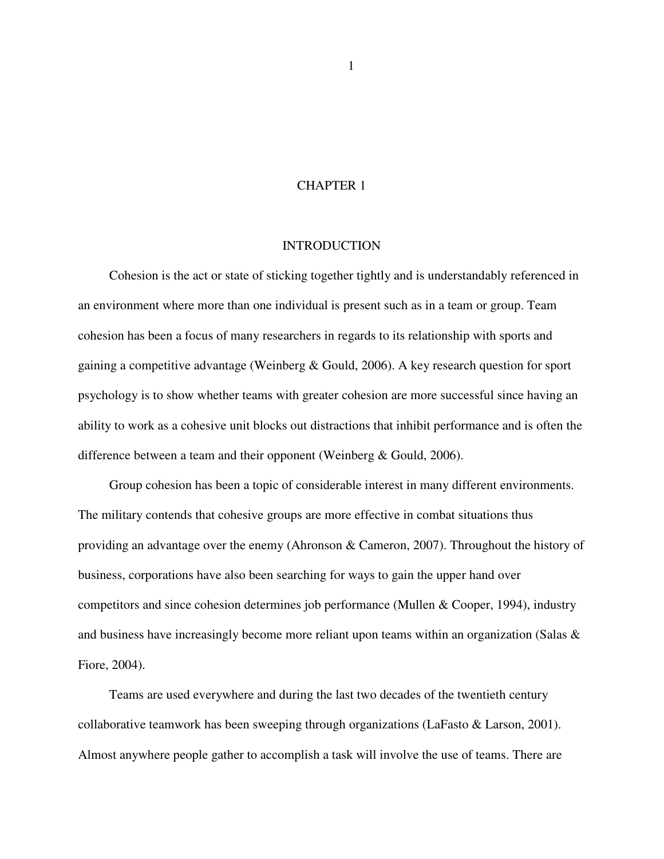## CHAPTER 1

## INTRODUCTION

 Cohesion is the act or state of sticking together tightly and is understandably referenced in an environment where more than one individual is present such as in a team or group. Team cohesion has been a focus of many researchers in regards to its relationship with sports and gaining a competitive advantage (Weinberg & Gould, 2006). A key research question for sport psychology is to show whether teams with greater cohesion are more successful since having an ability to work as a cohesive unit blocks out distractions that inhibit performance and is often the difference between a team and their opponent (Weinberg & Gould, 2006).

 Group cohesion has been a topic of considerable interest in many different environments. The military contends that cohesive groups are more effective in combat situations thus providing an advantage over the enemy (Ahronson & Cameron, 2007). Throughout the history of business, corporations have also been searching for ways to gain the upper hand over competitors and since cohesion determines job performance (Mullen & Cooper, 1994), industry and business have increasingly become more reliant upon teams within an organization (Salas  $\&$ Fiore, 2004).

 Teams are used everywhere and during the last two decades of the twentieth century collaborative teamwork has been sweeping through organizations (LaFasto & Larson, 2001). Almost anywhere people gather to accomplish a task will involve the use of teams. There are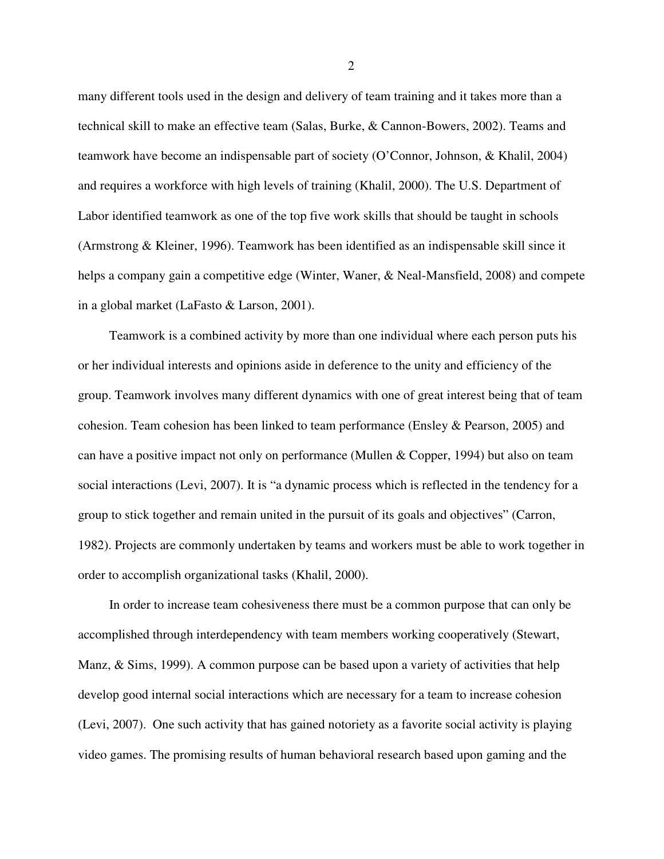many different tools used in the design and delivery of team training and it takes more than a technical skill to make an effective team (Salas, Burke, & Cannon-Bowers, 2002). Teams and teamwork have become an indispensable part of society (O'Connor, Johnson, & Khalil, 2004) and requires a workforce with high levels of training (Khalil, 2000). The U.S. Department of Labor identified teamwork as one of the top five work skills that should be taught in schools (Armstrong & Kleiner, 1996). Teamwork has been identified as an indispensable skill since it helps a company gain a competitive edge (Winter, Waner, & Neal-Mansfield, 2008) and compete in a global market (LaFasto & Larson, 2001).

 Teamwork is a combined activity by more than one individual where each person puts his or her individual interests and opinions aside in deference to the unity and efficiency of the group. Teamwork involves many different dynamics with one of great interest being that of team cohesion. Team cohesion has been linked to team performance (Ensley & Pearson, 2005) and can have a positive impact not only on performance (Mullen & Copper, 1994) but also on team social interactions (Levi, 2007). It is "a dynamic process which is reflected in the tendency for a group to stick together and remain united in the pursuit of its goals and objectives" (Carron, 1982). Projects are commonly undertaken by teams and workers must be able to work together in order to accomplish organizational tasks (Khalil, 2000).

 In order to increase team cohesiveness there must be a common purpose that can only be accomplished through interdependency with team members working cooperatively (Stewart, Manz, & Sims, 1999). A common purpose can be based upon a variety of activities that help develop good internal social interactions which are necessary for a team to increase cohesion (Levi, 2007). One such activity that has gained notoriety as a favorite social activity is playing video games. The promising results of human behavioral research based upon gaming and the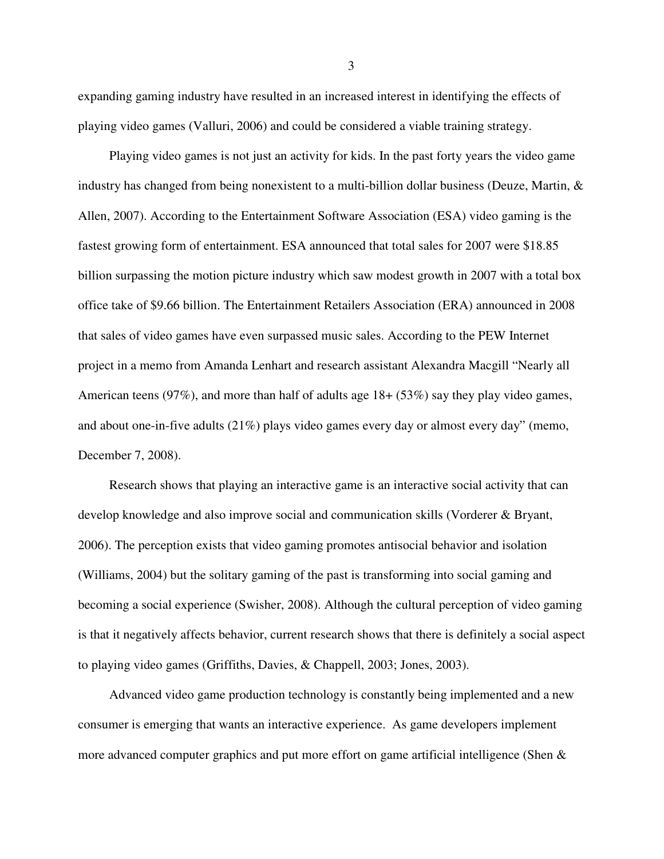expanding gaming industry have resulted in an increased interest in identifying the effects of playing video games (Valluri, 2006) and could be considered a viable training strategy.

 Playing video games is not just an activity for kids. In the past forty years the video game industry has changed from being nonexistent to a multi-billion dollar business (Deuze, Martin,  $\&$ Allen, 2007). According to the Entertainment Software Association (ESA) video gaming is the fastest growing form of entertainment. ESA announced that total sales for 2007 were \$18.85 billion surpassing the motion picture industry which saw modest growth in 2007 with a total box office take of \$9.66 billion. The Entertainment Retailers Association (ERA) announced in 2008 that sales of video games have even surpassed music sales. According to the PEW Internet project in a memo from Amanda Lenhart and research assistant Alexandra Macgill "Nearly all American teens (97%), and more than half of adults age 18+ (53%) say they play video games, and about one-in-five adults (21%) plays video games every day or almost every day" (memo, December 7, 2008).

 Research shows that playing an interactive game is an interactive social activity that can develop knowledge and also improve social and communication skills (Vorderer & Bryant, 2006). The perception exists that video gaming promotes antisocial behavior and isolation (Williams, 2004) but the solitary gaming of the past is transforming into social gaming and becoming a social experience (Swisher, 2008). Although the cultural perception of video gaming is that it negatively affects behavior, current research shows that there is definitely a social aspect to playing video games (Griffiths, Davies, & Chappell, 2003; Jones, 2003).

 Advanced video game production technology is constantly being implemented and a new consumer is emerging that wants an interactive experience. As game developers implement more advanced computer graphics and put more effort on game artificial intelligence (Shen  $\&$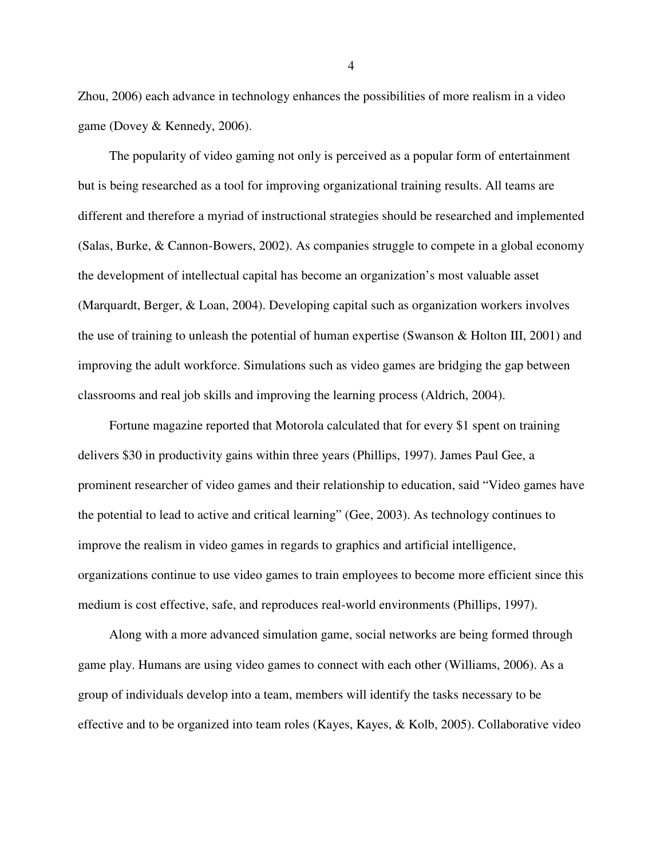Zhou, 2006) each advance in technology enhances the possibilities of more realism in a video game (Dovey & Kennedy, 2006).

 The popularity of video gaming not only is perceived as a popular form of entertainment but is being researched as a tool for improving organizational training results. All teams are different and therefore a myriad of instructional strategies should be researched and implemented (Salas, Burke, & Cannon-Bowers, 2002). As companies struggle to compete in a global economy the development of intellectual capital has become an organization's most valuable asset (Marquardt, Berger, & Loan, 2004). Developing capital such as organization workers involves the use of training to unleash the potential of human expertise (Swanson & Holton III, 2001) and improving the adult workforce. Simulations such as video games are bridging the gap between classrooms and real job skills and improving the learning process (Aldrich, 2004).

 Fortune magazine reported that Motorola calculated that for every \$1 spent on training delivers \$30 in productivity gains within three years (Phillips, 1997). James Paul Gee, a prominent researcher of video games and their relationship to education, said "Video games have the potential to lead to active and critical learning" (Gee, 2003). As technology continues to improve the realism in video games in regards to graphics and artificial intelligence, organizations continue to use video games to train employees to become more efficient since this medium is cost effective, safe, and reproduces real-world environments (Phillips, 1997).

 Along with a more advanced simulation game, social networks are being formed through game play. Humans are using video games to connect with each other (Williams, 2006). As a group of individuals develop into a team, members will identify the tasks necessary to be effective and to be organized into team roles (Kayes, Kayes, & Kolb, 2005). Collaborative video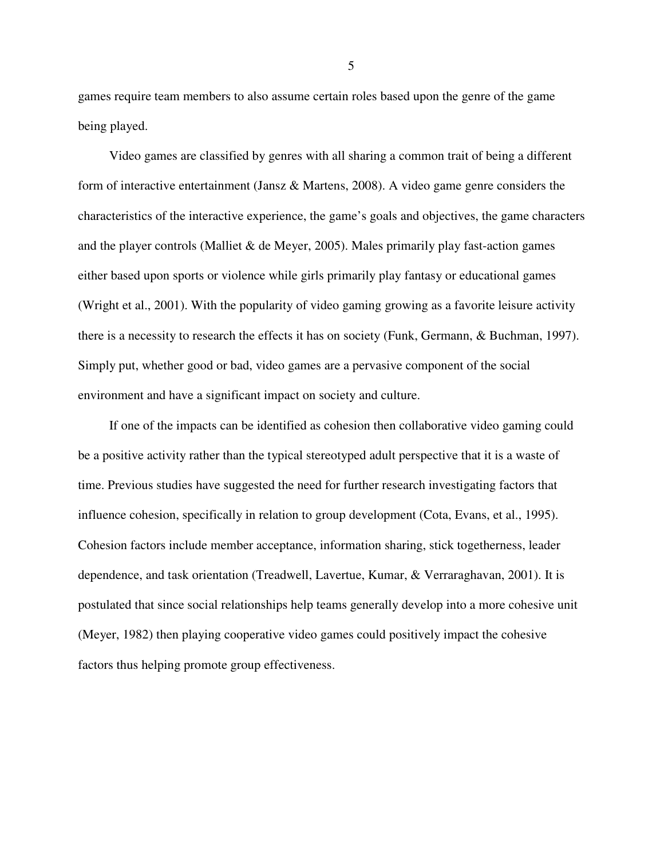games require team members to also assume certain roles based upon the genre of the game being played.

 Video games are classified by genres with all sharing a common trait of being a different form of interactive entertainment (Jansz & Martens, 2008). A video game genre considers the characteristics of the interactive experience, the game's goals and objectives, the game characters and the player controls (Malliet  $&$  de Meyer, 2005). Males primarily play fast-action games either based upon sports or violence while girls primarily play fantasy or educational games (Wright et al., 2001). With the popularity of video gaming growing as a favorite leisure activity there is a necessity to research the effects it has on society (Funk, Germann, & Buchman, 1997). Simply put, whether good or bad, video games are a pervasive component of the social environment and have a significant impact on society and culture.

 If one of the impacts can be identified as cohesion then collaborative video gaming could be a positive activity rather than the typical stereotyped adult perspective that it is a waste of time. Previous studies have suggested the need for further research investigating factors that influence cohesion, specifically in relation to group development (Cota, Evans, et al., 1995). Cohesion factors include member acceptance, information sharing, stick togetherness, leader dependence, and task orientation (Treadwell, Lavertue, Kumar, & Verraraghavan, 2001). It is postulated that since social relationships help teams generally develop into a more cohesive unit (Meyer, 1982) then playing cooperative video games could positively impact the cohesive factors thus helping promote group effectiveness.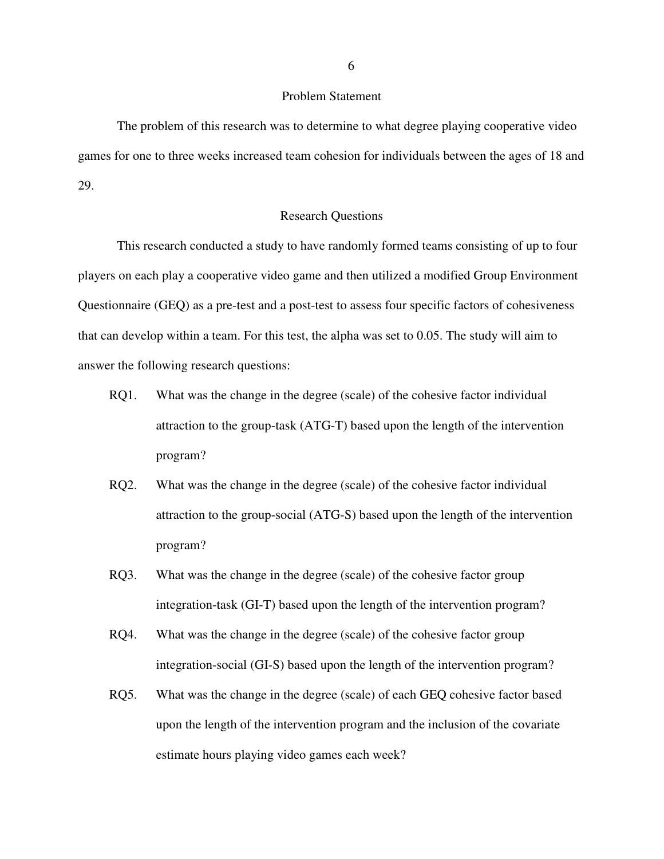## Problem Statement

The problem of this research was to determine to what degree playing cooperative video games for one to three weeks increased team cohesion for individuals between the ages of 18 and 29.

#### Research Questions

This research conducted a study to have randomly formed teams consisting of up to four players on each play a cooperative video game and then utilized a modified Group Environment Questionnaire (GEQ) as a pre-test and a post-test to assess four specific factors of cohesiveness that can develop within a team. For this test, the alpha was set to 0.05. The study will aim to answer the following research questions:

- RQ1. What was the change in the degree (scale) of the cohesive factor individual attraction to the group-task (ATG-T) based upon the length of the intervention program?
- RQ2. What was the change in the degree (scale) of the cohesive factor individual attraction to the group-social (ATG-S) based upon the length of the intervention program?
- RQ3. What was the change in the degree (scale) of the cohesive factor group integration-task (GI-T) based upon the length of the intervention program?
- RQ4. What was the change in the degree (scale) of the cohesive factor group integration-social (GI-S) based upon the length of the intervention program?
- RQ5. What was the change in the degree (scale) of each GEQ cohesive factor based upon the length of the intervention program and the inclusion of the covariate estimate hours playing video games each week?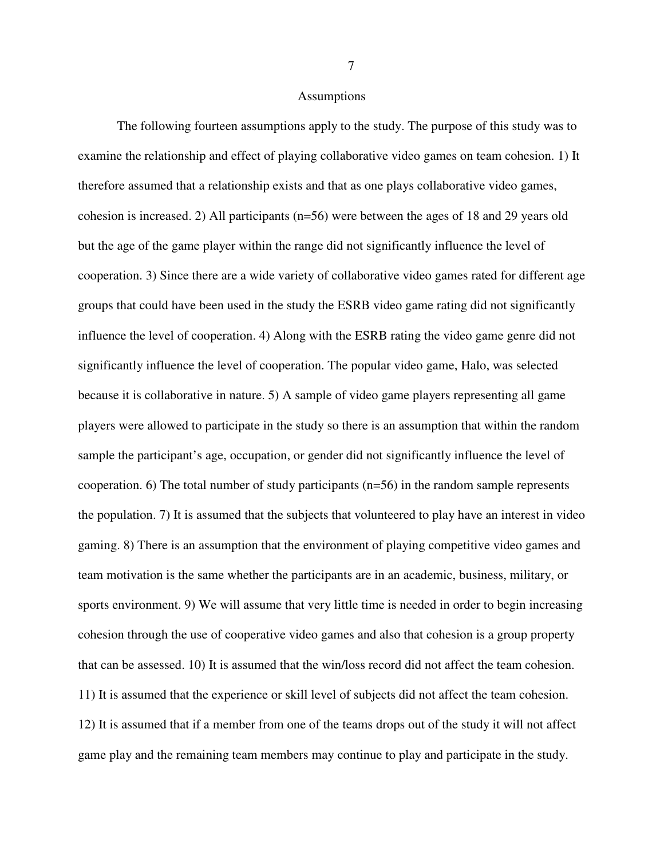#### Assumptions

The following fourteen assumptions apply to the study. The purpose of this study was to examine the relationship and effect of playing collaborative video games on team cohesion. 1) It therefore assumed that a relationship exists and that as one plays collaborative video games, cohesion is increased. 2) All participants (n=56) were between the ages of 18 and 29 years old but the age of the game player within the range did not significantly influence the level of cooperation. 3) Since there are a wide variety of collaborative video games rated for different age groups that could have been used in the study the ESRB video game rating did not significantly influence the level of cooperation. 4) Along with the ESRB rating the video game genre did not significantly influence the level of cooperation. The popular video game, Halo, was selected because it is collaborative in nature. 5) A sample of video game players representing all game players were allowed to participate in the study so there is an assumption that within the random sample the participant's age, occupation, or gender did not significantly influence the level of cooperation. 6) The total number of study participants (n=56) in the random sample represents the population. 7) It is assumed that the subjects that volunteered to play have an interest in video gaming. 8) There is an assumption that the environment of playing competitive video games and team motivation is the same whether the participants are in an academic, business, military, or sports environment. 9) We will assume that very little time is needed in order to begin increasing cohesion through the use of cooperative video games and also that cohesion is a group property that can be assessed. 10) It is assumed that the win/loss record did not affect the team cohesion. 11) It is assumed that the experience or skill level of subjects did not affect the team cohesion. 12) It is assumed that if a member from one of the teams drops out of the study it will not affect game play and the remaining team members may continue to play and participate in the study.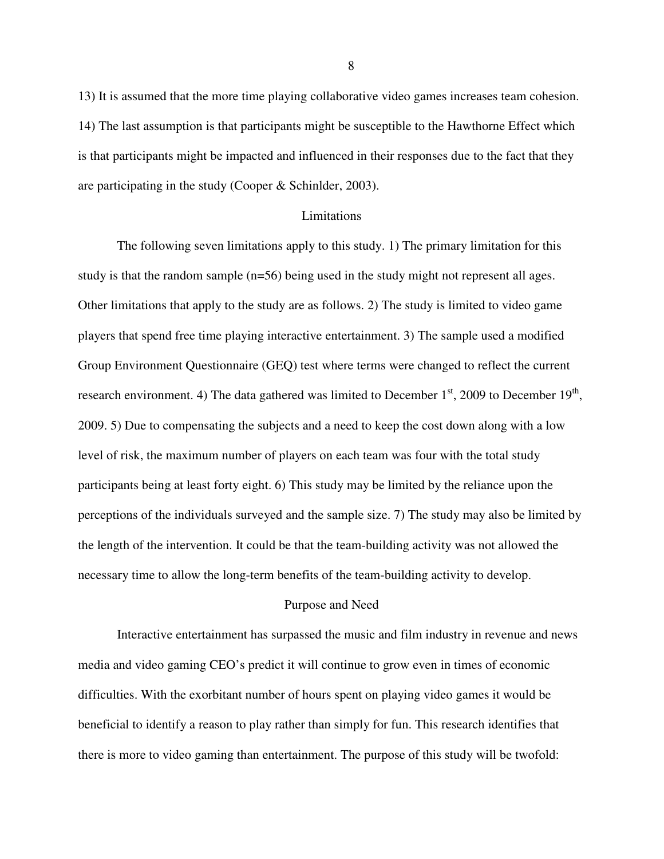13) It is assumed that the more time playing collaborative video games increases team cohesion. 14) The last assumption is that participants might be susceptible to the Hawthorne Effect which is that participants might be impacted and influenced in their responses due to the fact that they are participating in the study (Cooper & Schinlder, 2003).

#### Limitations

The following seven limitations apply to this study. 1) The primary limitation for this study is that the random sample (n=56) being used in the study might not represent all ages. Other limitations that apply to the study are as follows. 2) The study is limited to video game players that spend free time playing interactive entertainment. 3) The sample used a modified Group Environment Questionnaire (GEQ) test where terms were changed to reflect the current research environment. 4) The data gathered was limited to December  $1<sup>st</sup>$ , 2009 to December  $19<sup>th</sup>$ , 2009. 5) Due to compensating the subjects and a need to keep the cost down along with a low level of risk, the maximum number of players on each team was four with the total study participants being at least forty eight. 6) This study may be limited by the reliance upon the perceptions of the individuals surveyed and the sample size. 7) The study may also be limited by the length of the intervention. It could be that the team-building activity was not allowed the necessary time to allow the long-term benefits of the team-building activity to develop.

## Purpose and Need

Interactive entertainment has surpassed the music and film industry in revenue and news media and video gaming CEO's predict it will continue to grow even in times of economic difficulties. With the exorbitant number of hours spent on playing video games it would be beneficial to identify a reason to play rather than simply for fun. This research identifies that there is more to video gaming than entertainment. The purpose of this study will be twofold: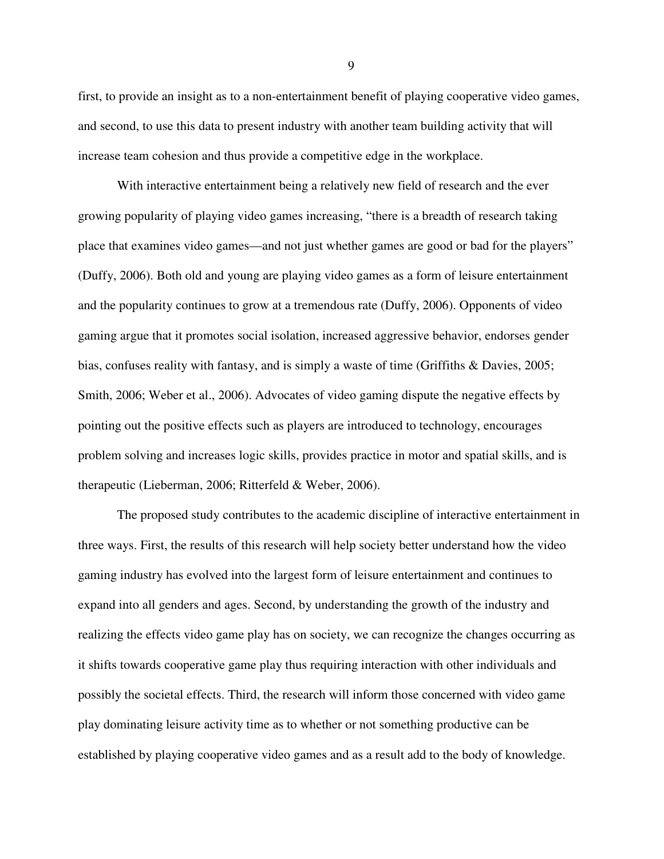first, to provide an insight as to a non-entertainment benefit of playing cooperative video games, and second, to use this data to present industry with another team building activity that will increase team cohesion and thus provide a competitive edge in the workplace.

With interactive entertainment being a relatively new field of research and the ever growing popularity of playing video games increasing, "there is a breadth of research taking place that examines video games—and not just whether games are good or bad for the players" (Duffy, 2006). Both old and young are playing video games as a form of leisure entertainment and the popularity continues to grow at a tremendous rate (Duffy, 2006). Opponents of video gaming argue that it promotes social isolation, increased aggressive behavior, endorses gender bias, confuses reality with fantasy, and is simply a waste of time (Griffiths & Davies, 2005; Smith, 2006; Weber et al., 2006). Advocates of video gaming dispute the negative effects by pointing out the positive effects such as players are introduced to technology, encourages problem solving and increases logic skills, provides practice in motor and spatial skills, and is therapeutic (Lieberman, 2006; Ritterfeld & Weber, 2006).

The proposed study contributes to the academic discipline of interactive entertainment in three ways. First, the results of this research will help society better understand how the video gaming industry has evolved into the largest form of leisure entertainment and continues to expand into all genders and ages. Second, by understanding the growth of the industry and realizing the effects video game play has on society, we can recognize the changes occurring as it shifts towards cooperative game play thus requiring interaction with other individuals and possibly the societal effects. Third, the research will inform those concerned with video game play dominating leisure activity time as to whether or not something productive can be established by playing cooperative video games and as a result add to the body of knowledge.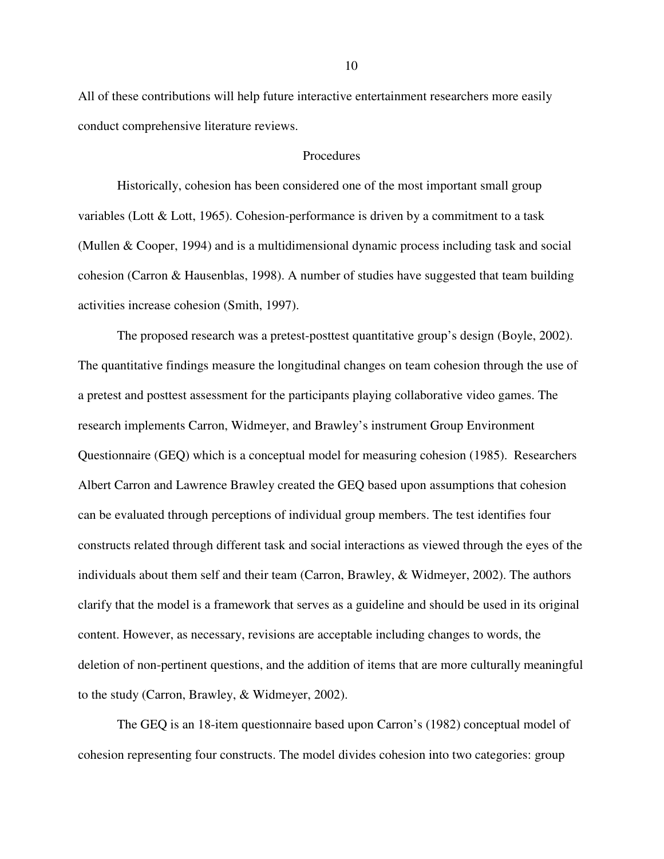All of these contributions will help future interactive entertainment researchers more easily conduct comprehensive literature reviews.

### Procedures

Historically, cohesion has been considered one of the most important small group variables (Lott & Lott, 1965). Cohesion-performance is driven by a commitment to a task (Mullen & Cooper, 1994) and is a multidimensional dynamic process including task and social cohesion (Carron & Hausenblas, 1998). A number of studies have suggested that team building activities increase cohesion (Smith, 1997).

The proposed research was a pretest-posttest quantitative group's design (Boyle, 2002). The quantitative findings measure the longitudinal changes on team cohesion through the use of a pretest and posttest assessment for the participants playing collaborative video games. The research implements Carron, Widmeyer, and Brawley's instrument Group Environment Questionnaire (GEQ) which is a conceptual model for measuring cohesion (1985). Researchers Albert Carron and Lawrence Brawley created the GEQ based upon assumptions that cohesion can be evaluated through perceptions of individual group members. The test identifies four constructs related through different task and social interactions as viewed through the eyes of the individuals about them self and their team (Carron, Brawley, & Widmeyer, 2002). The authors clarify that the model is a framework that serves as a guideline and should be used in its original content. However, as necessary, revisions are acceptable including changes to words, the deletion of non-pertinent questions, and the addition of items that are more culturally meaningful to the study (Carron, Brawley, & Widmeyer, 2002).

The GEQ is an 18-item questionnaire based upon Carron's (1982) conceptual model of cohesion representing four constructs. The model divides cohesion into two categories: group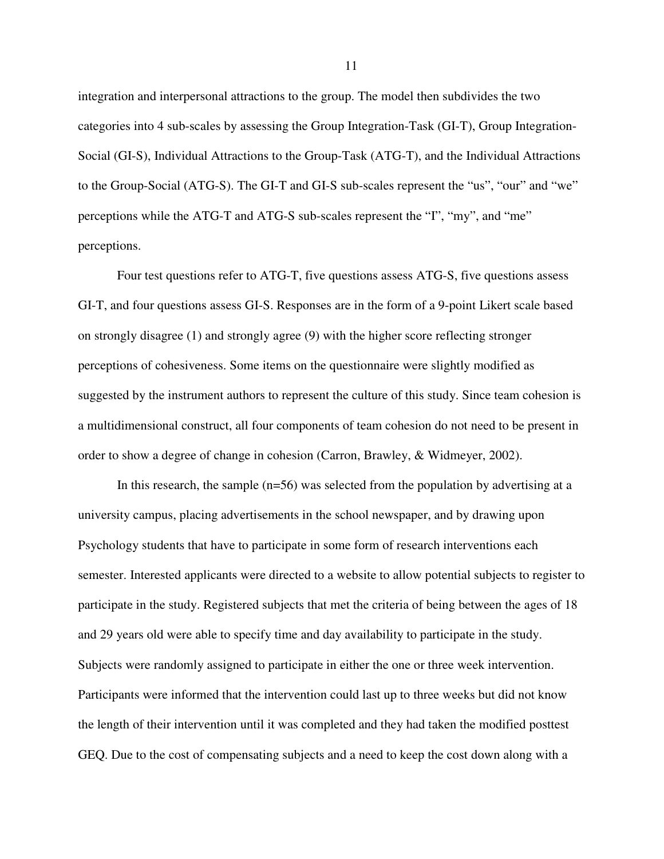integration and interpersonal attractions to the group. The model then subdivides the two categories into 4 sub-scales by assessing the Group Integration-Task (GI-T), Group Integration-Social (GI-S), Individual Attractions to the Group-Task (ATG-T), and the Individual Attractions to the Group-Social (ATG-S). The GI-T and GI-S sub-scales represent the "us", "our" and "we" perceptions while the ATG-T and ATG-S sub-scales represent the "I", "my", and "me" perceptions.

Four test questions refer to ATG-T, five questions assess ATG-S, five questions assess GI-T, and four questions assess GI-S. Responses are in the form of a 9-point Likert scale based on strongly disagree (1) and strongly agree (9) with the higher score reflecting stronger perceptions of cohesiveness. Some items on the questionnaire were slightly modified as suggested by the instrument authors to represent the culture of this study. Since team cohesion is a multidimensional construct, all four components of team cohesion do not need to be present in order to show a degree of change in cohesion (Carron, Brawley, & Widmeyer, 2002).

In this research, the sample (n=56) was selected from the population by advertising at a university campus, placing advertisements in the school newspaper, and by drawing upon Psychology students that have to participate in some form of research interventions each semester. Interested applicants were directed to a website to allow potential subjects to register to participate in the study. Registered subjects that met the criteria of being between the ages of 18 and 29 years old were able to specify time and day availability to participate in the study. Subjects were randomly assigned to participate in either the one or three week intervention. Participants were informed that the intervention could last up to three weeks but did not know the length of their intervention until it was completed and they had taken the modified posttest GEQ. Due to the cost of compensating subjects and a need to keep the cost down along with a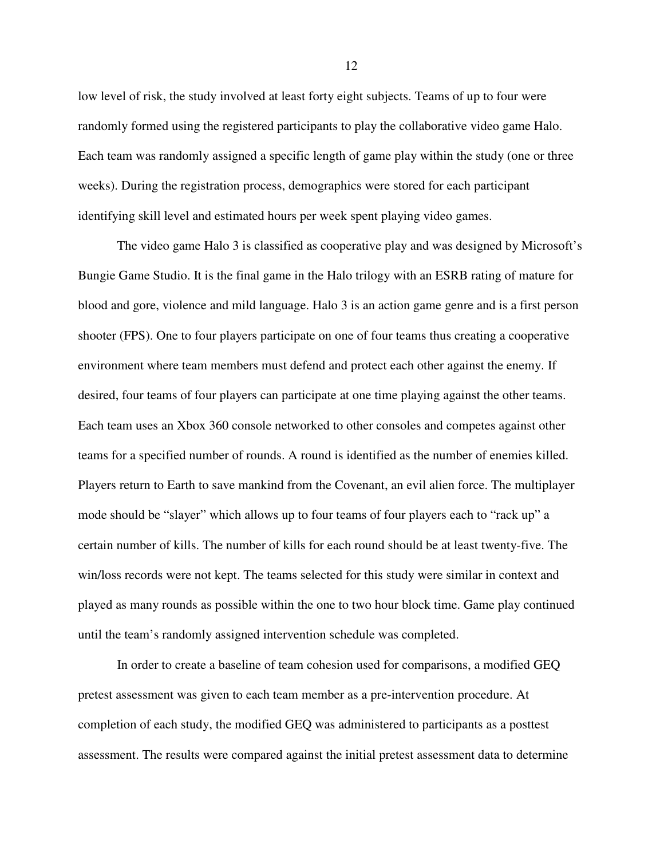low level of risk, the study involved at least forty eight subjects. Teams of up to four were randomly formed using the registered participants to play the collaborative video game Halo. Each team was randomly assigned a specific length of game play within the study (one or three weeks). During the registration process, demographics were stored for each participant identifying skill level and estimated hours per week spent playing video games.

The video game Halo 3 is classified as cooperative play and was designed by Microsoft's Bungie Game Studio. It is the final game in the Halo trilogy with an ESRB rating of mature for blood and gore, violence and mild language. Halo 3 is an action game genre and is a first person shooter (FPS). One to four players participate on one of four teams thus creating a cooperative environment where team members must defend and protect each other against the enemy. If desired, four teams of four players can participate at one time playing against the other teams. Each team uses an Xbox 360 console networked to other consoles and competes against other teams for a specified number of rounds. A round is identified as the number of enemies killed. Players return to Earth to save mankind from the Covenant, an evil alien force. The multiplayer mode should be "slayer" which allows up to four teams of four players each to "rack up" a certain number of kills. The number of kills for each round should be at least twenty-five. The win/loss records were not kept. The teams selected for this study were similar in context and played as many rounds as possible within the one to two hour block time. Game play continued until the team's randomly assigned intervention schedule was completed.

In order to create a baseline of team cohesion used for comparisons, a modified GEQ pretest assessment was given to each team member as a pre-intervention procedure. At completion of each study, the modified GEQ was administered to participants as a posttest assessment. The results were compared against the initial pretest assessment data to determine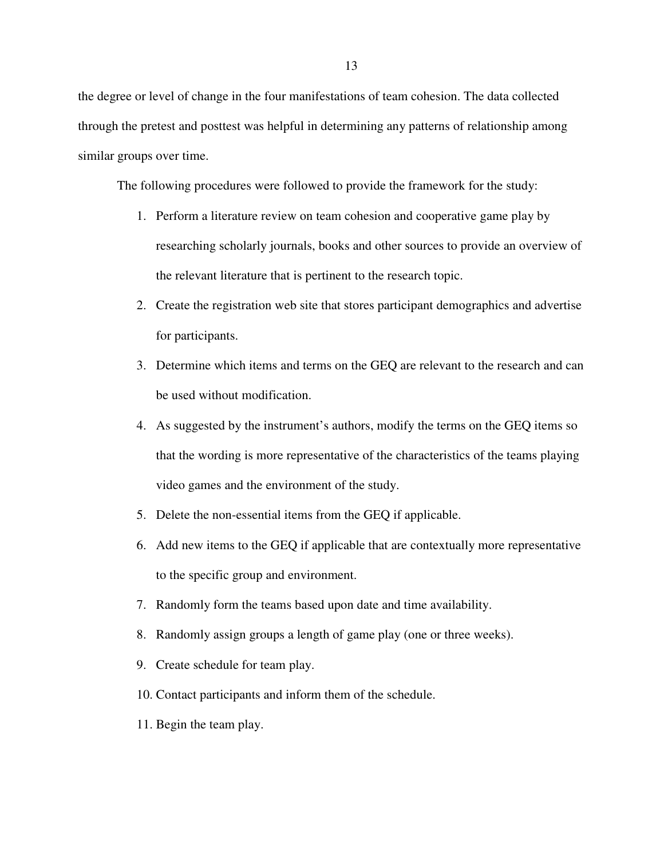the degree or level of change in the four manifestations of team cohesion. The data collected through the pretest and posttest was helpful in determining any patterns of relationship among similar groups over time.

The following procedures were followed to provide the framework for the study:

- 1. Perform a literature review on team cohesion and cooperative game play by researching scholarly journals, books and other sources to provide an overview of the relevant literature that is pertinent to the research topic.
- 2. Create the registration web site that stores participant demographics and advertise for participants.
- 3. Determine which items and terms on the GEQ are relevant to the research and can be used without modification.
- 4. As suggested by the instrument's authors, modify the terms on the GEQ items so that the wording is more representative of the characteristics of the teams playing video games and the environment of the study.
- 5. Delete the non-essential items from the GEQ if applicable.
- 6. Add new items to the GEQ if applicable that are contextually more representative to the specific group and environment.
- 7. Randomly form the teams based upon date and time availability.
- 8. Randomly assign groups a length of game play (one or three weeks).
- 9. Create schedule for team play.
- 10. Contact participants and inform them of the schedule.
- 11. Begin the team play.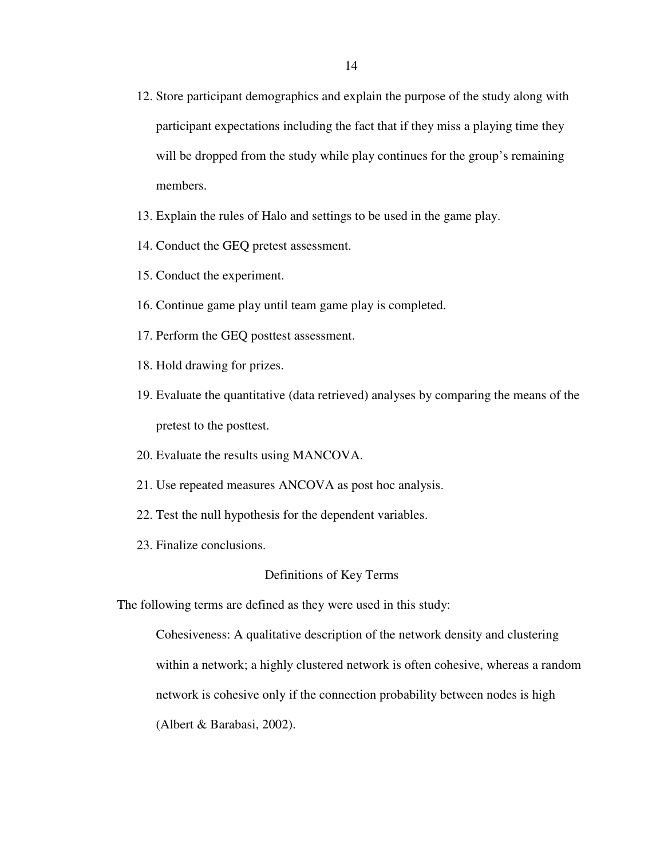- 12. Store participant demographics and explain the purpose of the study along with participant expectations including the fact that if they miss a playing time they will be dropped from the study while play continues for the group's remaining members.
- 13. Explain the rules of Halo and settings to be used in the game play.
- 14. Conduct the GEQ pretest assessment.
- 15. Conduct the experiment.
- 16. Continue game play until team game play is completed.
- 17. Perform the GEQ posttest assessment.
- 18. Hold drawing for prizes.
- 19. Evaluate the quantitative (data retrieved) analyses by comparing the means of the pretest to the posttest.
- 20. Evaluate the results using MANCOVA.
- 21. Use repeated measures ANCOVA as post hoc analysis.
- 22. Test the null hypothesis for the dependent variables.
- 23. Finalize conclusions.

## Definitions of Key Terms

The following terms are defined as they were used in this study:

Cohesiveness: A qualitative description of the network density and clustering within a network; a highly clustered network is often cohesive, whereas a random network is cohesive only if the connection probability between nodes is high (Albert & Barabasi, 2002).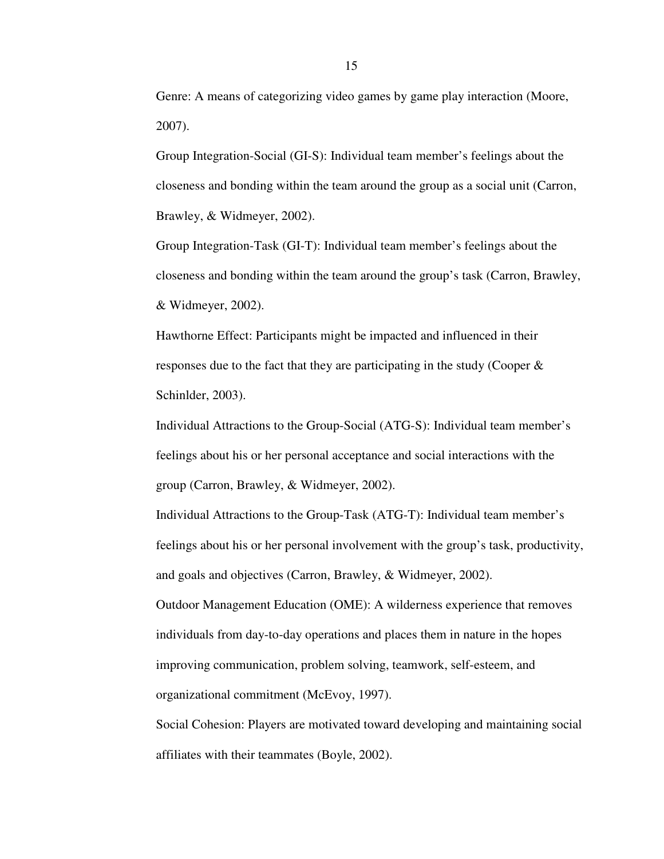Genre: A means of categorizing video games by game play interaction (Moore, 2007).

Group Integration-Social (GI-S): Individual team member's feelings about the closeness and bonding within the team around the group as a social unit (Carron, Brawley, & Widmeyer, 2002).

Group Integration-Task (GI-T): Individual team member's feelings about the closeness and bonding within the team around the group's task (Carron, Brawley, & Widmeyer, 2002).

Hawthorne Effect: Participants might be impacted and influenced in their responses due to the fact that they are participating in the study (Cooper & Schinlder, 2003).

Individual Attractions to the Group-Social (ATG-S): Individual team member's feelings about his or her personal acceptance and social interactions with the group (Carron, Brawley, & Widmeyer, 2002).

Individual Attractions to the Group-Task (ATG-T): Individual team member's feelings about his or her personal involvement with the group's task, productivity, and goals and objectives (Carron, Brawley, & Widmeyer, 2002).

Outdoor Management Education (OME): A wilderness experience that removes individuals from day-to-day operations and places them in nature in the hopes improving communication, problem solving, teamwork, self-esteem, and organizational commitment (McEvoy, 1997).

Social Cohesion: Players are motivated toward developing and maintaining social affiliates with their teammates (Boyle, 2002).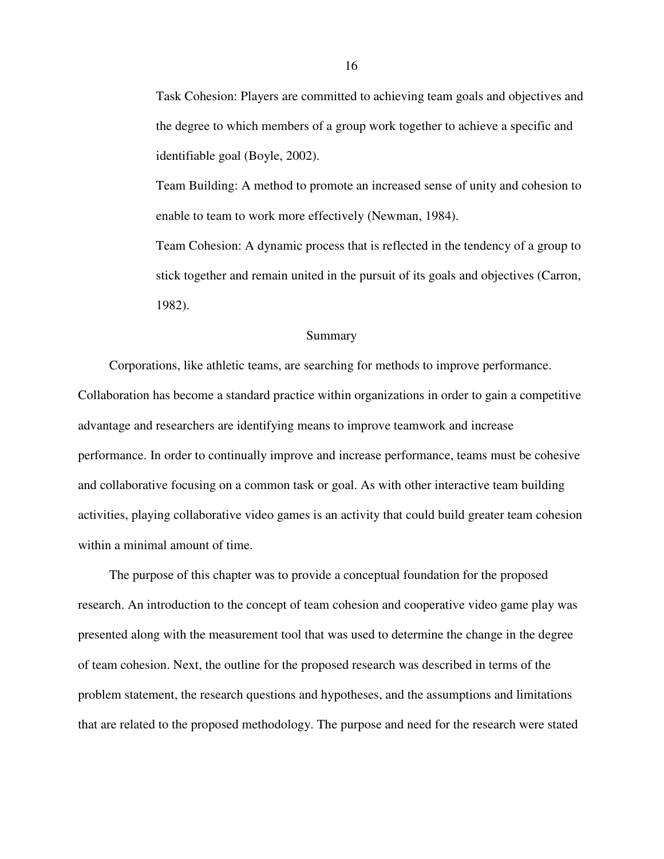Task Cohesion: Players are committed to achieving team goals and objectives and the degree to which members of a group work together to achieve a specific and identifiable goal (Boyle, 2002).

Team Building: A method to promote an increased sense of unity and cohesion to enable to team to work more effectively (Newman, 1984).

Team Cohesion: A dynamic process that is reflected in the tendency of a group to stick together and remain united in the pursuit of its goals and objectives (Carron, 1982).

#### Summary

 Corporations, like athletic teams, are searching for methods to improve performance. Collaboration has become a standard practice within organizations in order to gain a competitive advantage and researchers are identifying means to improve teamwork and increase performance. In order to continually improve and increase performance, teams must be cohesive and collaborative focusing on a common task or goal. As with other interactive team building activities, playing collaborative video games is an activity that could build greater team cohesion within a minimal amount of time.

 The purpose of this chapter was to provide a conceptual foundation for the proposed research. An introduction to the concept of team cohesion and cooperative video game play was presented along with the measurement tool that was used to determine the change in the degree of team cohesion. Next, the outline for the proposed research was described in terms of the problem statement, the research questions and hypotheses, and the assumptions and limitations that are related to the proposed methodology. The purpose and need for the research were stated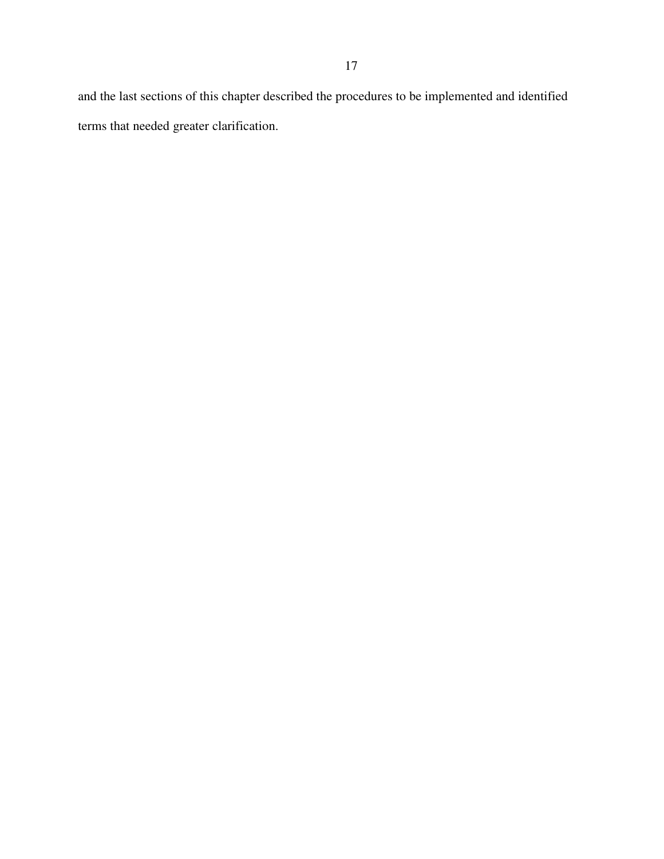and the last sections of this chapter described the procedures to be implemented and identified terms that needed greater clarification.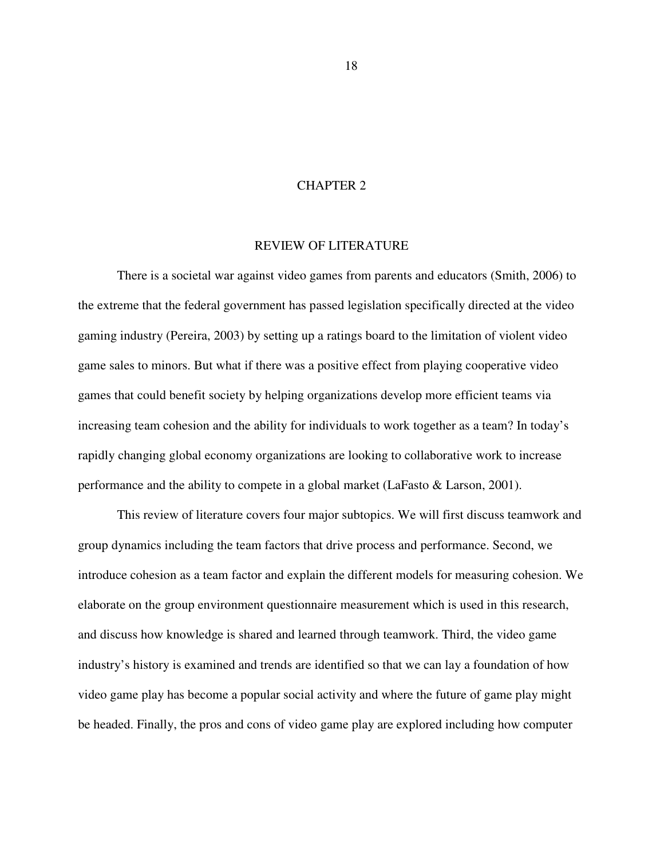## CHAPTER 2

### REVIEW OF LITERATURE

There is a societal war against video games from parents and educators (Smith, 2006) to the extreme that the federal government has passed legislation specifically directed at the video gaming industry (Pereira, 2003) by setting up a ratings board to the limitation of violent video game sales to minors. But what if there was a positive effect from playing cooperative video games that could benefit society by helping organizations develop more efficient teams via increasing team cohesion and the ability for individuals to work together as a team? In today's rapidly changing global economy organizations are looking to collaborative work to increase performance and the ability to compete in a global market (LaFasto & Larson, 2001).

This review of literature covers four major subtopics. We will first discuss teamwork and group dynamics including the team factors that drive process and performance. Second, we introduce cohesion as a team factor and explain the different models for measuring cohesion. We elaborate on the group environment questionnaire measurement which is used in this research, and discuss how knowledge is shared and learned through teamwork. Third, the video game industry's history is examined and trends are identified so that we can lay a foundation of how video game play has become a popular social activity and where the future of game play might be headed. Finally, the pros and cons of video game play are explored including how computer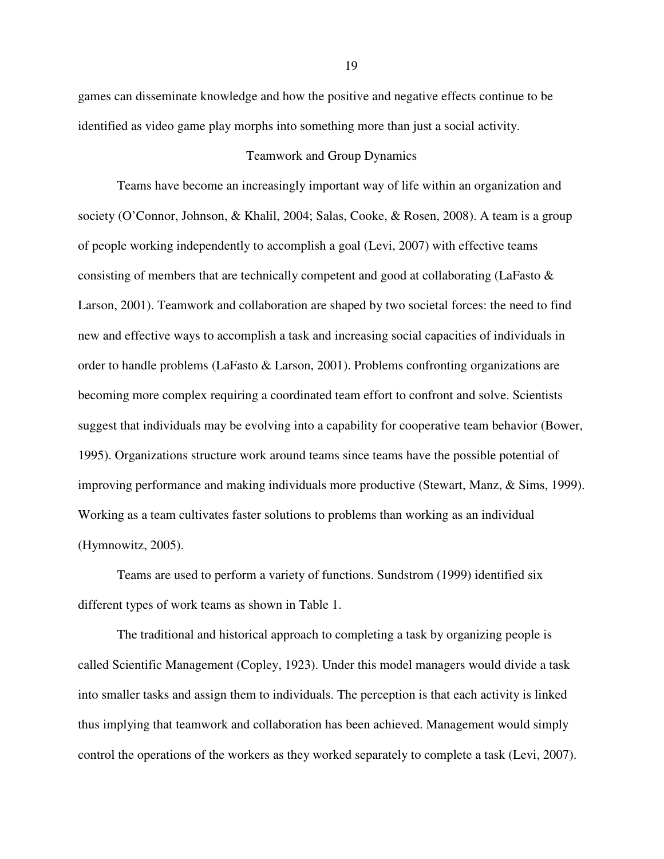games can disseminate knowledge and how the positive and negative effects continue to be identified as video game play morphs into something more than just a social activity.

#### Teamwork and Group Dynamics

Teams have become an increasingly important way of life within an organization and society (O'Connor, Johnson, & Khalil, 2004; Salas, Cooke, & Rosen, 2008). A team is a group of people working independently to accomplish a goal (Levi, 2007) with effective teams consisting of members that are technically competent and good at collaborating (LaFasto & Larson, 2001). Teamwork and collaboration are shaped by two societal forces: the need to find new and effective ways to accomplish a task and increasing social capacities of individuals in order to handle problems (LaFasto & Larson, 2001). Problems confronting organizations are becoming more complex requiring a coordinated team effort to confront and solve. Scientists suggest that individuals may be evolving into a capability for cooperative team behavior (Bower, 1995). Organizations structure work around teams since teams have the possible potential of improving performance and making individuals more productive (Stewart, Manz, & Sims, 1999). Working as a team cultivates faster solutions to problems than working as an individual (Hymnowitz, 2005).

Teams are used to perform a variety of functions. Sundstrom (1999) identified six different types of work teams as shown in Table 1.

The traditional and historical approach to completing a task by organizing people is called Scientific Management (Copley, 1923). Under this model managers would divide a task into smaller tasks and assign them to individuals. The perception is that each activity is linked thus implying that teamwork and collaboration has been achieved. Management would simply control the operations of the workers as they worked separately to complete a task (Levi, 2007).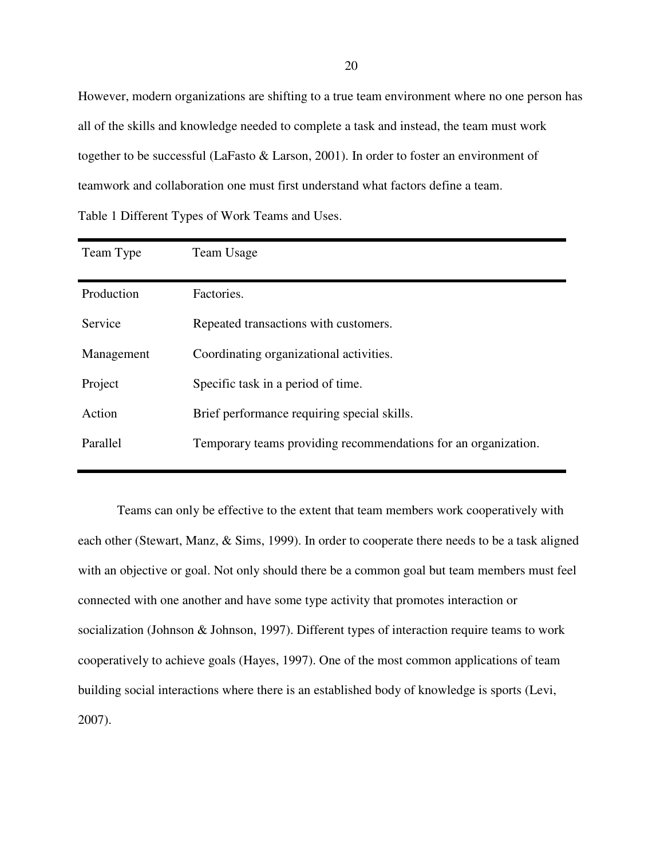However, modern organizations are shifting to a true team environment where no one person has all of the skills and knowledge needed to complete a task and instead, the team must work together to be successful (LaFasto & Larson, 2001). In order to foster an environment of teamwork and collaboration one must first understand what factors define a team. Table 1 Different Types of Work Teams and Uses.

| Team Type  | Team Usage                                                     |
|------------|----------------------------------------------------------------|
| Production | Factories.                                                     |
| Service    | Repeated transactions with customers.                          |
| Management | Coordinating organizational activities.                        |
| Project    | Specific task in a period of time.                             |
| Action     | Brief performance requiring special skills.                    |
| Parallel   | Temporary teams providing recommendations for an organization. |
|            |                                                                |

Teams can only be effective to the extent that team members work cooperatively with each other (Stewart, Manz, & Sims, 1999). In order to cooperate there needs to be a task aligned with an objective or goal. Not only should there be a common goal but team members must feel connected with one another and have some type activity that promotes interaction or socialization (Johnson & Johnson, 1997). Different types of interaction require teams to work cooperatively to achieve goals (Hayes, 1997). One of the most common applications of team building social interactions where there is an established body of knowledge is sports (Levi, 2007).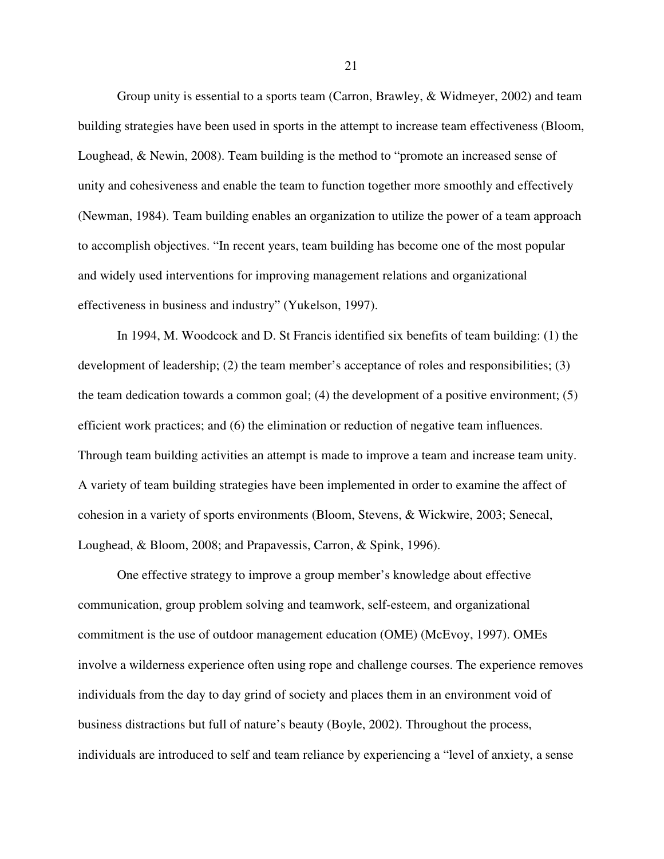Group unity is essential to a sports team (Carron, Brawley, & Widmeyer, 2002) and team building strategies have been used in sports in the attempt to increase team effectiveness (Bloom, Loughead, & Newin, 2008). Team building is the method to "promote an increased sense of unity and cohesiveness and enable the team to function together more smoothly and effectively (Newman, 1984). Team building enables an organization to utilize the power of a team approach to accomplish objectives. "In recent years, team building has become one of the most popular and widely used interventions for improving management relations and organizational effectiveness in business and industry" (Yukelson, 1997).

In 1994, M. Woodcock and D. St Francis identified six benefits of team building: (1) the development of leadership; (2) the team member's acceptance of roles and responsibilities; (3) the team dedication towards a common goal; (4) the development of a positive environment; (5) efficient work practices; and (6) the elimination or reduction of negative team influences. Through team building activities an attempt is made to improve a team and increase team unity. A variety of team building strategies have been implemented in order to examine the affect of cohesion in a variety of sports environments (Bloom, Stevens, & Wickwire, 2003; Senecal, Loughead, & Bloom, 2008; and Prapavessis, Carron, & Spink, 1996).

One effective strategy to improve a group member's knowledge about effective communication, group problem solving and teamwork, self-esteem, and organizational commitment is the use of outdoor management education (OME) (McEvoy, 1997). OMEs involve a wilderness experience often using rope and challenge courses. The experience removes individuals from the day to day grind of society and places them in an environment void of business distractions but full of nature's beauty (Boyle, 2002). Throughout the process, individuals are introduced to self and team reliance by experiencing a "level of anxiety, a sense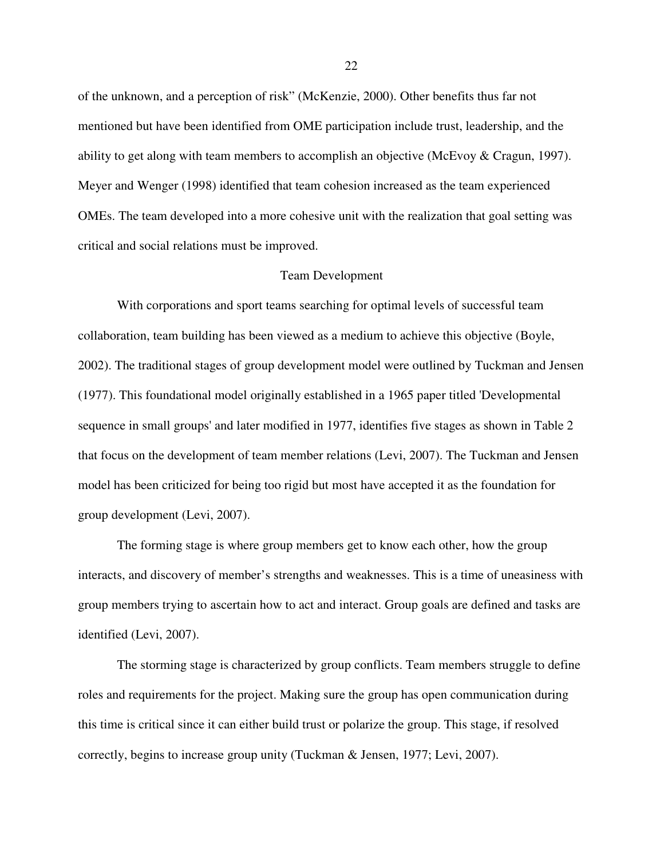of the unknown, and a perception of risk" (McKenzie, 2000). Other benefits thus far not mentioned but have been identified from OME participation include trust, leadership, and the ability to get along with team members to accomplish an objective (McEvoy & Cragun, 1997). Meyer and Wenger (1998) identified that team cohesion increased as the team experienced OMEs. The team developed into a more cohesive unit with the realization that goal setting was critical and social relations must be improved.

#### Team Development

With corporations and sport teams searching for optimal levels of successful team collaboration, team building has been viewed as a medium to achieve this objective (Boyle, 2002). The traditional stages of group development model were outlined by Tuckman and Jensen (1977). This foundational model originally established in a 1965 paper titled 'Developmental sequence in small groups' and later modified in 1977, identifies five stages as shown in Table 2 that focus on the development of team member relations (Levi, 2007). The Tuckman and Jensen model has been criticized for being too rigid but most have accepted it as the foundation for group development (Levi, 2007).

 The forming stage is where group members get to know each other, how the group interacts, and discovery of member's strengths and weaknesses. This is a time of uneasiness with group members trying to ascertain how to act and interact. Group goals are defined and tasks are identified (Levi, 2007).

 The storming stage is characterized by group conflicts. Team members struggle to define roles and requirements for the project. Making sure the group has open communication during this time is critical since it can either build trust or polarize the group. This stage, if resolved correctly, begins to increase group unity (Tuckman & Jensen, 1977; Levi, 2007).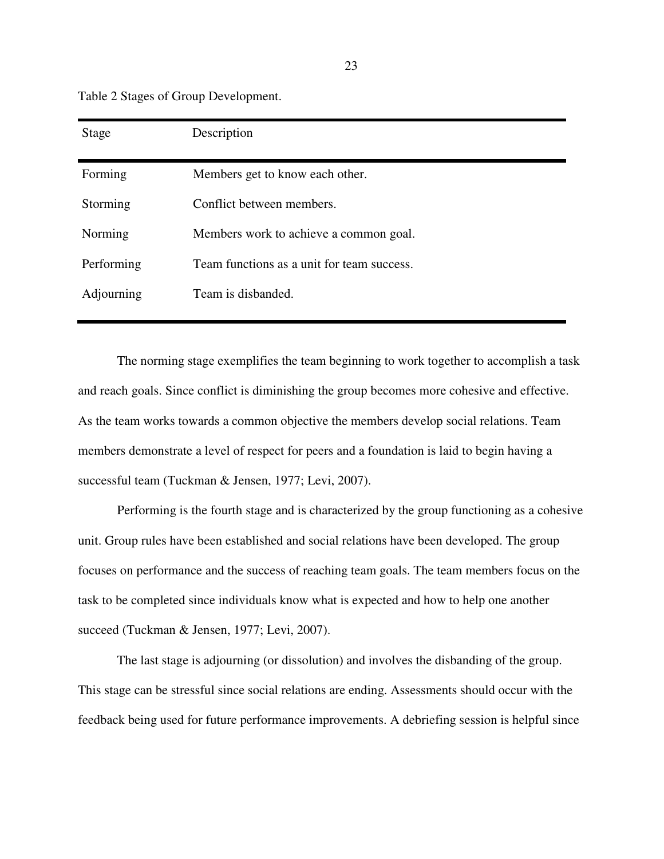Table 2 Stages of Group Development.

| Stage      | Description                                |
|------------|--------------------------------------------|
| Forming    | Members get to know each other.            |
| Storming   | Conflict between members.                  |
| Norming    | Members work to achieve a common goal.     |
| Performing | Team functions as a unit for team success. |
| Adjourning | Team is disbanded.                         |

The norming stage exemplifies the team beginning to work together to accomplish a task and reach goals. Since conflict is diminishing the group becomes more cohesive and effective. As the team works towards a common objective the members develop social relations. Team members demonstrate a level of respect for peers and a foundation is laid to begin having a successful team (Tuckman & Jensen, 1977; Levi, 2007).

 Performing is the fourth stage and is characterized by the group functioning as a cohesive unit. Group rules have been established and social relations have been developed. The group focuses on performance and the success of reaching team goals. The team members focus on the task to be completed since individuals know what is expected and how to help one another succeed (Tuckman & Jensen, 1977; Levi, 2007).

 The last stage is adjourning (or dissolution) and involves the disbanding of the group. This stage can be stressful since social relations are ending. Assessments should occur with the feedback being used for future performance improvements. A debriefing session is helpful since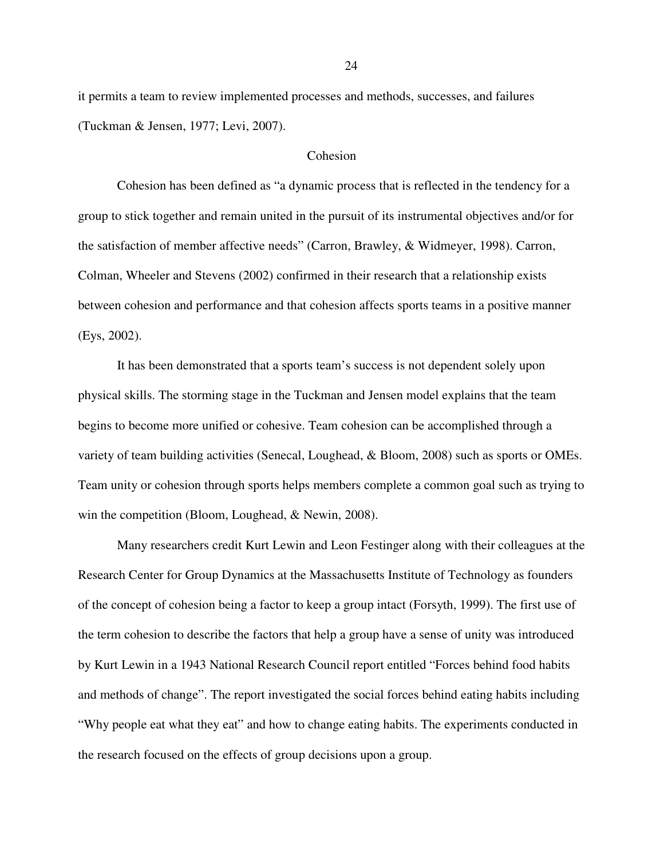it permits a team to review implemented processes and methods, successes, and failures (Tuckman & Jensen, 1977; Levi, 2007).

## Cohesion

Cohesion has been defined as "a dynamic process that is reflected in the tendency for a group to stick together and remain united in the pursuit of its instrumental objectives and/or for the satisfaction of member affective needs" (Carron, Brawley, & Widmeyer, 1998). Carron, Colman, Wheeler and Stevens (2002) confirmed in their research that a relationship exists between cohesion and performance and that cohesion affects sports teams in a positive manner (Eys, 2002).

It has been demonstrated that a sports team's success is not dependent solely upon physical skills. The storming stage in the Tuckman and Jensen model explains that the team begins to become more unified or cohesive. Team cohesion can be accomplished through a variety of team building activities (Senecal, Loughead, & Bloom, 2008) such as sports or OMEs. Team unity or cohesion through sports helps members complete a common goal such as trying to win the competition (Bloom, Loughead, & Newin, 2008).

Many researchers credit Kurt Lewin and Leon Festinger along with their colleagues at the Research Center for Group Dynamics at the Massachusetts Institute of Technology as founders of the concept of cohesion being a factor to keep a group intact (Forsyth, 1999). The first use of the term cohesion to describe the factors that help a group have a sense of unity was introduced by Kurt Lewin in a 1943 National Research Council report entitled "Forces behind food habits and methods of change". The report investigated the social forces behind eating habits including "Why people eat what they eat" and how to change eating habits. The experiments conducted in the research focused on the effects of group decisions upon a group.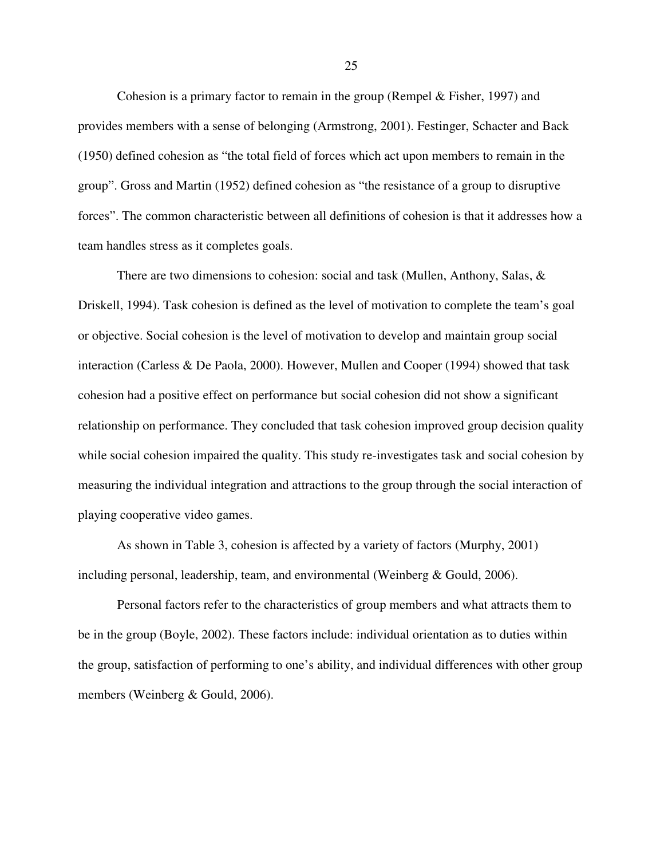Cohesion is a primary factor to remain in the group (Rempel & Fisher, 1997) and provides members with a sense of belonging (Armstrong, 2001). Festinger, Schacter and Back (1950) defined cohesion as "the total field of forces which act upon members to remain in the group". Gross and Martin (1952) defined cohesion as "the resistance of a group to disruptive forces". The common characteristic between all definitions of cohesion is that it addresses how a team handles stress as it completes goals.

There are two dimensions to cohesion: social and task (Mullen, Anthony, Salas, & Driskell, 1994). Task cohesion is defined as the level of motivation to complete the team's goal or objective. Social cohesion is the level of motivation to develop and maintain group social interaction (Carless & De Paola, 2000). However, Mullen and Cooper (1994) showed that task cohesion had a positive effect on performance but social cohesion did not show a significant relationship on performance. They concluded that task cohesion improved group decision quality while social cohesion impaired the quality. This study re-investigates task and social cohesion by measuring the individual integration and attractions to the group through the social interaction of playing cooperative video games.

As shown in Table 3, cohesion is affected by a variety of factors (Murphy, 2001) including personal, leadership, team, and environmental (Weinberg & Gould, 2006).

Personal factors refer to the characteristics of group members and what attracts them to be in the group (Boyle, 2002). These factors include: individual orientation as to duties within the group, satisfaction of performing to one's ability, and individual differences with other group members (Weinberg & Gould, 2006).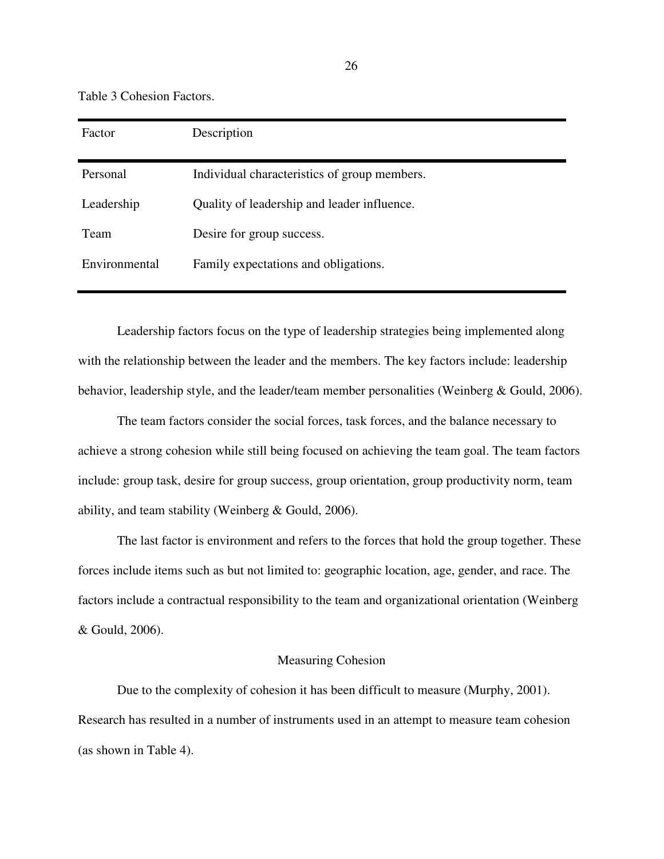Table 3 Cohesion Factors.

| Factor        | Description                                  |
|---------------|----------------------------------------------|
| Personal      | Individual characteristics of group members. |
| Leadership    | Quality of leadership and leader influence.  |
| Team          | Desire for group success.                    |
| Environmental | Family expectations and obligations.         |

Leadership factors focus on the type of leadership strategies being implemented along with the relationship between the leader and the members. The key factors include: leadership behavior, leadership style, and the leader/team member personalities (Weinberg & Gould, 2006).

The team factors consider the social forces, task forces, and the balance necessary to achieve a strong cohesion while still being focused on achieving the team goal. The team factors include: group task, desire for group success, group orientation, group productivity norm, team ability, and team stability (Weinberg & Gould, 2006).

The last factor is environment and refers to the forces that hold the group together. These forces include items such as but not limited to: geographic location, age, gender, and race. The factors include a contractual responsibility to the team and organizational orientation (Weinberg & Gould, 2006).

## Measuring Cohesion

Due to the complexity of cohesion it has been difficult to measure (Murphy, 2001). Research has resulted in a number of instruments used in an attempt to measure team cohesion (as shown in Table 4).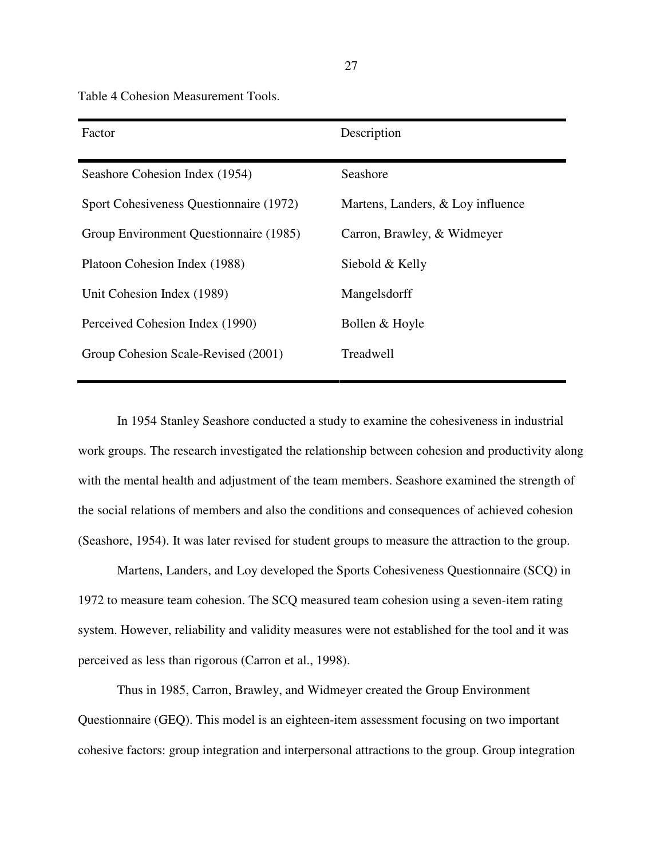Table 4 Cohesion Measurement Tools.

| Factor                                  | Description                       |
|-----------------------------------------|-----------------------------------|
| Seashore Cohesion Index (1954)          | Seashore                          |
| Sport Cohesiveness Questionnaire (1972) | Martens, Landers, & Loy influence |
| Group Environment Questionnaire (1985)  | Carron, Brawley, & Widmeyer       |
| Platoon Cohesion Index (1988)           | Siebold & Kelly                   |
| Unit Cohesion Index (1989)              | Mangelsdorff                      |
| Perceived Cohesion Index (1990)         | Bollen & Hoyle                    |
| Group Cohesion Scale-Revised (2001)     | Treadwell                         |

In 1954 Stanley Seashore conducted a study to examine the cohesiveness in industrial work groups. The research investigated the relationship between cohesion and productivity along with the mental health and adjustment of the team members. Seashore examined the strength of the social relations of members and also the conditions and consequences of achieved cohesion (Seashore, 1954). It was later revised for student groups to measure the attraction to the group.

Martens, Landers, and Loy developed the Sports Cohesiveness Questionnaire (SCQ) in 1972 to measure team cohesion. The SCQ measured team cohesion using a seven-item rating system. However, reliability and validity measures were not established for the tool and it was perceived as less than rigorous (Carron et al., 1998).

Thus in 1985, Carron, Brawley, and Widmeyer created the Group Environment Questionnaire (GEQ). This model is an eighteen-item assessment focusing on two important cohesive factors: group integration and interpersonal attractions to the group. Group integration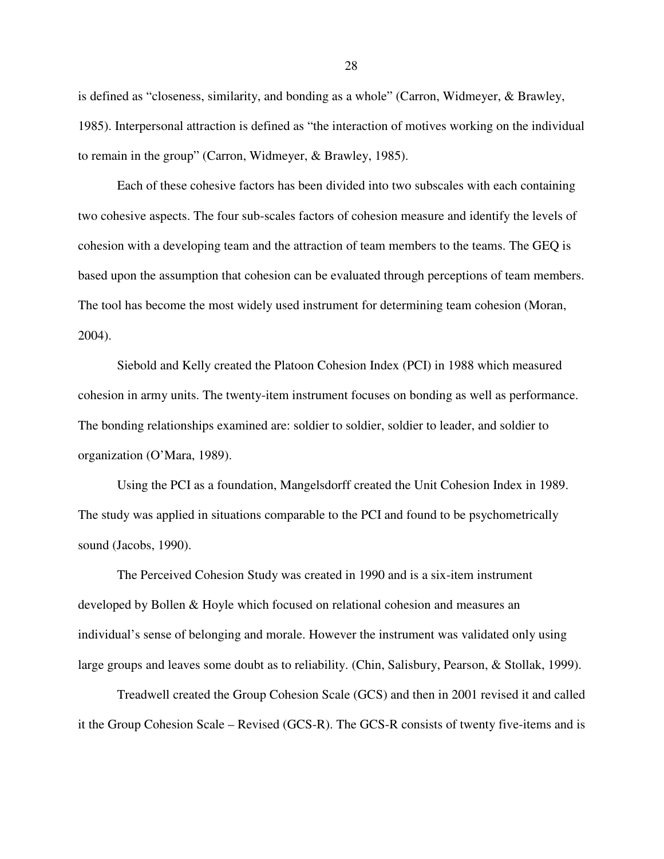is defined as "closeness, similarity, and bonding as a whole" (Carron, Widmeyer, & Brawley, 1985). Interpersonal attraction is defined as "the interaction of motives working on the individual to remain in the group" (Carron, Widmeyer, & Brawley, 1985).

Each of these cohesive factors has been divided into two subscales with each containing two cohesive aspects. The four sub-scales factors of cohesion measure and identify the levels of cohesion with a developing team and the attraction of team members to the teams. The GEQ is based upon the assumption that cohesion can be evaluated through perceptions of team members. The tool has become the most widely used instrument for determining team cohesion (Moran, 2004).

Siebold and Kelly created the Platoon Cohesion Index (PCI) in 1988 which measured cohesion in army units. The twenty-item instrument focuses on bonding as well as performance. The bonding relationships examined are: soldier to soldier, soldier to leader, and soldier to organization (O'Mara, 1989).

Using the PCI as a foundation, Mangelsdorff created the Unit Cohesion Index in 1989. The study was applied in situations comparable to the PCI and found to be psychometrically sound (Jacobs, 1990).

The Perceived Cohesion Study was created in 1990 and is a six-item instrument developed by Bollen & Hoyle which focused on relational cohesion and measures an individual's sense of belonging and morale. However the instrument was validated only using large groups and leaves some doubt as to reliability. (Chin, Salisbury, Pearson, & Stollak, 1999).

Treadwell created the Group Cohesion Scale (GCS) and then in 2001 revised it and called it the Group Cohesion Scale – Revised (GCS-R). The GCS-R consists of twenty five-items and is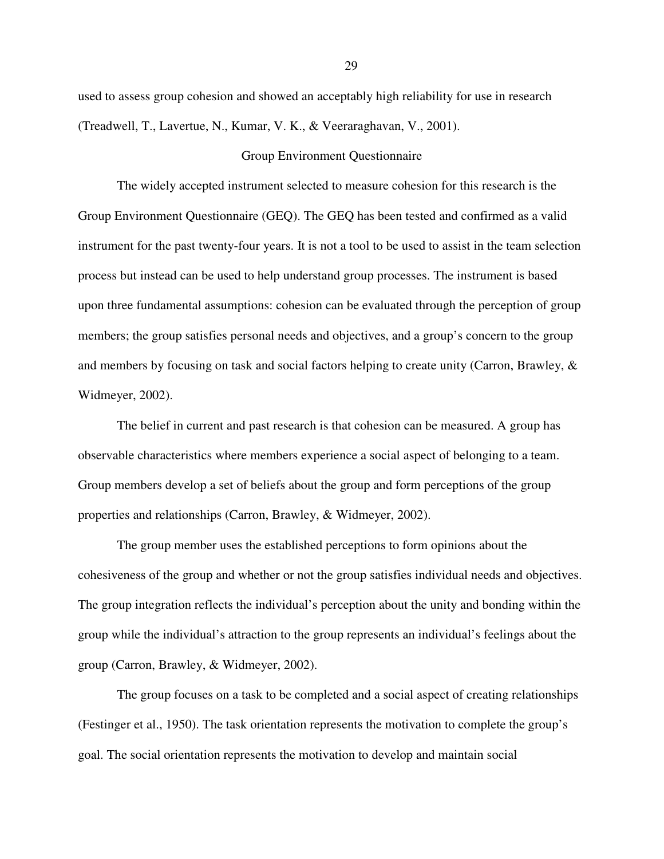used to assess group cohesion and showed an acceptably high reliability for use in research (Treadwell, T., Lavertue, N., Kumar, V. K., & Veeraraghavan, V., 2001).

### Group Environment Questionnaire

The widely accepted instrument selected to measure cohesion for this research is the Group Environment Questionnaire (GEQ). The GEQ has been tested and confirmed as a valid instrument for the past twenty-four years. It is not a tool to be used to assist in the team selection process but instead can be used to help understand group processes. The instrument is based upon three fundamental assumptions: cohesion can be evaluated through the perception of group members; the group satisfies personal needs and objectives, and a group's concern to the group and members by focusing on task and social factors helping to create unity (Carron, Brawley, & Widmeyer, 2002).

 The belief in current and past research is that cohesion can be measured. A group has observable characteristics where members experience a social aspect of belonging to a team. Group members develop a set of beliefs about the group and form perceptions of the group properties and relationships (Carron, Brawley, & Widmeyer, 2002).

 The group member uses the established perceptions to form opinions about the cohesiveness of the group and whether or not the group satisfies individual needs and objectives. The group integration reflects the individual's perception about the unity and bonding within the group while the individual's attraction to the group represents an individual's feelings about the group (Carron, Brawley, & Widmeyer, 2002).

 The group focuses on a task to be completed and a social aspect of creating relationships (Festinger et al., 1950). The task orientation represents the motivation to complete the group's goal. The social orientation represents the motivation to develop and maintain social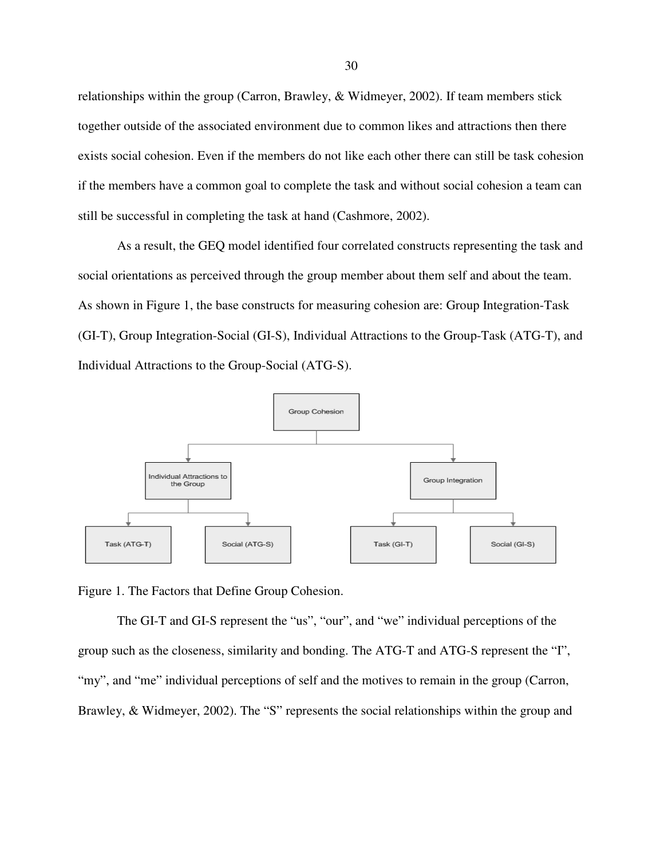relationships within the group (Carron, Brawley, & Widmeyer, 2002). If team members stick together outside of the associated environment due to common likes and attractions then there exists social cohesion. Even if the members do not like each other there can still be task cohesion if the members have a common goal to complete the task and without social cohesion a team can still be successful in completing the task at hand (Cashmore, 2002).

As a result, the GEQ model identified four correlated constructs representing the task and social orientations as perceived through the group member about them self and about the team. As shown in Figure 1, the base constructs for measuring cohesion are: Group Integration-Task (GI-T), Group Integration-Social (GI-S), Individual Attractions to the Group-Task (ATG-T), and Individual Attractions to the Group-Social (ATG-S).



Figure 1. The Factors that Define Group Cohesion.

The GI-T and GI-S represent the "us", "our", and "we" individual perceptions of the group such as the closeness, similarity and bonding. The ATG-T and ATG-S represent the "I", "my", and "me" individual perceptions of self and the motives to remain in the group (Carron, Brawley, & Widmeyer, 2002). The "S" represents the social relationships within the group and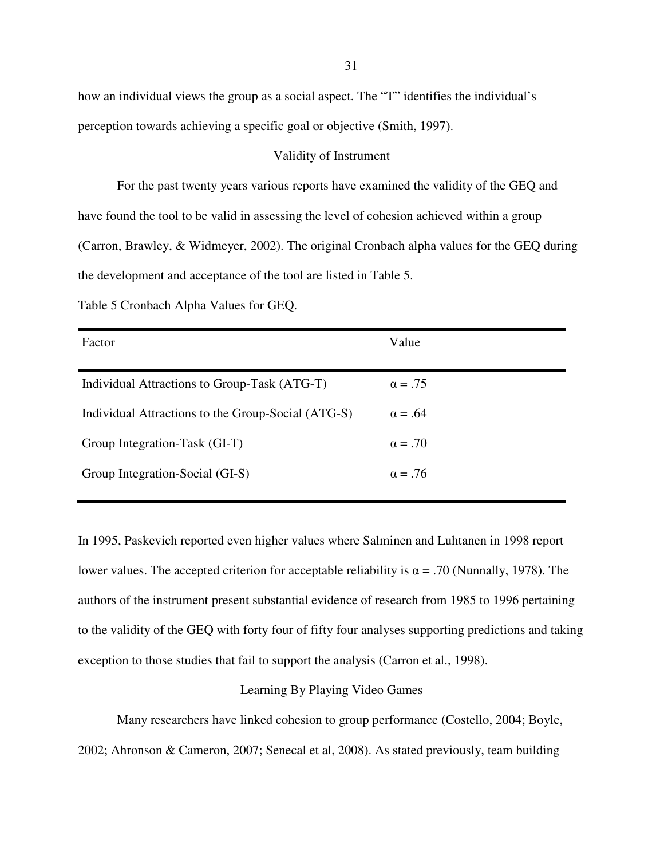how an individual views the group as a social aspect. The "T" identifies the individual's perception towards achieving a specific goal or objective (Smith, 1997).

# Validity of Instrument

 For the past twenty years various reports have examined the validity of the GEQ and have found the tool to be valid in assessing the level of cohesion achieved within a group (Carron, Brawley, & Widmeyer, 2002). The original Cronbach alpha values for the GEQ during the development and acceptance of the tool are listed in Table 5.

| Table 5 Cronbach Alpha Values for GEQ. |  |
|----------------------------------------|--|
|                                        |  |

| Factor                                             | Value          |
|----------------------------------------------------|----------------|
| Individual Attractions to Group-Task (ATG-T)       | $\alpha = .75$ |
| Individual Attractions to the Group-Social (ATG-S) | $\alpha = .64$ |
| Group Integration-Task (GI-T)                      | $\alpha = .70$ |
| Group Integration-Social (GI-S)                    | $\alpha = .76$ |

In 1995, Paskevich reported even higher values where Salminen and Luhtanen in 1998 report lower values. The accepted criterion for acceptable reliability is  $\alpha = .70$  (Nunnally, 1978). The authors of the instrument present substantial evidence of research from 1985 to 1996 pertaining to the validity of the GEQ with forty four of fifty four analyses supporting predictions and taking exception to those studies that fail to support the analysis (Carron et al., 1998).

# Learning By Playing Video Games

Many researchers have linked cohesion to group performance (Costello, 2004; Boyle, 2002; Ahronson & Cameron, 2007; Senecal et al, 2008). As stated previously, team building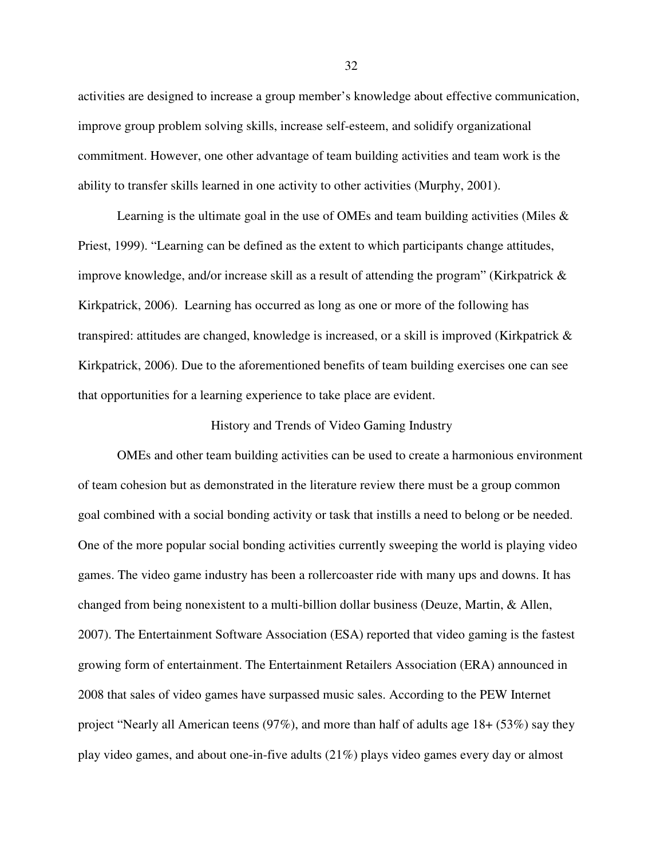activities are designed to increase a group member's knowledge about effective communication, improve group problem solving skills, increase self-esteem, and solidify organizational commitment. However, one other advantage of team building activities and team work is the ability to transfer skills learned in one activity to other activities (Murphy, 2001).

Learning is the ultimate goal in the use of OMEs and team building activities (Miles  $\&$ Priest, 1999). "Learning can be defined as the extent to which participants change attitudes, improve knowledge, and/or increase skill as a result of attending the program" (Kirkpatrick & Kirkpatrick, 2006). Learning has occurred as long as one or more of the following has transpired: attitudes are changed, knowledge is increased, or a skill is improved (Kirkpatrick & Kirkpatrick, 2006). Due to the aforementioned benefits of team building exercises one can see that opportunities for a learning experience to take place are evident.

## History and Trends of Video Gaming Industry

OMEs and other team building activities can be used to create a harmonious environment of team cohesion but as demonstrated in the literature review there must be a group common goal combined with a social bonding activity or task that instills a need to belong or be needed. One of the more popular social bonding activities currently sweeping the world is playing video games. The video game industry has been a rollercoaster ride with many ups and downs. It has changed from being nonexistent to a multi-billion dollar business (Deuze, Martin, & Allen, 2007). The Entertainment Software Association (ESA) reported that video gaming is the fastest growing form of entertainment. The Entertainment Retailers Association (ERA) announced in 2008 that sales of video games have surpassed music sales. According to the PEW Internet project "Nearly all American teens (97%), and more than half of adults age 18+ (53%) say they play video games, and about one-in-five adults (21%) plays video games every day or almost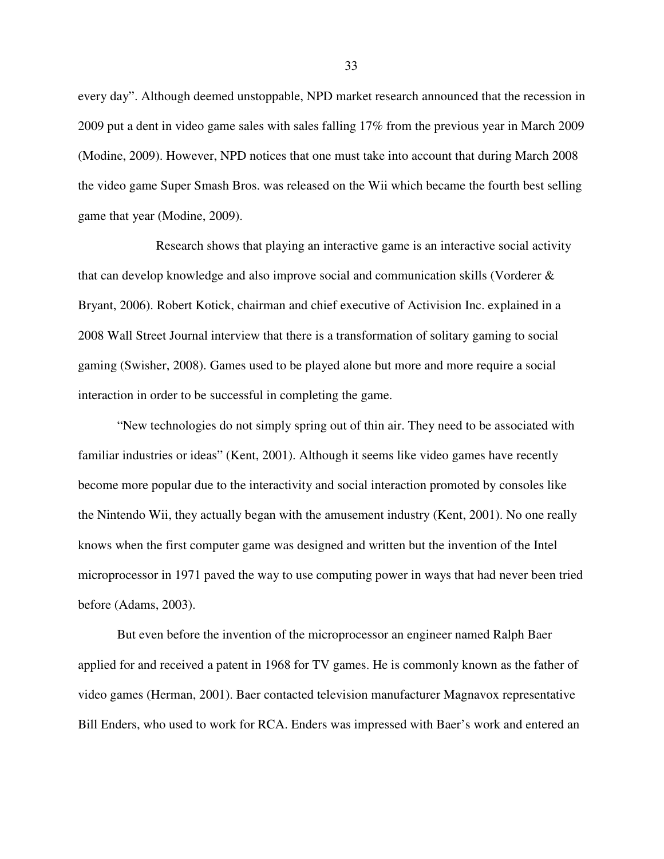every day". Although deemed unstoppable, NPD market research announced that the recession in 2009 put a dent in video game sales with sales falling 17% from the previous year in March 2009 (Modine, 2009). However, NPD notices that one must take into account that during March 2008 the video game Super Smash Bros. was released on the Wii which became the fourth best selling game that year (Modine, 2009).

 Research shows that playing an interactive game is an interactive social activity that can develop knowledge and also improve social and communication skills (Vorderer & Bryant, 2006). Robert Kotick, chairman and chief executive of Activision Inc. explained in a 2008 Wall Street Journal interview that there is a transformation of solitary gaming to social gaming (Swisher, 2008). Games used to be played alone but more and more require a social interaction in order to be successful in completing the game.

"New technologies do not simply spring out of thin air. They need to be associated with familiar industries or ideas" (Kent, 2001). Although it seems like video games have recently become more popular due to the interactivity and social interaction promoted by consoles like the Nintendo Wii, they actually began with the amusement industry (Kent, 2001). No one really knows when the first computer game was designed and written but the invention of the Intel microprocessor in 1971 paved the way to use computing power in ways that had never been tried before (Adams, 2003).

But even before the invention of the microprocessor an engineer named Ralph Baer applied for and received a patent in 1968 for TV games. He is commonly known as the father of video games (Herman, 2001). Baer contacted television manufacturer Magnavox representative Bill Enders, who used to work for RCA. Enders was impressed with Baer's work and entered an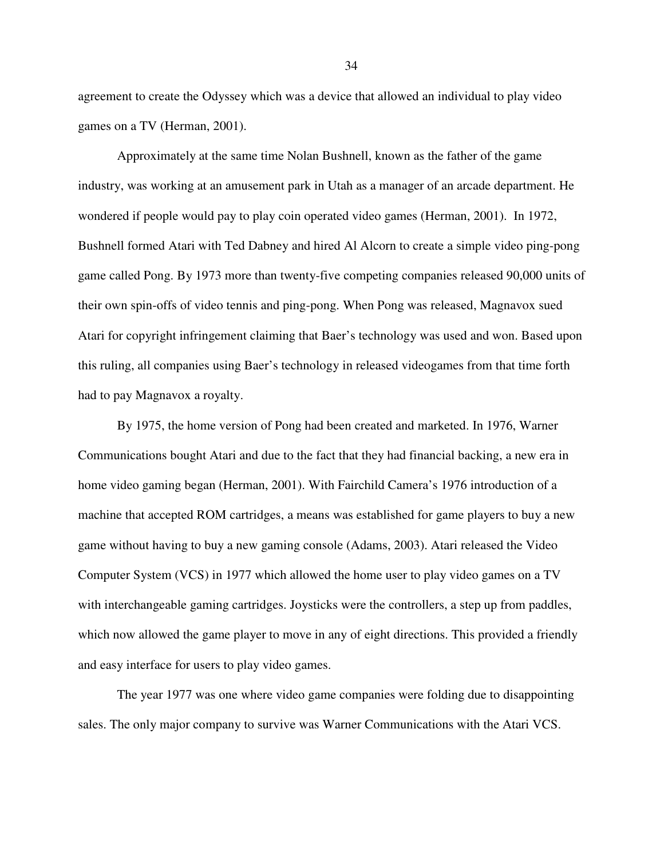agreement to create the Odyssey which was a device that allowed an individual to play video games on a TV (Herman, 2001).

Approximately at the same time Nolan Bushnell, known as the father of the game industry, was working at an amusement park in Utah as a manager of an arcade department. He wondered if people would pay to play coin operated video games (Herman, 2001). In 1972, Bushnell formed Atari with Ted Dabney and hired Al Alcorn to create a simple video ping-pong game called Pong. By 1973 more than twenty-five competing companies released 90,000 units of their own spin-offs of video tennis and ping-pong. When Pong was released, Magnavox sued Atari for copyright infringement claiming that Baer's technology was used and won. Based upon this ruling, all companies using Baer's technology in released videogames from that time forth had to pay Magnavox a royalty.

By 1975, the home version of Pong had been created and marketed. In 1976, Warner Communications bought Atari and due to the fact that they had financial backing, a new era in home video gaming began (Herman, 2001). With Fairchild Camera's 1976 introduction of a machine that accepted ROM cartridges, a means was established for game players to buy a new game without having to buy a new gaming console (Adams, 2003). Atari released the Video Computer System (VCS) in 1977 which allowed the home user to play video games on a TV with interchangeable gaming cartridges. Joysticks were the controllers, a step up from paddles, which now allowed the game player to move in any of eight directions. This provided a friendly and easy interface for users to play video games.

The year 1977 was one where video game companies were folding due to disappointing sales. The only major company to survive was Warner Communications with the Atari VCS.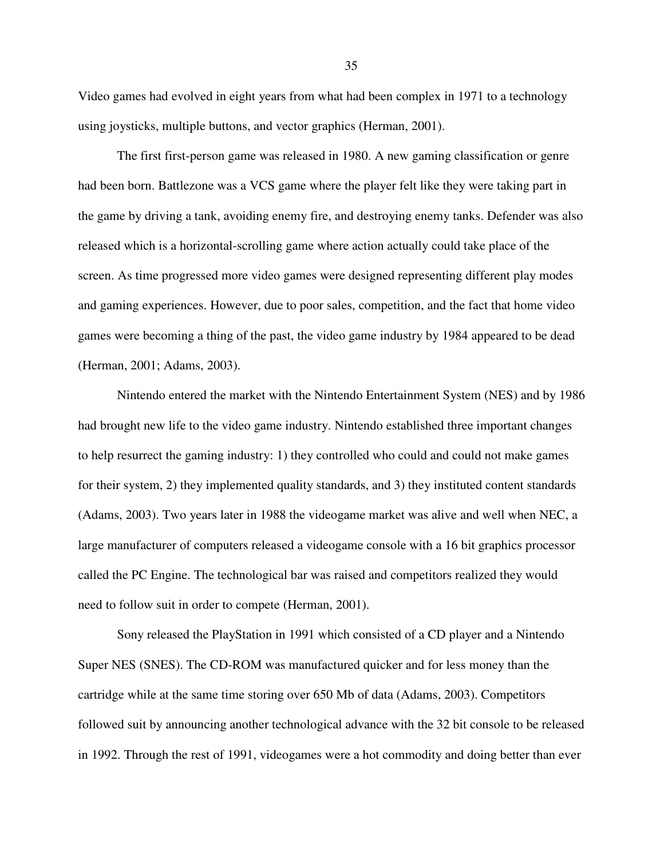Video games had evolved in eight years from what had been complex in 1971 to a technology using joysticks, multiple buttons, and vector graphics (Herman, 2001).

The first first-person game was released in 1980. A new gaming classification or genre had been born. Battlezone was a VCS game where the player felt like they were taking part in the game by driving a tank, avoiding enemy fire, and destroying enemy tanks. Defender was also released which is a horizontal-scrolling game where action actually could take place of the screen. As time progressed more video games were designed representing different play modes and gaming experiences. However, due to poor sales, competition, and the fact that home video games were becoming a thing of the past, the video game industry by 1984 appeared to be dead (Herman, 2001; Adams, 2003).

Nintendo entered the market with the Nintendo Entertainment System (NES) and by 1986 had brought new life to the video game industry. Nintendo established three important changes to help resurrect the gaming industry: 1) they controlled who could and could not make games for their system, 2) they implemented quality standards, and 3) they instituted content standards (Adams, 2003). Two years later in 1988 the videogame market was alive and well when NEC, a large manufacturer of computers released a videogame console with a 16 bit graphics processor called the PC Engine. The technological bar was raised and competitors realized they would need to follow suit in order to compete (Herman, 2001).

Sony released the PlayStation in 1991 which consisted of a CD player and a Nintendo Super NES (SNES). The CD-ROM was manufactured quicker and for less money than the cartridge while at the same time storing over 650 Mb of data (Adams, 2003). Competitors followed suit by announcing another technological advance with the 32 bit console to be released in 1992. Through the rest of 1991, videogames were a hot commodity and doing better than ever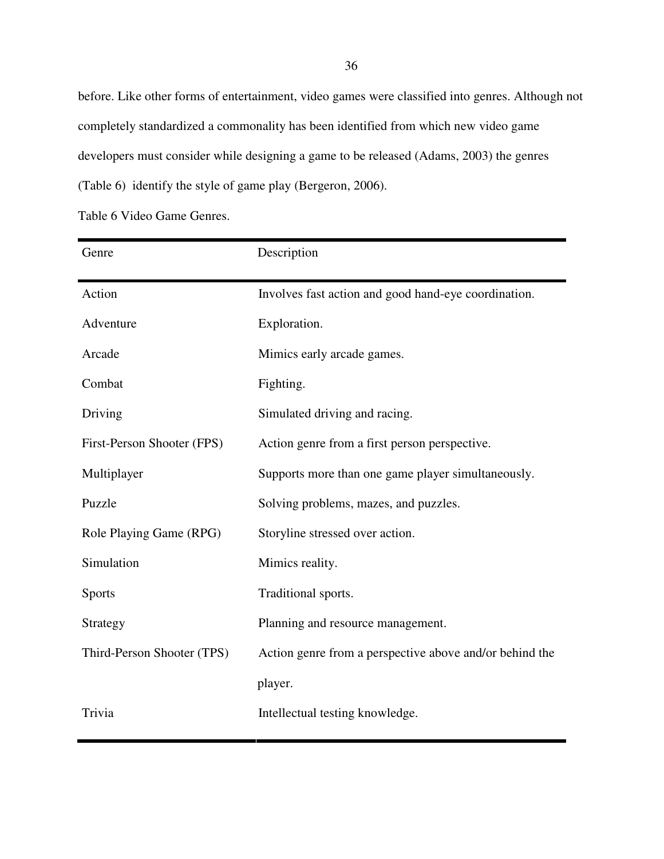before. Like other forms of entertainment, video games were classified into genres. Although not completely standardized a commonality has been identified from which new video game developers must consider while designing a game to be released (Adams, 2003) the genres (Table 6) identify the style of game play (Bergeron, 2006).

Table 6 Video Game Genres.

| Genre                      | Description                                             |
|----------------------------|---------------------------------------------------------|
| Action                     | Involves fast action and good hand-eye coordination.    |
| Adventure                  | Exploration.                                            |
| Arcade                     | Mimics early arcade games.                              |
| Combat                     | Fighting.                                               |
| Driving                    | Simulated driving and racing.                           |
| First-Person Shooter (FPS) | Action genre from a first person perspective.           |
| Multiplayer                | Supports more than one game player simultaneously.      |
| Puzzle                     | Solving problems, mazes, and puzzles.                   |
| Role Playing Game (RPG)    | Storyline stressed over action.                         |
| Simulation                 | Mimics reality.                                         |
| Sports                     | Traditional sports.                                     |
| Strategy                   | Planning and resource management.                       |
| Third-Person Shooter (TPS) | Action genre from a perspective above and/or behind the |
|                            | player.                                                 |
| Trivia                     | Intellectual testing knowledge.                         |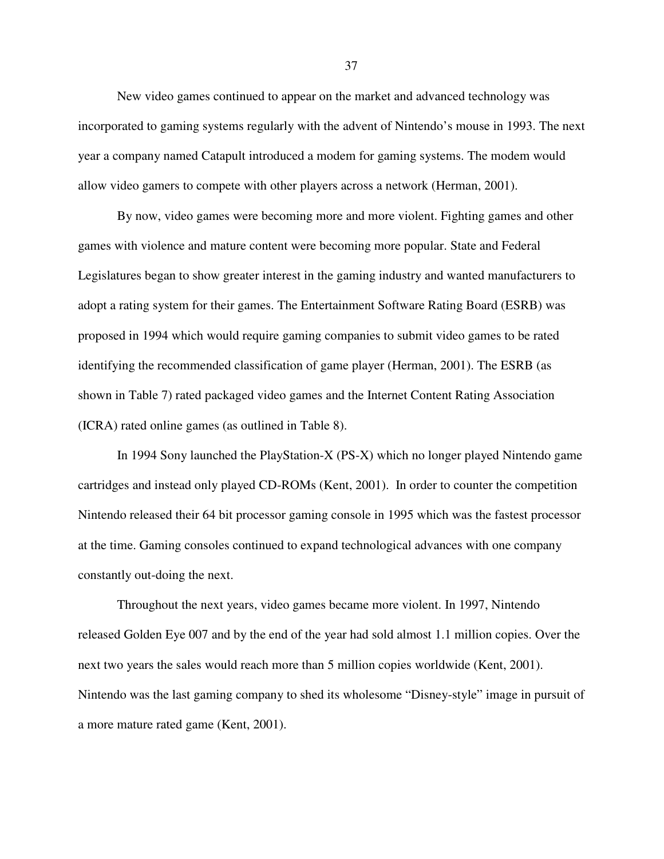New video games continued to appear on the market and advanced technology was incorporated to gaming systems regularly with the advent of Nintendo's mouse in 1993. The next year a company named Catapult introduced a modem for gaming systems. The modem would allow video gamers to compete with other players across a network (Herman, 2001).

By now, video games were becoming more and more violent. Fighting games and other games with violence and mature content were becoming more popular. State and Federal Legislatures began to show greater interest in the gaming industry and wanted manufacturers to adopt a rating system for their games. The Entertainment Software Rating Board (ESRB) was proposed in 1994 which would require gaming companies to submit video games to be rated identifying the recommended classification of game player (Herman, 2001). The ESRB (as shown in Table 7) rated packaged video games and the Internet Content Rating Association (ICRA) rated online games (as outlined in Table 8).

In 1994 Sony launched the PlayStation-X (PS-X) which no longer played Nintendo game cartridges and instead only played CD-ROMs (Kent, 2001). In order to counter the competition Nintendo released their 64 bit processor gaming console in 1995 which was the fastest processor at the time. Gaming consoles continued to expand technological advances with one company constantly out-doing the next.

Throughout the next years, video games became more violent. In 1997, Nintendo released Golden Eye 007 and by the end of the year had sold almost 1.1 million copies. Over the next two years the sales would reach more than 5 million copies worldwide (Kent, 2001). Nintendo was the last gaming company to shed its wholesome "Disney-style" image in pursuit of a more mature rated game (Kent, 2001).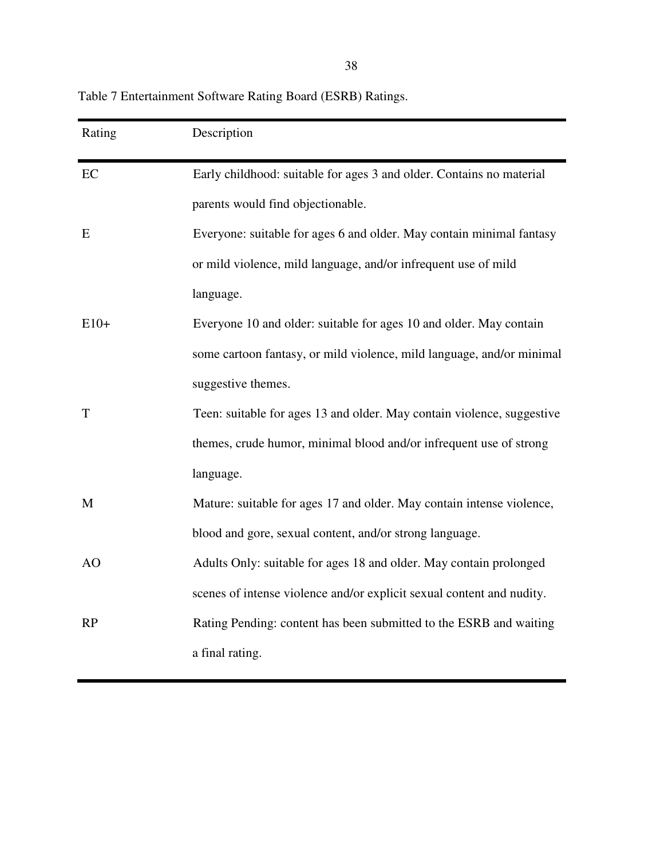| Table 7 Entertainment Software Rating Board (ESRB) Ratings. |  |  |
|-------------------------------------------------------------|--|--|
|-------------------------------------------------------------|--|--|

| Rating | Description                                                            |
|--------|------------------------------------------------------------------------|
| EC     | Early childhood: suitable for ages 3 and older. Contains no material   |
|        | parents would find objectionable.                                      |
| E      | Everyone: suitable for ages 6 and older. May contain minimal fantasy   |
|        | or mild violence, mild language, and/or infrequent use of mild         |
|        | language.                                                              |
| $E10+$ | Everyone 10 and older: suitable for ages 10 and older. May contain     |
|        | some cartoon fantasy, or mild violence, mild language, and/or minimal  |
|        | suggestive themes.                                                     |
| T      | Teen: suitable for ages 13 and older. May contain violence, suggestive |
|        | themes, crude humor, minimal blood and/or infrequent use of strong     |
|        | language.                                                              |
| M      | Mature: suitable for ages 17 and older. May contain intense violence,  |
|        | blood and gore, sexual content, and/or strong language.                |
| AO     | Adults Only: suitable for ages 18 and older. May contain prolonged     |
|        | scenes of intense violence and/or explicit sexual content and nudity.  |
| RP     | Rating Pending: content has been submitted to the ESRB and waiting     |
|        | a final rating.                                                        |
|        |                                                                        |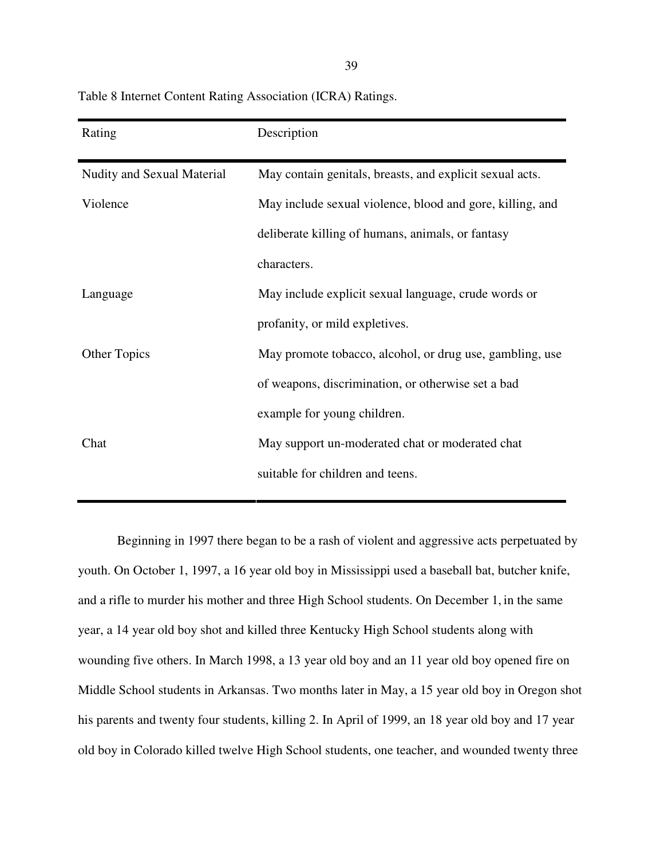| Rating                     | Description                                               |
|----------------------------|-----------------------------------------------------------|
| Nudity and Sexual Material | May contain genitals, breasts, and explicit sexual acts.  |
| Violence                   | May include sexual violence, blood and gore, killing, and |
|                            | deliberate killing of humans, animals, or fantasy         |
|                            | characters.                                               |
| Language                   | May include explicit sexual language, crude words or      |
|                            | profanity, or mild expletives.                            |
| <b>Other Topics</b>        | May promote tobacco, alcohol, or drug use, gambling, use  |
|                            | of weapons, discrimination, or otherwise set a bad        |
|                            | example for young children.                               |
| Chat                       | May support un-moderated chat or moderated chat           |
|                            | suitable for children and teens.                          |

Table 8 Internet Content Rating Association (ICRA) Ratings.

Beginning in 1997 there began to be a rash of violent and aggressive acts perpetuated by youth. On October 1, 1997, a 16 year old boy in Mississippi used a baseball bat, butcher knife, and a rifle to murder his mother and three High School students. On December 1, in the same year, a 14 year old boy shot and killed three Kentucky High School students along with wounding five others. In March 1998, a 13 year old boy and an 11 year old boy opened fire on Middle School students in Arkansas. Two months later in May, a 15 year old boy in Oregon shot his parents and twenty four students, killing 2. In April of 1999, an 18 year old boy and 17 year old boy in Colorado killed twelve High School students, one teacher, and wounded twenty three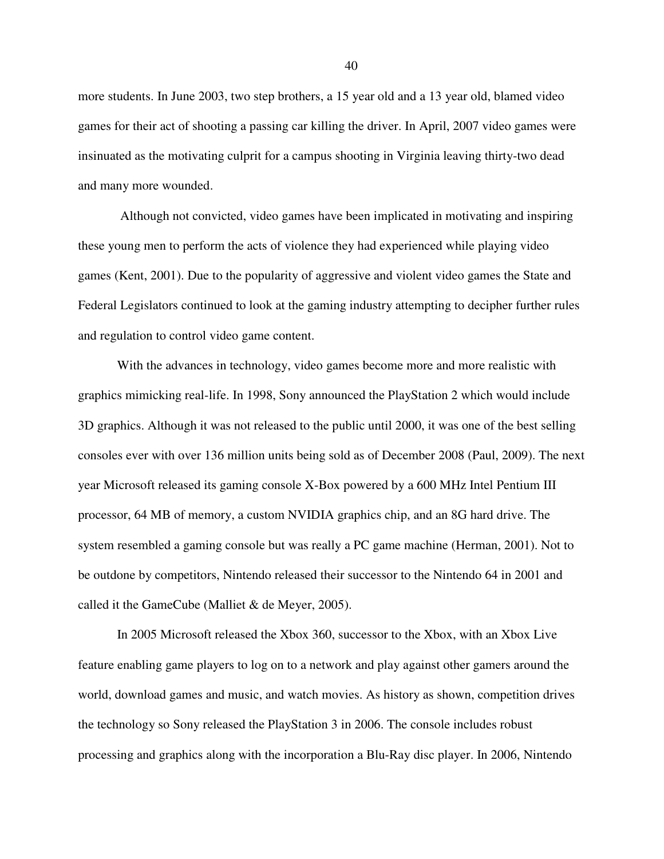more students. In June 2003, two step brothers, a 15 year old and a 13 year old, blamed video games for their act of shooting a passing car killing the driver. In April, 2007 video games were insinuated as the motivating culprit for a campus shooting in Virginia leaving thirty-two dead and many more wounded.

 Although not convicted, video games have been implicated in motivating and inspiring these young men to perform the acts of violence they had experienced while playing video games (Kent, 2001). Due to the popularity of aggressive and violent video games the State and Federal Legislators continued to look at the gaming industry attempting to decipher further rules and regulation to control video game content.

With the advances in technology, video games become more and more realistic with graphics mimicking real-life. In 1998, Sony announced the PlayStation 2 which would include 3D graphics. Although it was not released to the public until 2000, it was one of the best selling consoles ever with over 136 million units being sold as of December 2008 (Paul, 2009). The next year Microsoft released its gaming console X-Box powered by a 600 MHz Intel Pentium III processor, 64 MB of memory, a custom NVIDIA graphics chip, and an 8G hard drive. The system resembled a gaming console but was really a PC game machine (Herman, 2001). Not to be outdone by competitors, Nintendo released their successor to the Nintendo 64 in 2001 and called it the GameCube (Malliet & de Meyer, 2005).

In 2005 Microsoft released the Xbox 360, successor to the Xbox, with an Xbox Live feature enabling game players to log on to a network and play against other gamers around the world, download games and music, and watch movies. As history as shown, competition drives the technology so Sony released the PlayStation 3 in 2006. The console includes robust processing and graphics along with the incorporation a Blu-Ray disc player. In 2006, Nintendo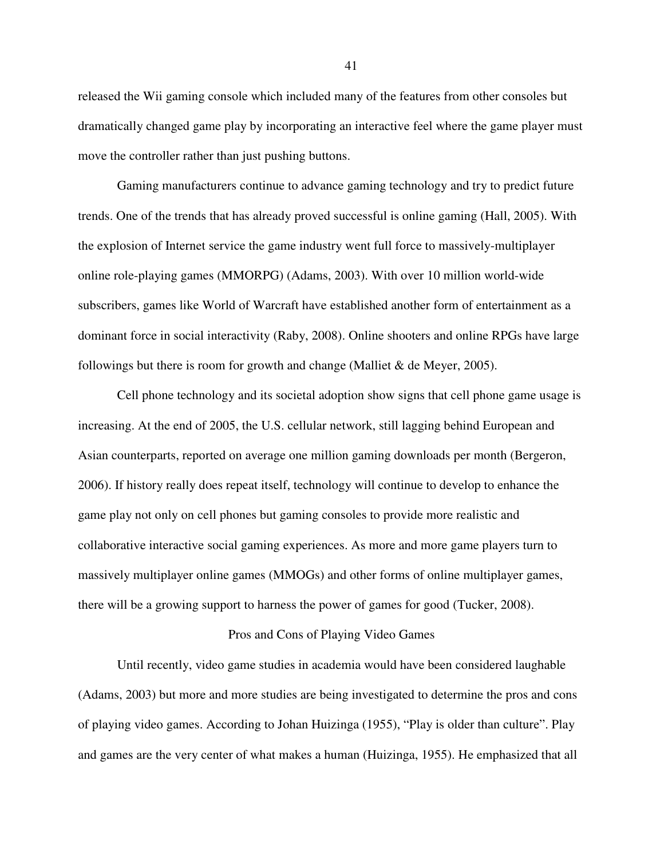released the Wii gaming console which included many of the features from other consoles but dramatically changed game play by incorporating an interactive feel where the game player must move the controller rather than just pushing buttons.

Gaming manufacturers continue to advance gaming technology and try to predict future trends. One of the trends that has already proved successful is online gaming (Hall, 2005). With the explosion of Internet service the game industry went full force to massively-multiplayer online role-playing games (MMORPG) (Adams, 2003). With over 10 million world-wide subscribers, games like World of Warcraft have established another form of entertainment as a dominant force in social interactivity (Raby, 2008). Online shooters and online RPGs have large followings but there is room for growth and change (Malliet  $&$  de Meyer, 2005).

Cell phone technology and its societal adoption show signs that cell phone game usage is increasing. At the end of 2005, the U.S. cellular network, still lagging behind European and Asian counterparts, reported on average one million gaming downloads per month (Bergeron, 2006). If history really does repeat itself, technology will continue to develop to enhance the game play not only on cell phones but gaming consoles to provide more realistic and collaborative interactive social gaming experiences. As more and more game players turn to massively multiplayer online games (MMOGs) and other forms of online multiplayer games, there will be a growing support to harness the power of games for good (Tucker, 2008).

# Pros and Cons of Playing Video Games

Until recently, video game studies in academia would have been considered laughable (Adams, 2003) but more and more studies are being investigated to determine the pros and cons of playing video games. According to Johan Huizinga (1955), "Play is older than culture". Play and games are the very center of what makes a human (Huizinga, 1955). He emphasized that all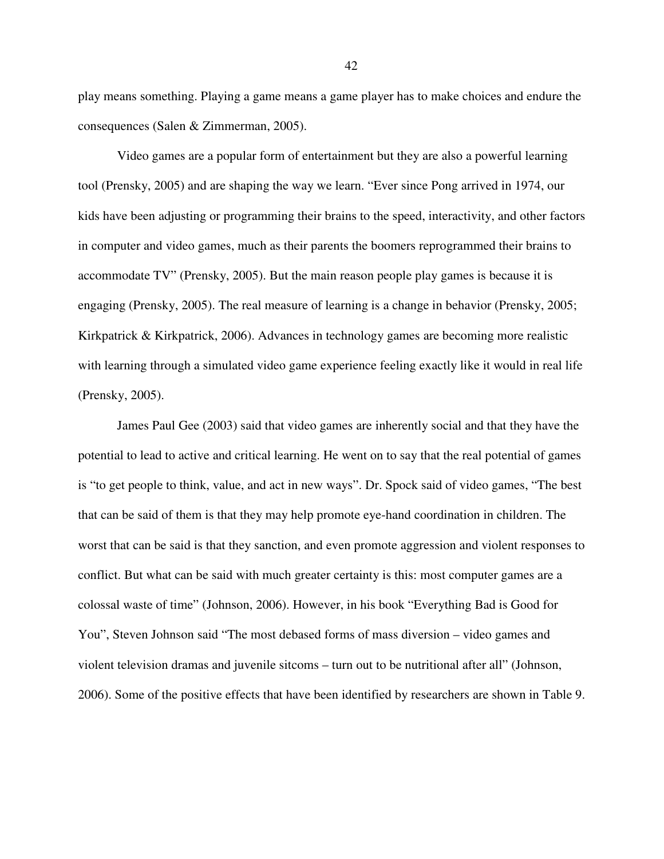play means something. Playing a game means a game player has to make choices and endure the consequences (Salen & Zimmerman, 2005).

Video games are a popular form of entertainment but they are also a powerful learning tool (Prensky, 2005) and are shaping the way we learn. "Ever since Pong arrived in 1974, our kids have been adjusting or programming their brains to the speed, interactivity, and other factors in computer and video games, much as their parents the boomers reprogrammed their brains to accommodate TV" (Prensky, 2005). But the main reason people play games is because it is engaging (Prensky, 2005). The real measure of learning is a change in behavior (Prensky, 2005; Kirkpatrick & Kirkpatrick, 2006). Advances in technology games are becoming more realistic with learning through a simulated video game experience feeling exactly like it would in real life (Prensky, 2005).

James Paul Gee (2003) said that video games are inherently social and that they have the potential to lead to active and critical learning. He went on to say that the real potential of games is "to get people to think, value, and act in new ways". Dr. Spock said of video games, "The best that can be said of them is that they may help promote eye-hand coordination in children. The worst that can be said is that they sanction, and even promote aggression and violent responses to conflict. But what can be said with much greater certainty is this: most computer games are a colossal waste of time" (Johnson, 2006). However, in his book "Everything Bad is Good for You", Steven Johnson said "The most debased forms of mass diversion – video games and violent television dramas and juvenile sitcoms – turn out to be nutritional after all" (Johnson, 2006). Some of the positive effects that have been identified by researchers are shown in Table 9.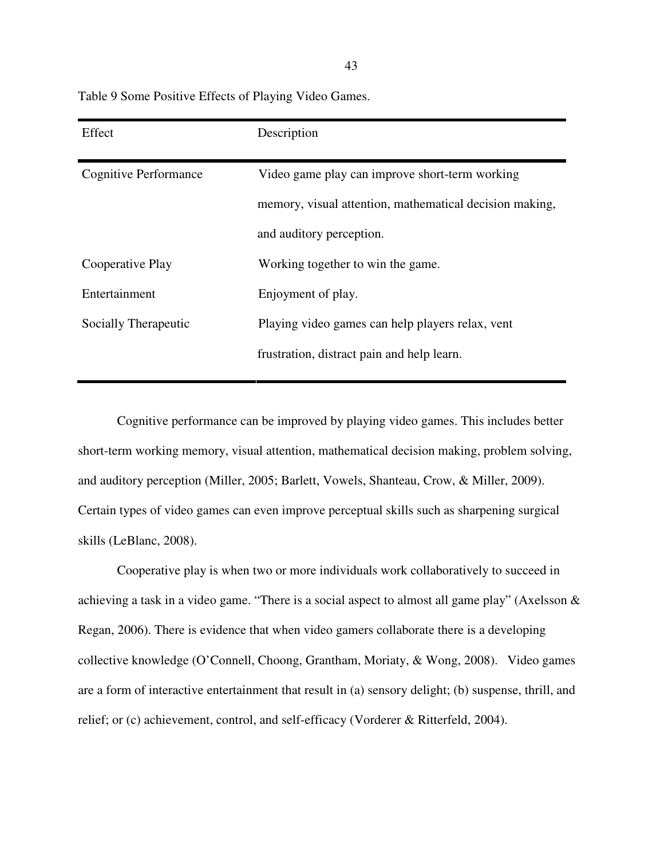Table 9 Some Positive Effects of Playing Video Games.

| Effect                       | Description                                             |
|------------------------------|---------------------------------------------------------|
| <b>Cognitive Performance</b> | Video game play can improve short-term working          |
|                              | memory, visual attention, mathematical decision making, |
|                              | and auditory perception.                                |
| Cooperative Play             | Working together to win the game.                       |
| Entertainment                | Enjoyment of play.                                      |
| Socially Therapeutic         | Playing video games can help players relax, vent        |
|                              | frustration, distract pain and help learn.              |

 Cognitive performance can be improved by playing video games. This includes better short-term working memory, visual attention, mathematical decision making, problem solving, and auditory perception (Miller, 2005; Barlett, Vowels, Shanteau, Crow, & Miller, 2009). Certain types of video games can even improve perceptual skills such as sharpening surgical skills (LeBlanc, 2008).

Cooperative play is when two or more individuals work collaboratively to succeed in achieving a task in a video game. "There is a social aspect to almost all game play" (Axelsson & Regan, 2006). There is evidence that when video gamers collaborate there is a developing collective knowledge (O'Connell, Choong, Grantham, Moriaty, & Wong, 2008). Video games are a form of interactive entertainment that result in (a) sensory delight; (b) suspense, thrill, and relief; or (c) achievement, control, and self-efficacy (Vorderer & Ritterfeld, 2004).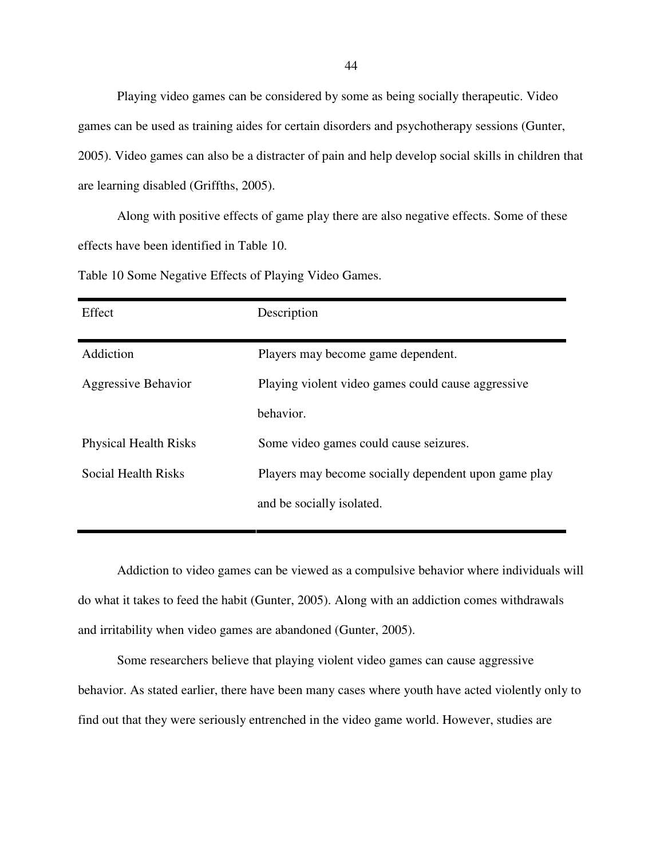Playing video games can be considered by some as being socially therapeutic. Video games can be used as training aides for certain disorders and psychotherapy sessions (Gunter, 2005). Video games can also be a distracter of pain and help develop social skills in children that are learning disabled (Griffths, 2005).

Along with positive effects of game play there are also negative effects. Some of these effects have been identified in Table 10.

Table 10 Some Negative Effects of Playing Video Games.

| Effect                       | Description                                          |
|------------------------------|------------------------------------------------------|
| Addiction                    | Players may become game dependent.                   |
| Aggressive Behavior          | Playing violent video games could cause aggressive   |
|                              | behavior.                                            |
| <b>Physical Health Risks</b> | Some video games could cause seizures.               |
| Social Health Risks          | Players may become socially dependent upon game play |
|                              | and be socially isolated.                            |
|                              |                                                      |

 Addiction to video games can be viewed as a compulsive behavior where individuals will do what it takes to feed the habit (Gunter, 2005). Along with an addiction comes withdrawals and irritability when video games are abandoned (Gunter, 2005).

Some researchers believe that playing violent video games can cause aggressive behavior. As stated earlier, there have been many cases where youth have acted violently only to find out that they were seriously entrenched in the video game world. However, studies are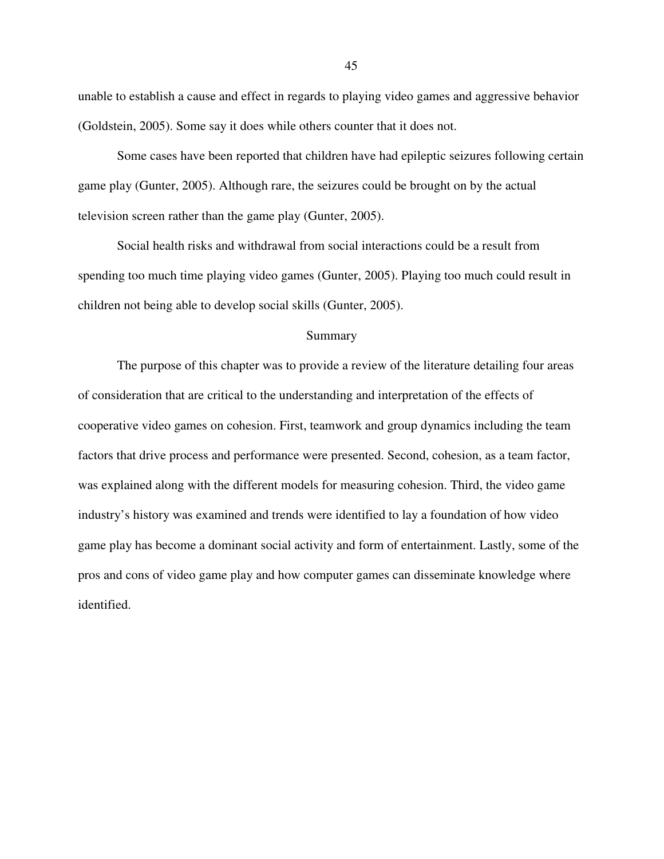unable to establish a cause and effect in regards to playing video games and aggressive behavior (Goldstein, 2005). Some say it does while others counter that it does not.

 Some cases have been reported that children have had epileptic seizures following certain game play (Gunter, 2005). Although rare, the seizures could be brought on by the actual television screen rather than the game play (Gunter, 2005).

 Social health risks and withdrawal from social interactions could be a result from spending too much time playing video games (Gunter, 2005). Playing too much could result in children not being able to develop social skills (Gunter, 2005).

## Summary

 The purpose of this chapter was to provide a review of the literature detailing four areas of consideration that are critical to the understanding and interpretation of the effects of cooperative video games on cohesion. First, teamwork and group dynamics including the team factors that drive process and performance were presented. Second, cohesion, as a team factor, was explained along with the different models for measuring cohesion. Third, the video game industry's history was examined and trends were identified to lay a foundation of how video game play has become a dominant social activity and form of entertainment. Lastly, some of the pros and cons of video game play and how computer games can disseminate knowledge where identified.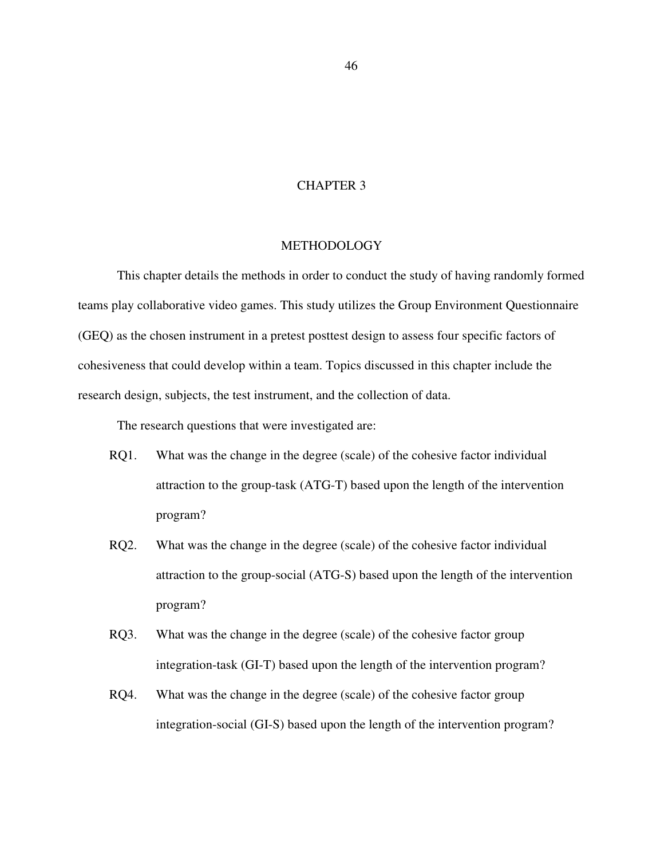# CHAPTER 3

## **METHODOLOGY**

This chapter details the methods in order to conduct the study of having randomly formed teams play collaborative video games. This study utilizes the Group Environment Questionnaire (GEQ) as the chosen instrument in a pretest posttest design to assess four specific factors of cohesiveness that could develop within a team. Topics discussed in this chapter include the research design, subjects, the test instrument, and the collection of data.

The research questions that were investigated are:

- RQ1. What was the change in the degree (scale) of the cohesive factor individual attraction to the group-task (ATG-T) based upon the length of the intervention program?
- RQ2. What was the change in the degree (scale) of the cohesive factor individual attraction to the group-social (ATG-S) based upon the length of the intervention program?
- RQ3. What was the change in the degree (scale) of the cohesive factor group integration-task (GI-T) based upon the length of the intervention program?
- RQ4. What was the change in the degree (scale) of the cohesive factor group integration-social (GI-S) based upon the length of the intervention program?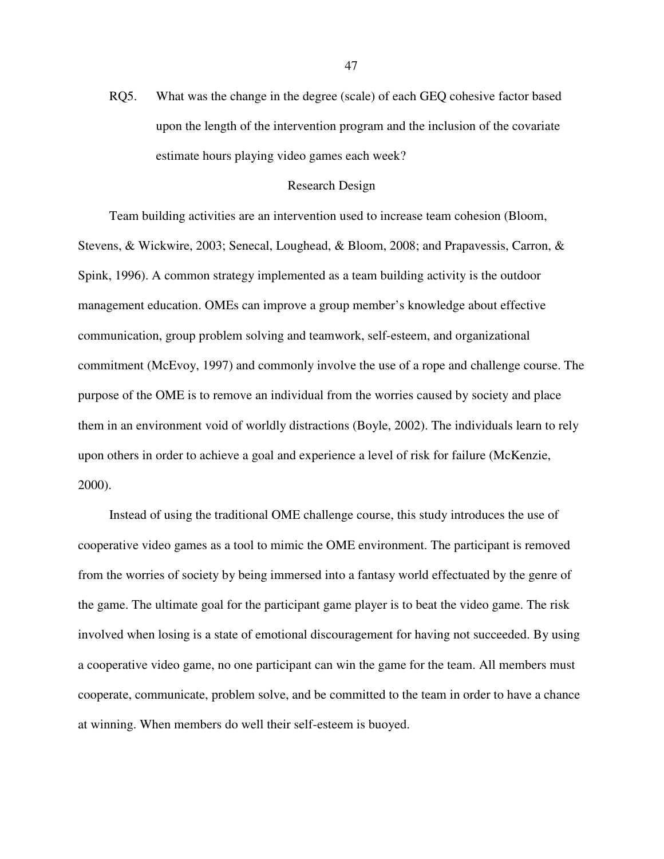RQ5. What was the change in the degree (scale) of each GEQ cohesive factor based upon the length of the intervention program and the inclusion of the covariate estimate hours playing video games each week?

### Research Design

 Team building activities are an intervention used to increase team cohesion (Bloom, Stevens, & Wickwire, 2003; Senecal, Loughead, & Bloom, 2008; and Prapavessis, Carron, & Spink, 1996). A common strategy implemented as a team building activity is the outdoor management education. OMEs can improve a group member's knowledge about effective communication, group problem solving and teamwork, self-esteem, and organizational commitment (McEvoy, 1997) and commonly involve the use of a rope and challenge course. The purpose of the OME is to remove an individual from the worries caused by society and place them in an environment void of worldly distractions (Boyle, 2002). The individuals learn to rely upon others in order to achieve a goal and experience a level of risk for failure (McKenzie, 2000).

 Instead of using the traditional OME challenge course, this study introduces the use of cooperative video games as a tool to mimic the OME environment. The participant is removed from the worries of society by being immersed into a fantasy world effectuated by the genre of the game. The ultimate goal for the participant game player is to beat the video game. The risk involved when losing is a state of emotional discouragement for having not succeeded. By using a cooperative video game, no one participant can win the game for the team. All members must cooperate, communicate, problem solve, and be committed to the team in order to have a chance at winning. When members do well their self-esteem is buoyed.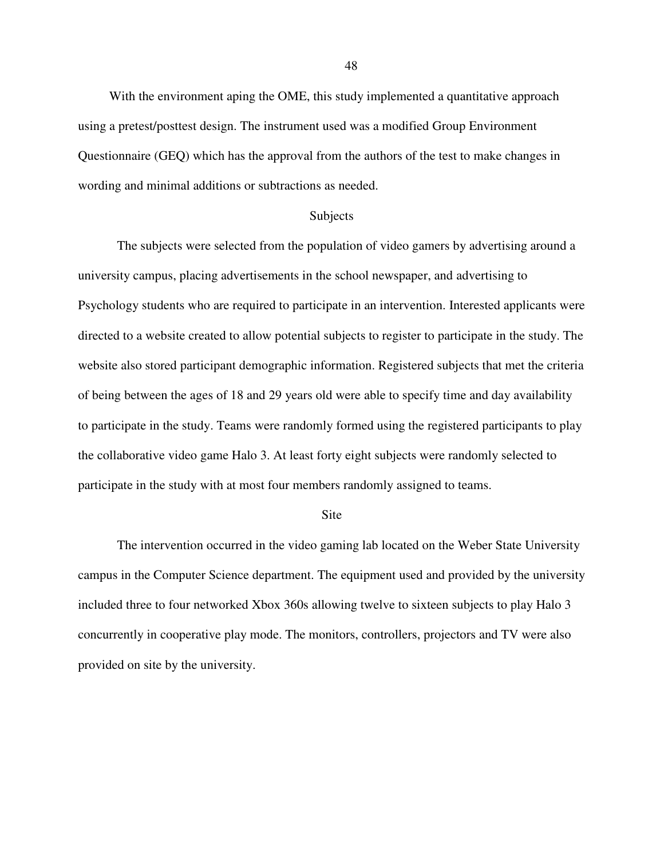With the environment aping the OME, this study implemented a quantitative approach using a pretest/posttest design. The instrument used was a modified Group Environment Questionnaire (GEQ) which has the approval from the authors of the test to make changes in wording and minimal additions or subtractions as needed.

### Subjects

The subjects were selected from the population of video gamers by advertising around a university campus, placing advertisements in the school newspaper, and advertising to Psychology students who are required to participate in an intervention. Interested applicants were directed to a website created to allow potential subjects to register to participate in the study. The website also stored participant demographic information. Registered subjects that met the criteria of being between the ages of 18 and 29 years old were able to specify time and day availability to participate in the study. Teams were randomly formed using the registered participants to play the collaborative video game Halo 3. At least forty eight subjects were randomly selected to participate in the study with at most four members randomly assigned to teams.

#### **Site**

The intervention occurred in the video gaming lab located on the Weber State University campus in the Computer Science department. The equipment used and provided by the university included three to four networked Xbox 360s allowing twelve to sixteen subjects to play Halo 3 concurrently in cooperative play mode. The monitors, controllers, projectors and TV were also provided on site by the university.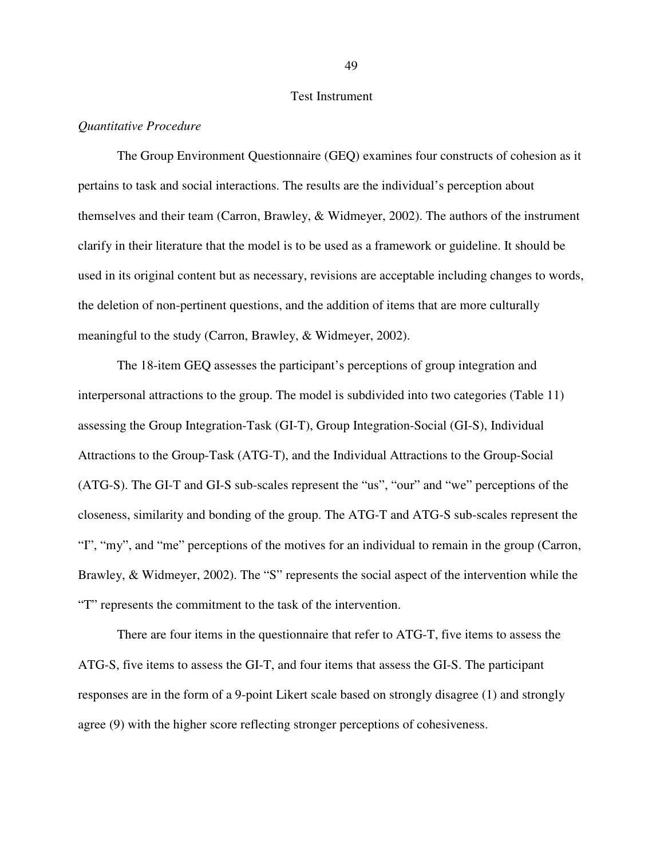# Test Instrument

### *Quantitative Procedure*

The Group Environment Questionnaire (GEQ) examines four constructs of cohesion as it pertains to task and social interactions. The results are the individual's perception about themselves and their team (Carron, Brawley, & Widmeyer, 2002). The authors of the instrument clarify in their literature that the model is to be used as a framework or guideline. It should be used in its original content but as necessary, revisions are acceptable including changes to words, the deletion of non-pertinent questions, and the addition of items that are more culturally meaningful to the study (Carron, Brawley, & Widmeyer, 2002).

The 18-item GEQ assesses the participant's perceptions of group integration and interpersonal attractions to the group. The model is subdivided into two categories (Table 11) assessing the Group Integration-Task (GI-T), Group Integration-Social (GI-S), Individual Attractions to the Group-Task (ATG-T), and the Individual Attractions to the Group-Social (ATG-S). The GI-T and GI-S sub-scales represent the "us", "our" and "we" perceptions of the closeness, similarity and bonding of the group. The ATG-T and ATG-S sub-scales represent the "I", "my", and "me" perceptions of the motives for an individual to remain in the group (Carron, Brawley, & Widmeyer, 2002). The "S" represents the social aspect of the intervention while the "T" represents the commitment to the task of the intervention.

There are four items in the questionnaire that refer to ATG-T, five items to assess the ATG-S, five items to assess the GI-T, and four items that assess the GI-S. The participant responses are in the form of a 9-point Likert scale based on strongly disagree (1) and strongly agree (9) with the higher score reflecting stronger perceptions of cohesiveness.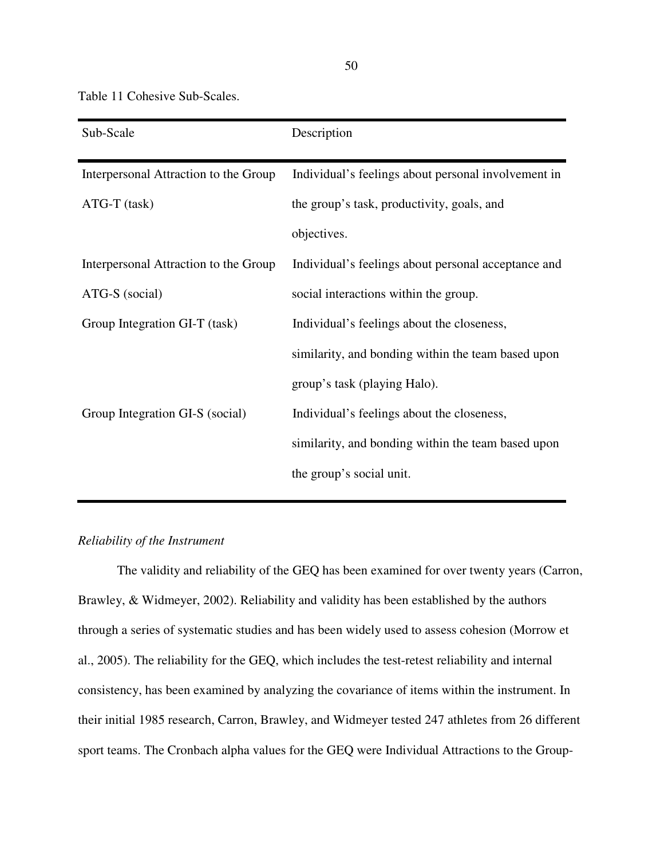Table 11 Cohesive Sub-Scales.

| Sub-Scale                             | Description                                         |
|---------------------------------------|-----------------------------------------------------|
| Interpersonal Attraction to the Group | Individual's feelings about personal involvement in |
| $ATG-T$ (task)                        | the group's task, productivity, goals, and          |
|                                       | objectives.                                         |
| Interpersonal Attraction to the Group | Individual's feelings about personal acceptance and |
| ATG-S (social)                        | social interactions within the group.               |
| Group Integration GI-T (task)         | Individual's feelings about the closeness,          |
|                                       | similarity, and bonding within the team based upon  |
|                                       | group's task (playing Halo).                        |
| Group Integration GI-S (social)       | Individual's feelings about the closeness,          |
|                                       | similarity, and bonding within the team based upon  |
|                                       | the group's social unit.                            |

## *Reliability of the Instrument*

 The validity and reliability of the GEQ has been examined for over twenty years (Carron, Brawley, & Widmeyer, 2002). Reliability and validity has been established by the authors through a series of systematic studies and has been widely used to assess cohesion (Morrow et al., 2005). The reliability for the GEQ, which includes the test-retest reliability and internal consistency, has been examined by analyzing the covariance of items within the instrument. In their initial 1985 research, Carron, Brawley, and Widmeyer tested 247 athletes from 26 different sport teams. The Cronbach alpha values for the GEQ were Individual Attractions to the Group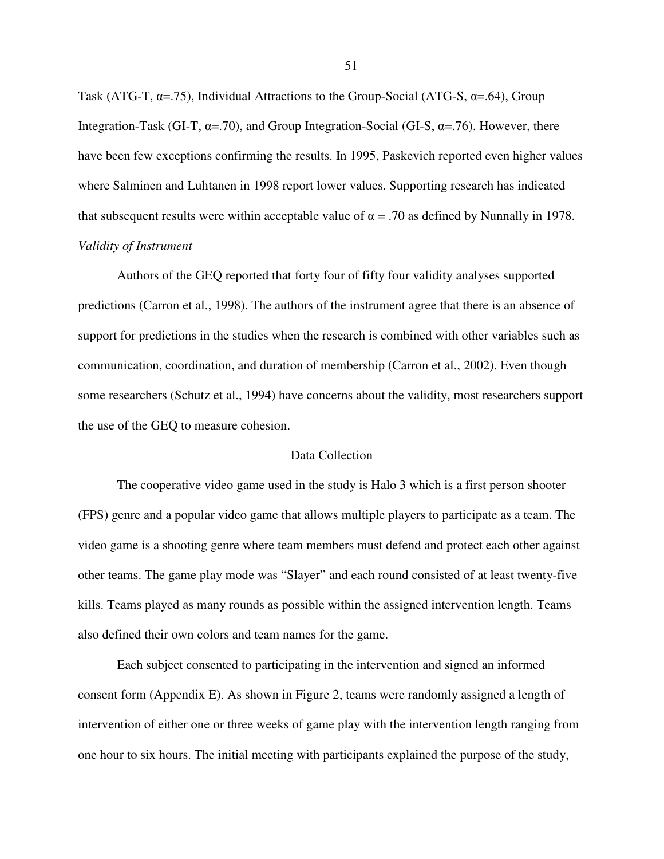Task (ATG-T,  $\alpha$ =.75), Individual Attractions to the Group-Social (ATG-S,  $\alpha$ =.64), Group Integration-Task (GI-T,  $\alpha$ =.70), and Group Integration-Social (GI-S,  $\alpha$ =.76). However, there have been few exceptions confirming the results. In 1995, Paskevich reported even higher values where Salminen and Luhtanen in 1998 report lower values. Supporting research has indicated that subsequent results were within acceptable value of  $\alpha = .70$  as defined by Nunnally in 1978. *Validity of Instrument* 

 Authors of the GEQ reported that forty four of fifty four validity analyses supported predictions (Carron et al., 1998). The authors of the instrument agree that there is an absence of support for predictions in the studies when the research is combined with other variables such as communication, coordination, and duration of membership (Carron et al., 2002). Even though some researchers (Schutz et al., 1994) have concerns about the validity, most researchers support the use of the GEQ to measure cohesion.

# Data Collection

The cooperative video game used in the study is Halo 3 which is a first person shooter (FPS) genre and a popular video game that allows multiple players to participate as a team. The video game is a shooting genre where team members must defend and protect each other against other teams. The game play mode was "Slayer" and each round consisted of at least twenty-five kills. Teams played as many rounds as possible within the assigned intervention length. Teams also defined their own colors and team names for the game.

Each subject consented to participating in the intervention and signed an informed consent form (Appendix E). As shown in Figure 2, teams were randomly assigned a length of intervention of either one or three weeks of game play with the intervention length ranging from one hour to six hours. The initial meeting with participants explained the purpose of the study,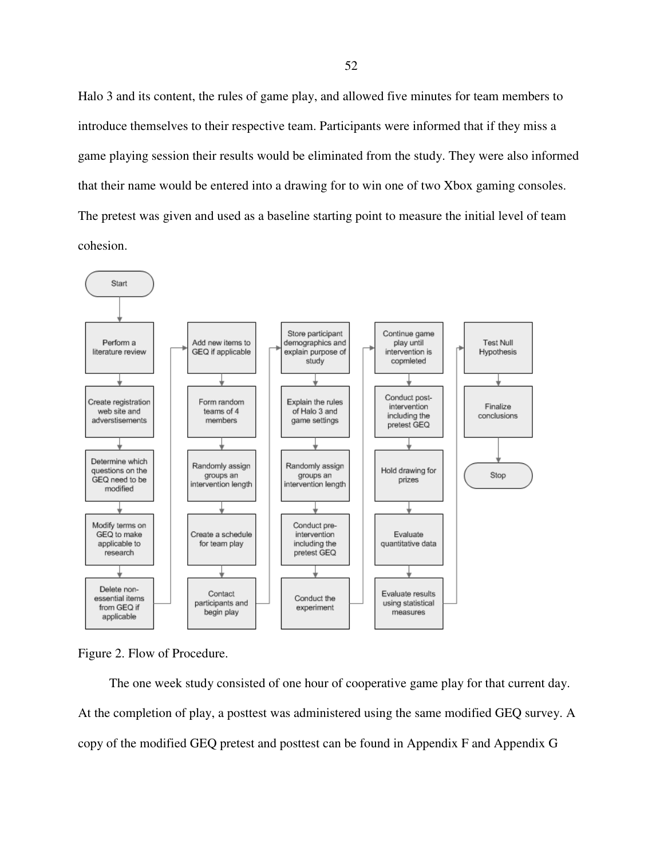Halo 3 and its content, the rules of game play, and allowed five minutes for team members to introduce themselves to their respective team. Participants were informed that if they miss a game playing session their results would be eliminated from the study. They were also informed that their name would be entered into a drawing for to win one of two Xbox gaming consoles. The pretest was given and used as a baseline starting point to measure the initial level of team cohesion.





 The one week study consisted of one hour of cooperative game play for that current day. At the completion of play, a posttest was administered using the same modified GEQ survey. A copy of the modified GEQ pretest and posttest can be found in Appendix F and Appendix G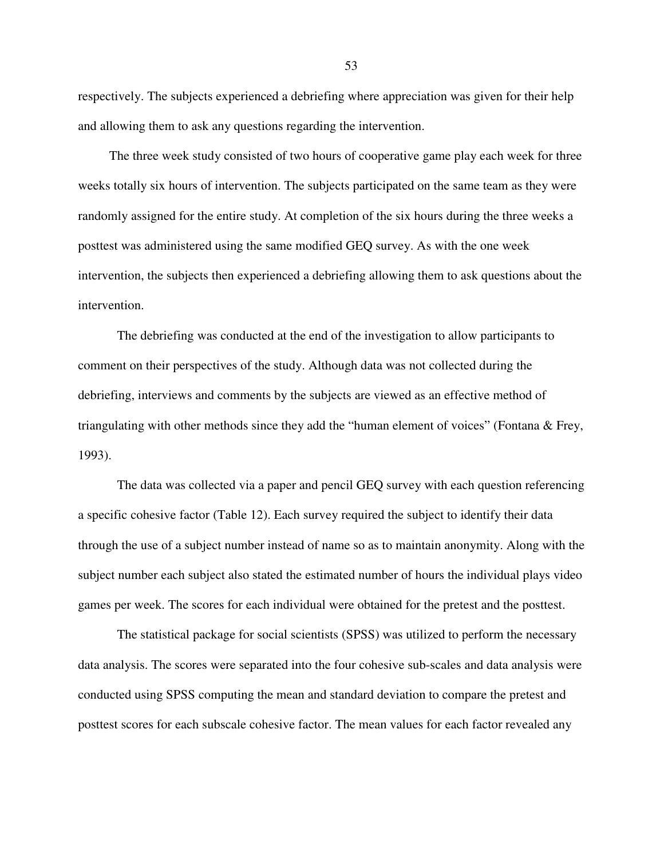respectively. The subjects experienced a debriefing where appreciation was given for their help and allowing them to ask any questions regarding the intervention.

 The three week study consisted of two hours of cooperative game play each week for three weeks totally six hours of intervention. The subjects participated on the same team as they were randomly assigned for the entire study. At completion of the six hours during the three weeks a posttest was administered using the same modified GEQ survey. As with the one week intervention, the subjects then experienced a debriefing allowing them to ask questions about the intervention.

The debriefing was conducted at the end of the investigation to allow participants to comment on their perspectives of the study. Although data was not collected during the debriefing, interviews and comments by the subjects are viewed as an effective method of triangulating with other methods since they add the "human element of voices" (Fontana & Frey, 1993).

The data was collected via a paper and pencil GEQ survey with each question referencing a specific cohesive factor (Table 12). Each survey required the subject to identify their data through the use of a subject number instead of name so as to maintain anonymity. Along with the subject number each subject also stated the estimated number of hours the individual plays video games per week. The scores for each individual were obtained for the pretest and the posttest.

The statistical package for social scientists (SPSS) was utilized to perform the necessary data analysis. The scores were separated into the four cohesive sub-scales and data analysis were conducted using SPSS computing the mean and standard deviation to compare the pretest and posttest scores for each subscale cohesive factor. The mean values for each factor revealed any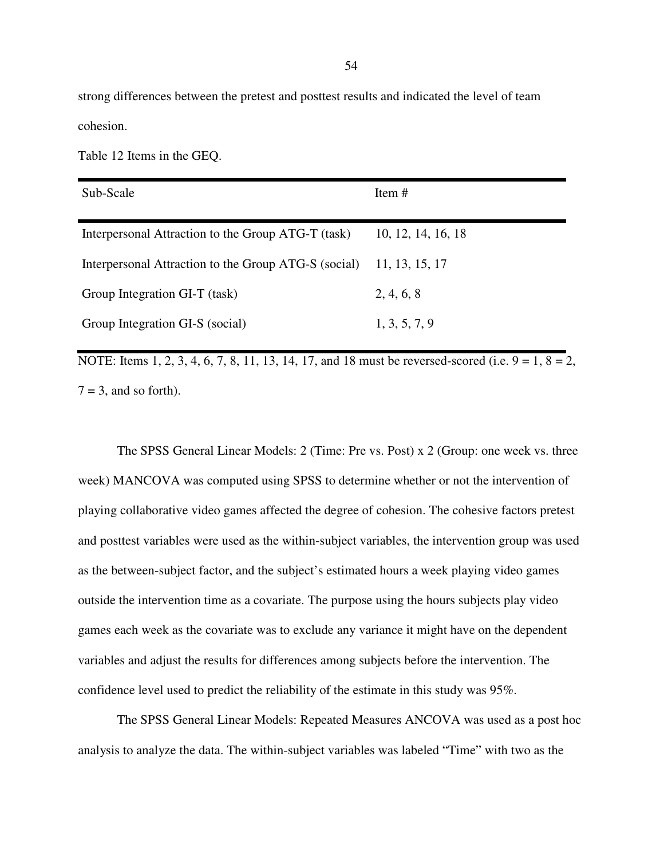strong differences between the pretest and posttest results and indicated the level of team cohesion.

Table 12 Items in the GEQ.

| Sub-Scale                                            | Item $#$           |
|------------------------------------------------------|--------------------|
| Interpersonal Attraction to the Group ATG-T (task)   | 10, 12, 14, 16, 18 |
| Interpersonal Attraction to the Group ATG-S (social) | 11, 13, 15, 17     |
| Group Integration GI-T (task)                        | 2, 4, 6, 8         |
| Group Integration GI-S (social)                      | 1, 3, 5, 7, 9      |

NOTE: Items 1, 2, 3, 4, 6, 7, 8, 11, 13, 14, 17, and 18 must be reversed-scored (i.e.  $9 = 1, 8 = 2$ ,  $7 = 3$ , and so forth).

The SPSS General Linear Models: 2 (Time: Pre vs. Post) x 2 (Group: one week vs. three week) MANCOVA was computed using SPSS to determine whether or not the intervention of playing collaborative video games affected the degree of cohesion. The cohesive factors pretest and posttest variables were used as the within-subject variables, the intervention group was used as the between-subject factor, and the subject's estimated hours a week playing video games outside the intervention time as a covariate. The purpose using the hours subjects play video games each week as the covariate was to exclude any variance it might have on the dependent variables and adjust the results for differences among subjects before the intervention. The confidence level used to predict the reliability of the estimate in this study was 95%.

The SPSS General Linear Models: Repeated Measures ANCOVA was used as a post hoc analysis to analyze the data. The within-subject variables was labeled "Time" with two as the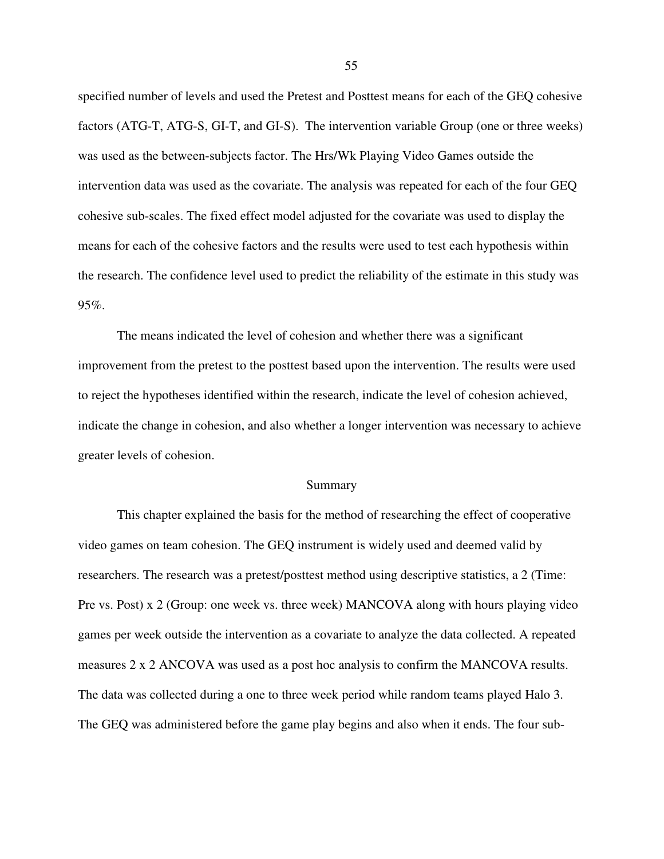specified number of levels and used the Pretest and Posttest means for each of the GEQ cohesive factors (ATG-T, ATG-S, GI-T, and GI-S). The intervention variable Group (one or three weeks) was used as the between-subjects factor. The Hrs/Wk Playing Video Games outside the intervention data was used as the covariate. The analysis was repeated for each of the four GEQ cohesive sub-scales. The fixed effect model adjusted for the covariate was used to display the means for each of the cohesive factors and the results were used to test each hypothesis within the research. The confidence level used to predict the reliability of the estimate in this study was 95%.

The means indicated the level of cohesion and whether there was a significant improvement from the pretest to the posttest based upon the intervention. The results were used to reject the hypotheses identified within the research, indicate the level of cohesion achieved, indicate the change in cohesion, and also whether a longer intervention was necessary to achieve greater levels of cohesion.

### Summary

This chapter explained the basis for the method of researching the effect of cooperative video games on team cohesion. The GEQ instrument is widely used and deemed valid by researchers. The research was a pretest/posttest method using descriptive statistics, a 2 (Time: Pre vs. Post) x 2 (Group: one week vs. three week) MANCOVA along with hours playing video games per week outside the intervention as a covariate to analyze the data collected. A repeated measures 2 x 2 ANCOVA was used as a post hoc analysis to confirm the MANCOVA results. The data was collected during a one to three week period while random teams played Halo 3. The GEQ was administered before the game play begins and also when it ends. The four sub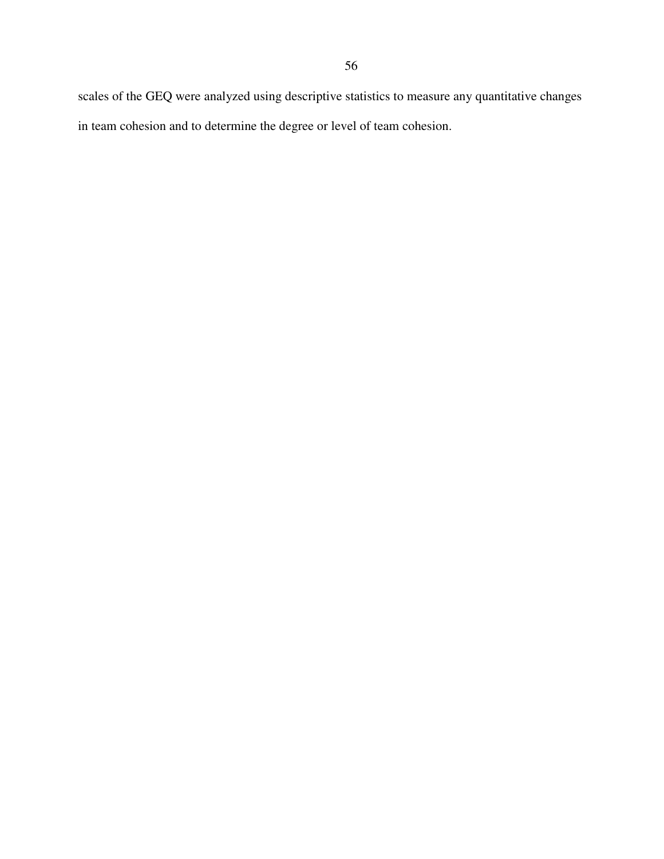scales of the GEQ were analyzed using descriptive statistics to measure any quantitative changes in team cohesion and to determine the degree or level of team cohesion.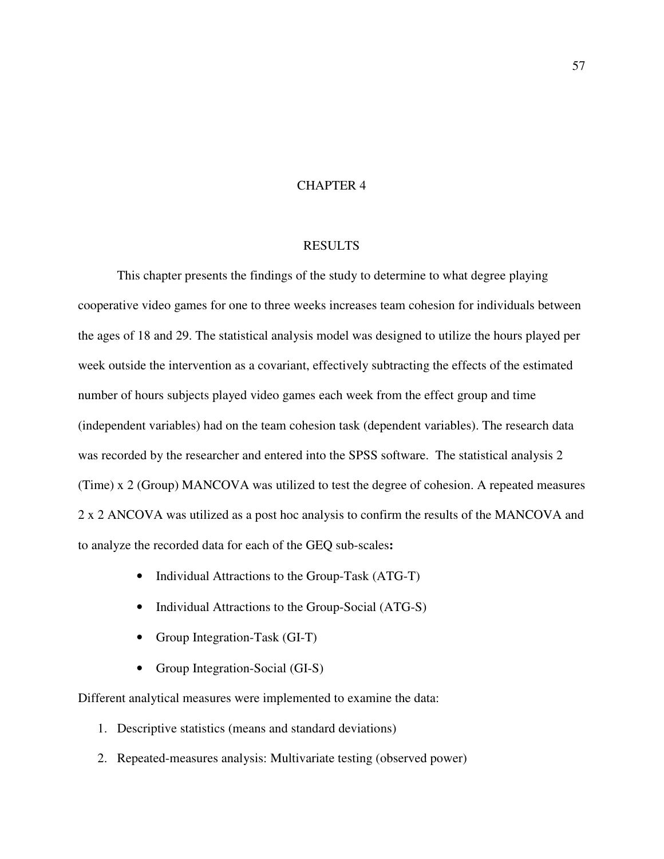# CHAPTER 4

## RESULTS

This chapter presents the findings of the study to determine to what degree playing cooperative video games for one to three weeks increases team cohesion for individuals between the ages of 18 and 29. The statistical analysis model was designed to utilize the hours played per week outside the intervention as a covariant, effectively subtracting the effects of the estimated number of hours subjects played video games each week from the effect group and time (independent variables) had on the team cohesion task (dependent variables). The research data was recorded by the researcher and entered into the SPSS software. The statistical analysis 2 (Time) x 2 (Group) MANCOVA was utilized to test the degree of cohesion. A repeated measures 2 x 2 ANCOVA was utilized as a post hoc analysis to confirm the results of the MANCOVA and to analyze the recorded data for each of the GEQ sub-scales**:** 

- Individual Attractions to the Group-Task (ATG-T)
- Individual Attractions to the Group-Social (ATG-S)
- Group Integration-Task (GI-T)
- Group Integration-Social (GI-S)

Different analytical measures were implemented to examine the data:

- 1. Descriptive statistics (means and standard deviations)
- 2. Repeated-measures analysis: Multivariate testing (observed power)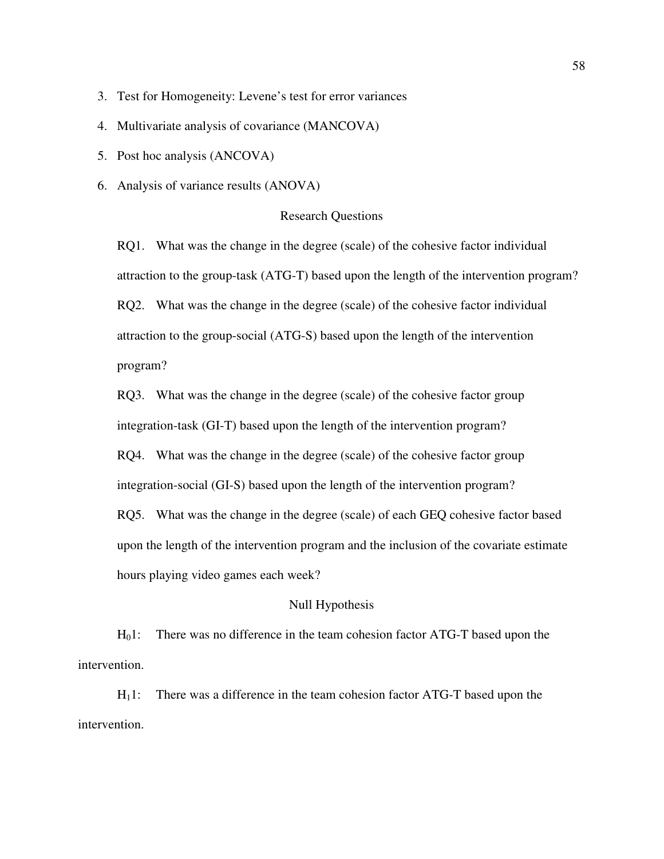- 3. Test for Homogeneity: Levene's test for error variances
- 4. Multivariate analysis of covariance (MANCOVA)
- 5. Post hoc analysis (ANCOVA)
- 6. Analysis of variance results (ANOVA)

## Research Questions

RQ1. What was the change in the degree (scale) of the cohesive factor individual attraction to the group-task (ATG-T) based upon the length of the intervention program? RQ2. What was the change in the degree (scale) of the cohesive factor individual attraction to the group-social (ATG-S) based upon the length of the intervention program?

RQ3. What was the change in the degree (scale) of the cohesive factor group integration-task (GI-T) based upon the length of the intervention program?

RQ4. What was the change in the degree (scale) of the cohesive factor group

integration-social (GI-S) based upon the length of the intervention program?

RQ5. What was the change in the degree (scale) of each GEQ cohesive factor based upon the length of the intervention program and the inclusion of the covariate estimate hours playing video games each week?

# Null Hypothesis

H<sub>0</sub>1: There was no difference in the team cohesion factor ATG-T based upon the intervention.

 $H<sub>1</sub>1$ : There was a difference in the team cohesion factor ATG-T based upon the intervention.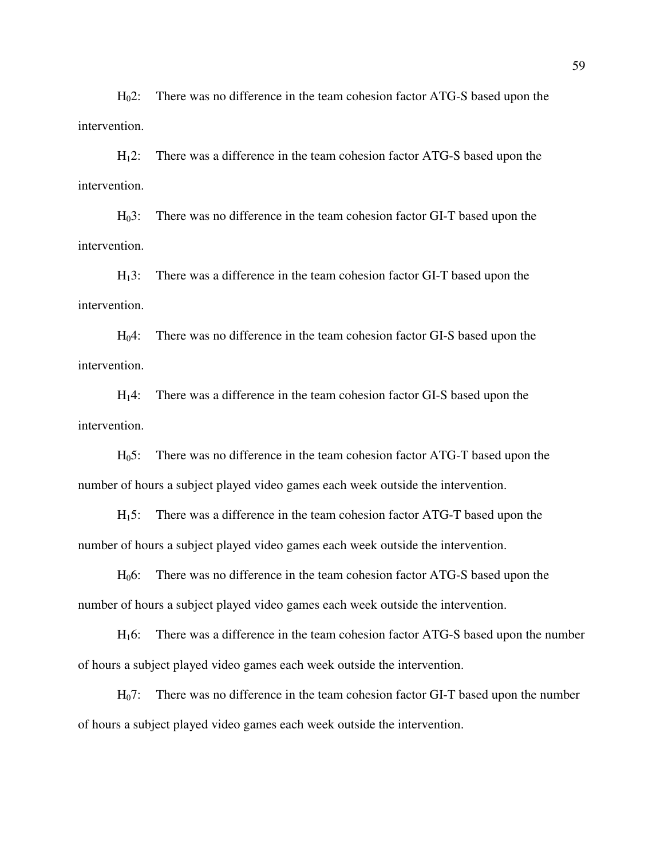H<sub>0</sub>2: There was no difference in the team cohesion factor ATG-S based upon the intervention.

H12: There was a difference in the team cohesion factor ATG-S based upon the intervention.

H03: There was no difference in the team cohesion factor GI-T based upon the intervention.

H13: There was a difference in the team cohesion factor GI-T based upon the intervention.

H04: There was no difference in the team cohesion factor GI-S based upon the intervention.

H14: There was a difference in the team cohesion factor GI-S based upon the intervention.

H05: There was no difference in the team cohesion factor ATG-T based upon the number of hours a subject played video games each week outside the intervention.

H15: There was a difference in the team cohesion factor ATG-T based upon the number of hours a subject played video games each week outside the intervention.

H06: There was no difference in the team cohesion factor ATG-S based upon the number of hours a subject played video games each week outside the intervention.

H16: There was a difference in the team cohesion factor ATG-S based upon the number of hours a subject played video games each week outside the intervention.

H<sub>0</sub>7: There was no difference in the team cohesion factor GI-T based upon the number of hours a subject played video games each week outside the intervention.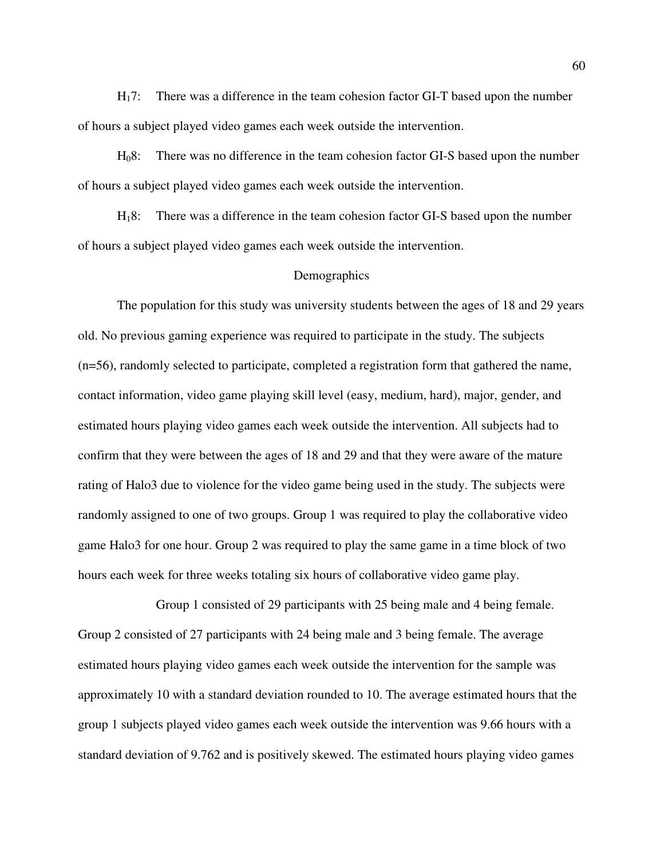H17: There was a difference in the team cohesion factor GI-T based upon the number of hours a subject played video games each week outside the intervention.

H08: There was no difference in the team cohesion factor GI-S based upon the number of hours a subject played video games each week outside the intervention.

H18: There was a difference in the team cohesion factor GI-S based upon the number of hours a subject played video games each week outside the intervention.

#### **Demographics**

 The population for this study was university students between the ages of 18 and 29 years old. No previous gaming experience was required to participate in the study. The subjects (n=56), randomly selected to participate, completed a registration form that gathered the name, contact information, video game playing skill level (easy, medium, hard), major, gender, and estimated hours playing video games each week outside the intervention. All subjects had to confirm that they were between the ages of 18 and 29 and that they were aware of the mature rating of Halo3 due to violence for the video game being used in the study. The subjects were randomly assigned to one of two groups. Group 1 was required to play the collaborative video game Halo3 for one hour. Group 2 was required to play the same game in a time block of two hours each week for three weeks totaling six hours of collaborative video game play.

 Group 1 consisted of 29 participants with 25 being male and 4 being female. Group 2 consisted of 27 participants with 24 being male and 3 being female. The average estimated hours playing video games each week outside the intervention for the sample was approximately 10 with a standard deviation rounded to 10. The average estimated hours that the group 1 subjects played video games each week outside the intervention was 9.66 hours with a standard deviation of 9.762 and is positively skewed. The estimated hours playing video games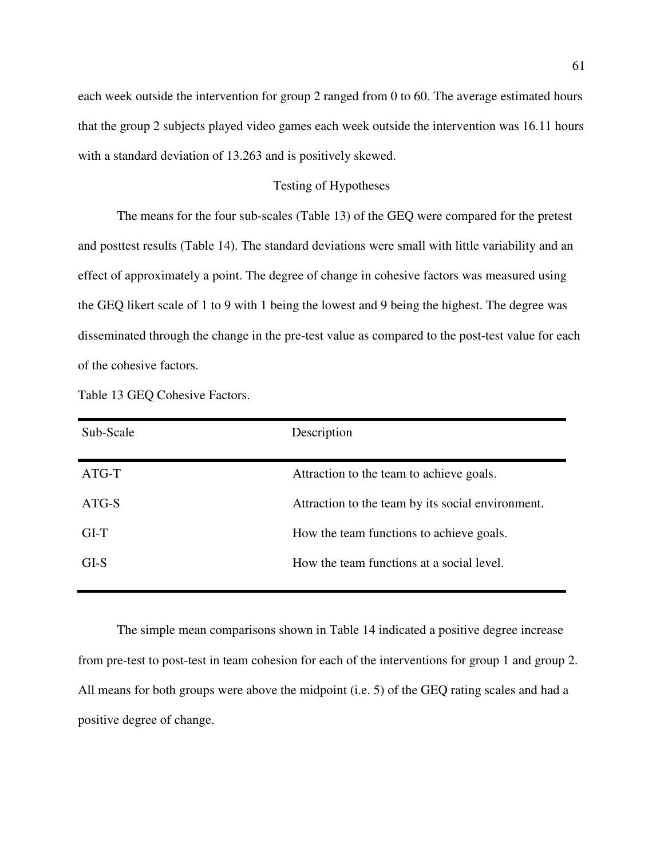each week outside the intervention for group 2 ranged from 0 to 60. The average estimated hours that the group 2 subjects played video games each week outside the intervention was 16.11 hours with a standard deviation of 13.263 and is positively skewed.

## Testing of Hypotheses

The means for the four sub-scales (Table 13) of the GEQ were compared for the pretest and posttest results (Table 14). The standard deviations were small with little variability and an effect of approximately a point. The degree of change in cohesive factors was measured using the GEQ likert scale of 1 to 9 with 1 being the lowest and 9 being the highest. The degree was disseminated through the change in the pre-test value as compared to the post-test value for each of the cohesive factors.

| Sub-Scale | Description                                       |
|-----------|---------------------------------------------------|
| $ATG-T$   | Attraction to the team to achieve goals.          |
| ATG-S     | Attraction to the team by its social environment. |
| $GI-T$    | How the team functions to achieve goals.          |
| GLS       | How the team functions at a social level.         |
|           |                                                   |

Table 13 GEQ Cohesive Factors.

The simple mean comparisons shown in Table 14 indicated a positive degree increase from pre-test to post-test in team cohesion for each of the interventions for group 1 and group 2. All means for both groups were above the midpoint (i.e. 5) of the GEQ rating scales and had a positive degree of change.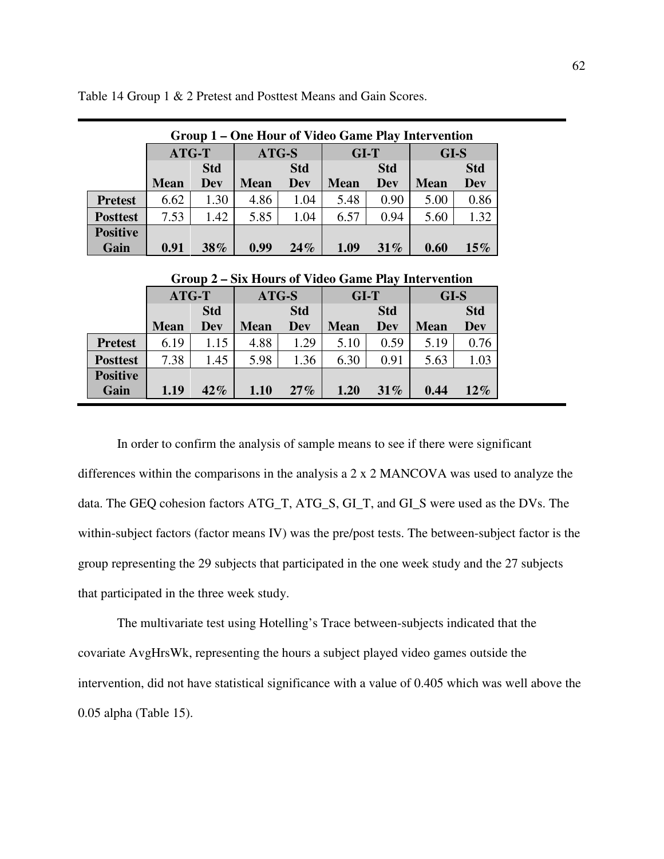| Group 1 – One Hour of Video Game Play Intervention |             |            |             |            |             |            |             |            |  |
|----------------------------------------------------|-------------|------------|-------------|------------|-------------|------------|-------------|------------|--|
|                                                    | ATG-T       |            | ATG-S       |            | $GI-T$      |            | GI-S        |            |  |
|                                                    |             | <b>Std</b> |             | <b>Std</b> |             | <b>Std</b> |             | <b>Std</b> |  |
|                                                    | <b>Mean</b> | <b>Dev</b> | <b>Mean</b> | <b>Dev</b> | <b>Mean</b> | <b>Dev</b> | <b>Mean</b> | <b>Dev</b> |  |
| <b>Pretest</b>                                     | 6.62        | 1.30       | 4.86        | 1.04       | 5.48        | 0.90       | 5.00        | 0.86       |  |
| <b>Posttest</b>                                    | 7.53        | 1.42       | 5.85        | 1.04       | 6.57        | 0.94       | 5.60        | 1.32       |  |
| <b>Positive</b>                                    |             |            |             |            |             |            |             |            |  |
| Gain                                               | 0.91        | $38\%$     | 0.99        | 24%        | 1.09        | 31%        | 0.60        | $15\%$     |  |

Table 14 Group 1 & 2 Pretest and Posttest Means and Gain Scores.

|                 | $\mathbf{U}$ |      |             |      |             |      |             |            |  |  |
|-----------------|--------------|------|-------------|------|-------------|------|-------------|------------|--|--|
|                 | ATG-T        |      | ATG-S       |      | $GI-T$      |      | GI-S        |            |  |  |
|                 | <b>Std</b>   |      | <b>Std</b>  |      | <b>Std</b>  |      |             | <b>Std</b> |  |  |
|                 | <b>Mean</b>  | Dev  | <b>Mean</b> | Dev  | <b>Mean</b> | Dev  | <b>Mean</b> | Dev        |  |  |
| <b>Pretest</b>  | 6.19         | 1.15 | 4.88        | 1.29 | 5.10        | 0.59 | 5.19        | 0.76       |  |  |
| <b>Posttest</b> | 7.38         | 1.45 | 5.98        | 1.36 | 6.30        | 0.91 | 5.63        | 1.03       |  |  |
| <b>Positive</b> |              |      |             |      |             |      |             |            |  |  |
| Gain            | 1.19         | 42%  | 1.10        | 27%  | 1.20        | 31%  | 0.44        | $12\%$     |  |  |

 **Group 2 – Six Hours of Video Game Play Intervention** 

In order to confirm the analysis of sample means to see if there were significant differences within the comparisons in the analysis a 2 x 2 MANCOVA was used to analyze the data. The GEQ cohesion factors ATG\_T, ATG\_S, GI\_T, and GI\_S were used as the DVs. The within-subject factors (factor means IV) was the pre/post tests. The between-subject factor is the group representing the 29 subjects that participated in the one week study and the 27 subjects that participated in the three week study.

The multivariate test using Hotelling's Trace between-subjects indicated that the covariate AvgHrsWk, representing the hours a subject played video games outside the intervention, did not have statistical significance with a value of 0.405 which was well above the 0.05 alpha (Table 15).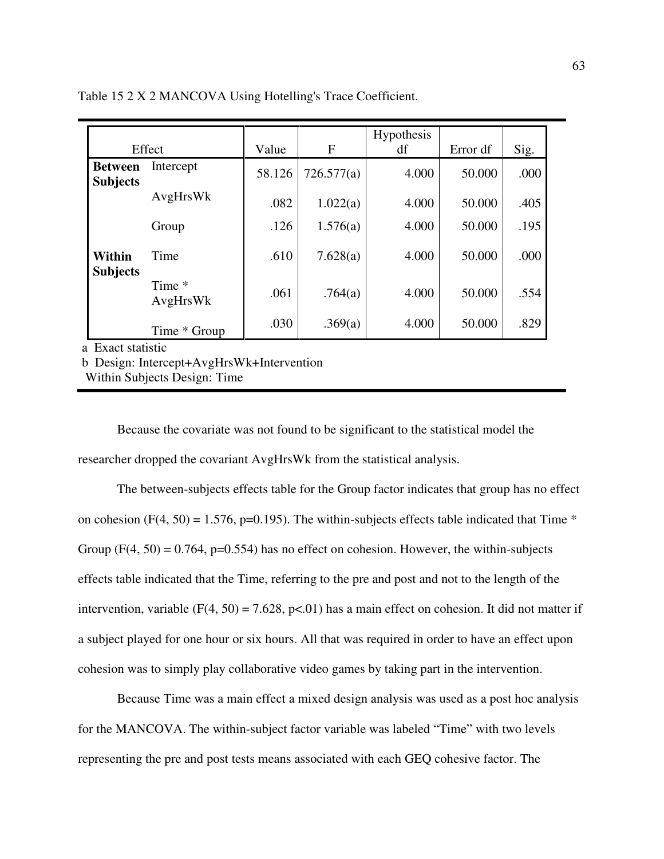|                                   | Effect             | Value  | F          | <b>Hypothesis</b><br>df | Error df | Sig. |
|-----------------------------------|--------------------|--------|------------|-------------------------|----------|------|
| <b>Between</b><br><b>Subjects</b> | Intercept          | 58.126 | 726.577(a) | 4.000                   | 50.000   | .000 |
|                                   | AvgHrsWk           | .082   | 1.022(a)   | 4.000                   | 50.000   | .405 |
|                                   | Group              | .126   | 1.576(a)   | 4.000                   | 50.000   | .195 |
| Within<br><b>Subjects</b>         | Time               | .610   | 7.628(a)   | 4.000                   | 50.000   | .000 |
|                                   | Time *<br>AvgHrsWk | .061   | .764(a)    | 4.000                   | 50.000   | .554 |
| a Fvact statistic                 | Time * Group       | .030   | .369(a)    | 4.000                   | 50.000   | .829 |

Table 15 2 X 2 MANCOVA Using Hotelling's Trace Coefficient.

act statistic

b Design: Intercept+AvgHrsWk+Intervention

Within Subjects Design: Time

Because the covariate was not found to be significant to the statistical model the researcher dropped the covariant AvgHrsWk from the statistical analysis.

The between-subjects effects table for the Group factor indicates that group has no effect on cohesion (F(4, 50) = 1.576, p=0.195). The within-subjects effects table indicated that Time  $*$ Group  $(F(4, 50) = 0.764, p=0.554)$  has no effect on cohesion. However, the within-subjects effects table indicated that the Time, referring to the pre and post and not to the length of the intervention, variable (F(4, 50) = 7.628, p<.01) has a main effect on cohesion. It did not matter if a subject played for one hour or six hours. All that was required in order to have an effect upon cohesion was to simply play collaborative video games by taking part in the intervention.

Because Time was a main effect a mixed design analysis was used as a post hoc analysis for the MANCOVA. The within-subject factor variable was labeled "Time" with two levels representing the pre and post tests means associated with each GEQ cohesive factor. The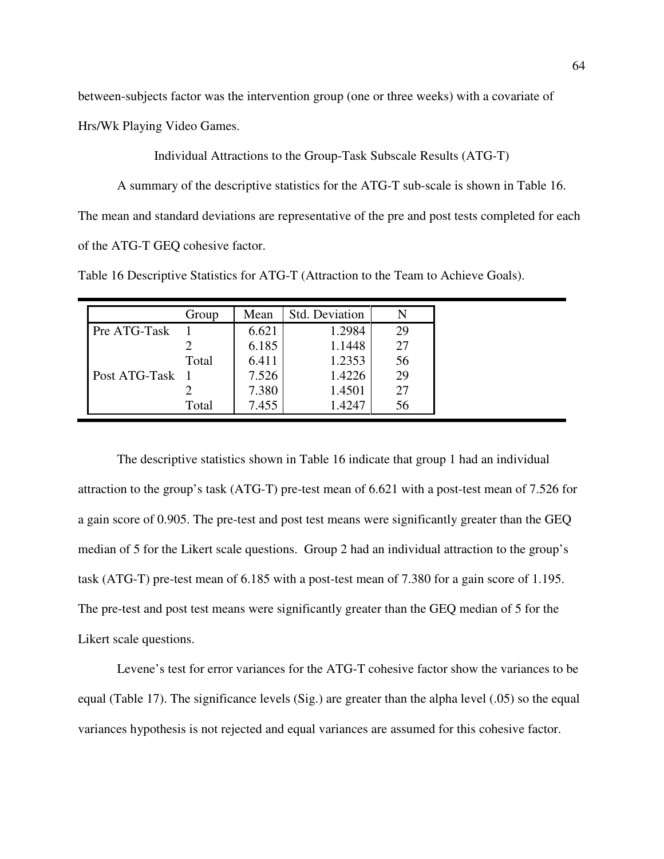between-subjects factor was the intervention group (one or three weeks) with a covariate of

Hrs/Wk Playing Video Games.

Individual Attractions to the Group-Task Subscale Results (ATG-T)

A summary of the descriptive statistics for the ATG-T sub-scale is shown in Table 16. The mean and standard deviations are representative of the pre and post tests completed for each of the ATG-T GEQ cohesive factor.

Table 16 Descriptive Statistics for ATG-T (Attraction to the Team to Achieve Goals).

|               | Group | Mean  | Std. Deviation |    |
|---------------|-------|-------|----------------|----|
| Pre ATG-Task  |       | 6.621 | 1.2984         | 29 |
|               |       | 6.185 | 1.1448         | 27 |
|               | Total | 6.411 | 1.2353         | 56 |
| Post ATG-Task |       | 7.526 | 1.4226         | 29 |
|               |       | 7.380 | 1.4501         | 27 |
|               | Total | 7.455 | 1.4247         | 56 |

The descriptive statistics shown in Table 16 indicate that group 1 had an individual attraction to the group's task (ATG-T) pre-test mean of 6.621 with a post-test mean of 7.526 for a gain score of 0.905. The pre-test and post test means were significantly greater than the GEQ median of 5 for the Likert scale questions. Group 2 had an individual attraction to the group's task (ATG-T) pre-test mean of 6.185 with a post-test mean of 7.380 for a gain score of 1.195. The pre-test and post test means were significantly greater than the GEQ median of 5 for the Likert scale questions.

 Levene's test for error variances for the ATG-T cohesive factor show the variances to be equal (Table 17). The significance levels (Sig.) are greater than the alpha level (.05) so the equal variances hypothesis is not rejected and equal variances are assumed for this cohesive factor.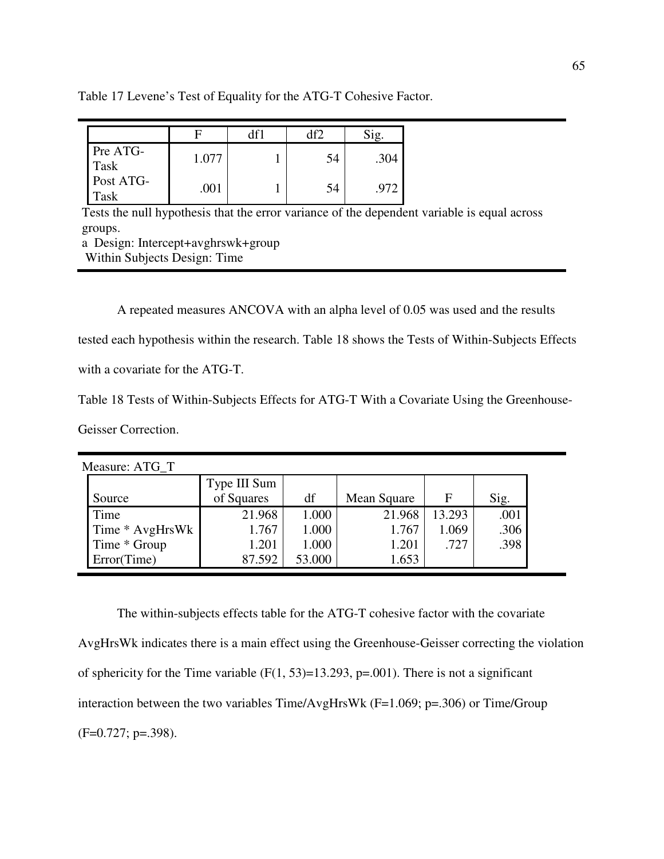| Table 17 Levene's Test of Equality for the ATG-T Cohesive Factor. |
|-------------------------------------------------------------------|
|-------------------------------------------------------------------|

|                   |       | df2 |      |
|-------------------|-------|-----|------|
| Pre ATG-<br>Task  | 1.077 | 54  | .304 |
| Post ATG-<br>Task | .001  | 54  | .972 |

Tests the null hypothesis that the error variance of the dependent variable is equal across groups.

a Design: Intercept+avghrswk+group Within Subjects Design: Time

A repeated measures ANCOVA with an alpha level of 0.05 was used and the results

tested each hypothesis within the research. Table 18 shows the Tests of Within-Subjects Effects

with a covariate for the ATG-T.

Table 18 Tests of Within-Subjects Effects for ATG-T With a Covariate Using the Greenhouse-

Geisser Correction.

| Measure: ATG T  |              |        |             |             |      |
|-----------------|--------------|--------|-------------|-------------|------|
|                 | Type III Sum |        |             |             |      |
| Source          | of Squares   | df     | Mean Square | $\mathbf F$ | Sig. |
| Time            | 21.968       | 1.000  | 21.968      | 13.293      | .001 |
| Time * AvgHrsWk | 1.767        | 1.000  | 1.767       | 1.069       | .306 |
| Time * Group    | 1.201        | 1.000  | 1.201       | .727        | .398 |
| Error(Time)     | 87.592       | 53.000 | 1.653       |             |      |

The within-subjects effects table for the ATG-T cohesive factor with the covariate AvgHrsWk indicates there is a main effect using the Greenhouse-Geisser correcting the violation of sphericity for the Time variable  $(F(1, 53)=13.293, p=.001)$ . There is not a significant interaction between the two variables Time/AvgHrsWk (F=1.069; p=.306) or Time/Group (F=0.727; p=.398).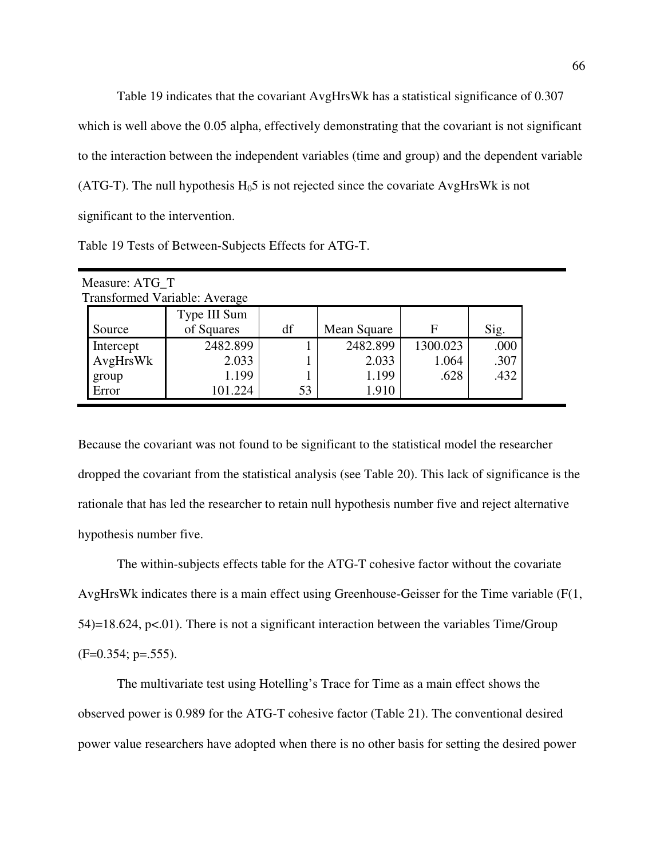Table 19 indicates that the covariant AvgHrsWk has a statistical significance of 0.307 which is well above the 0.05 alpha, effectively demonstrating that the covariant is not significant to the interaction between the independent variables (time and group) and the dependent variable (ATG-T). The null hypothesis  $H_0$ 5 is not rejected since the covariate AvgHrsWk is not significant to the intervention.

| Measure: ATG T                       |    |             |          |      |  |  |  |  |  |  |
|--------------------------------------|----|-------------|----------|------|--|--|--|--|--|--|
| <b>Transformed Variable: Average</b> |    |             |          |      |  |  |  |  |  |  |
| Type III Sum                         |    |             |          |      |  |  |  |  |  |  |
| of Squares                           | df | Mean Square | F        | Sig. |  |  |  |  |  |  |
| 2482.899                             |    | 2482.899    | 1300.023 | .000 |  |  |  |  |  |  |
| 2.033                                |    | 2.033       | 1.064    | .307 |  |  |  |  |  |  |
| 1.199                                |    | 1.199       | .628     | .432 |  |  |  |  |  |  |
| 101.224                              | 53 | 1.910       |          |      |  |  |  |  |  |  |
|                                      |    |             |          |      |  |  |  |  |  |  |

Because the covariant was not found to be significant to the statistical model the researcher dropped the covariant from the statistical analysis (see Table 20). This lack of significance is the rationale that has led the researcher to retain null hypothesis number five and reject alternative hypothesis number five.

The within-subjects effects table for the ATG-T cohesive factor without the covariate AvgHrsWk indicates there is a main effect using Greenhouse-Geisser for the Time variable (F(1, 54)=18.624, p<.01). There is not a significant interaction between the variables Time/Group  $(F=0.354; p=.555)$ .

The multivariate test using Hotelling's Trace for Time as a main effect shows the observed power is 0.989 for the ATG-T cohesive factor (Table 21). The conventional desired power value researchers have adopted when there is no other basis for setting the desired power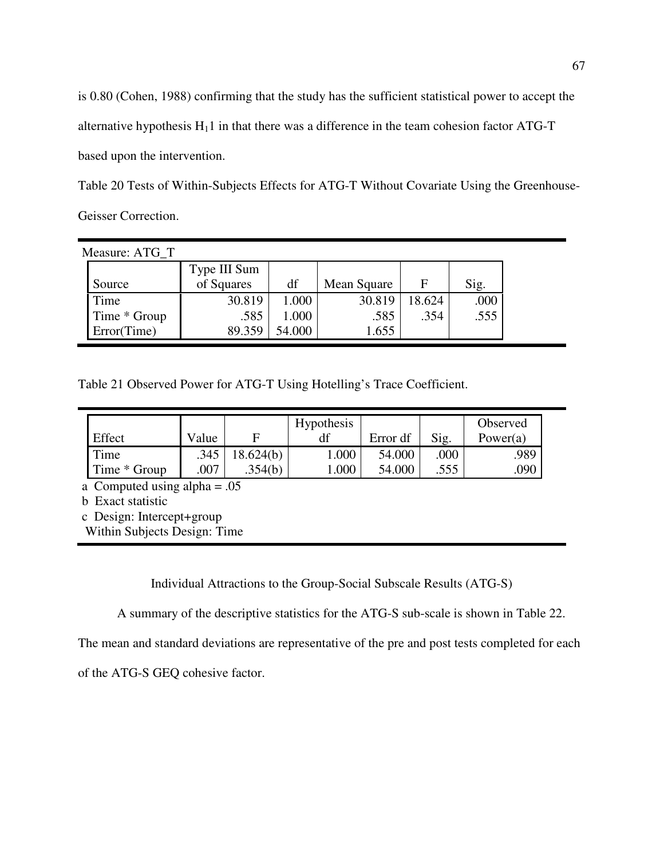is 0.80 (Cohen, 1988) confirming that the study has the sufficient statistical power to accept the alternative hypothesis  $H_11$  in that there was a difference in the team cohesion factor ATG-T based upon the intervention.

Table 20 Tests of Within-Subjects Effects for ATG-T Without Covariate Using the Greenhouse-Geisser Correction.

| Measure: ATG T |              |        |             |        |      |
|----------------|--------------|--------|-------------|--------|------|
|                | Type III Sum |        |             |        |      |
| Source         | of Squares   | df     | Mean Square | F      | Sig. |
| Time           | 30.819       | 1.000  | 30.819      | 18.624 | .000 |
| Time * Group   | .585         | 1.000  | .585        | .354   | .555 |
| Error(Time)    | 89.359       | 54.000 | 1.655       |        |      |

Table 21 Observed Power for ATG-T Using Hotelling's Trace Coefficient.

|              |       |          | <b>Hypothesis</b> |          |      | Observed    |
|--------------|-------|----------|-------------------|----------|------|-------------|
| Effect       | Value |          |                   | Error df | Sig. | Power $(a)$ |
| Time         | .345  | 8.624(b) | 000.1             | 54.000   | .000 | .989        |
| Time * Group | 007   | .354(b)  | .000              | 54.000   | .555 | .090        |

a Computed using alpha = .05

b Exact statistic

c Design: Intercept+group

Within Subjects Design: Time

Individual Attractions to the Group-Social Subscale Results (ATG-S)

A summary of the descriptive statistics for the ATG-S sub-scale is shown in Table 22.

The mean and standard deviations are representative of the pre and post tests completed for each

of the ATG-S GEQ cohesive factor.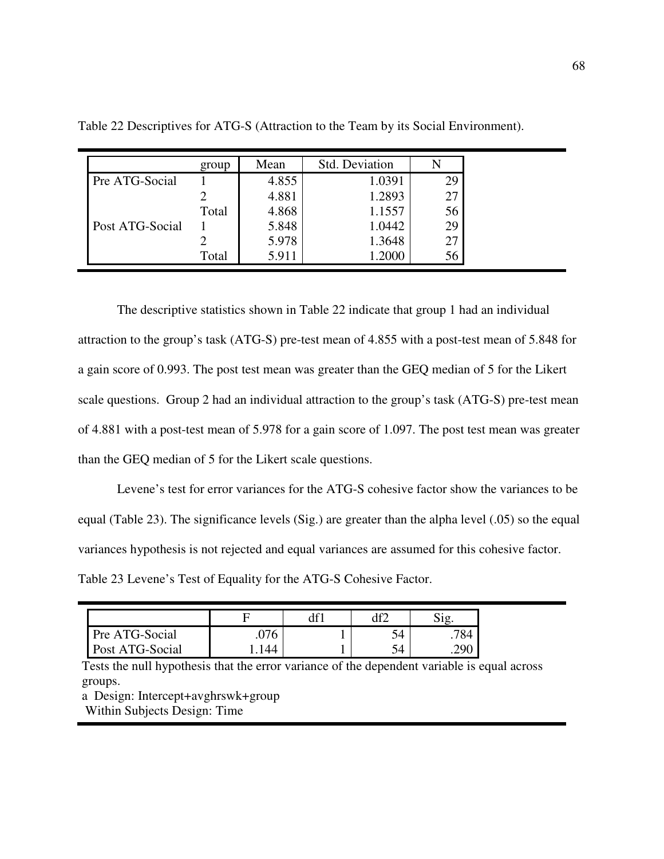|                 | group | Mean  | Std. Deviation |    |
|-----------------|-------|-------|----------------|----|
| Pre ATG-Social  |       | 4.855 | 1.0391         | 29 |
|                 |       | 4.881 | 1.2893         | 27 |
|                 | Total | 4.868 | 1.1557         | 56 |
| Post ATG-Social |       | 5.848 | 1.0442         | 29 |
|                 |       | 5.978 | 1.3648         | 27 |
|                 | Total | 5.911 | 1.2000         | 56 |

Table 22 Descriptives for ATG-S (Attraction to the Team by its Social Environment).

The descriptive statistics shown in Table 22 indicate that group 1 had an individual attraction to the group's task (ATG-S) pre-test mean of 4.855 with a post-test mean of 5.848 for a gain score of 0.993. The post test mean was greater than the GEQ median of 5 for the Likert scale questions. Group 2 had an individual attraction to the group's task (ATG-S) pre-test mean of 4.881 with a post-test mean of 5.978 for a gain score of 1.097. The post test mean was greater than the GEQ median of 5 for the Likert scale questions.

 Levene's test for error variances for the ATG-S cohesive factor show the variances to be equal (Table 23). The significance levels (Sig.) are greater than the alpha level (.05) so the equal variances hypothesis is not rejected and equal variances are assumed for this cohesive factor. Table 23 Levene's Test of Equality for the ATG-S Cohesive Factor.

|                 |     | d۴   |       |
|-----------------|-----|------|-------|
| Pre ATG-Social  | 076 | _ من | .784  |
| Post ATG-Social | 44  | 74   | . ،∩ר |

Tests the null hypothesis that the error variance of the dependent variable is equal across groups.

a Design: Intercept+avghrswk+group Within Subjects Design: Time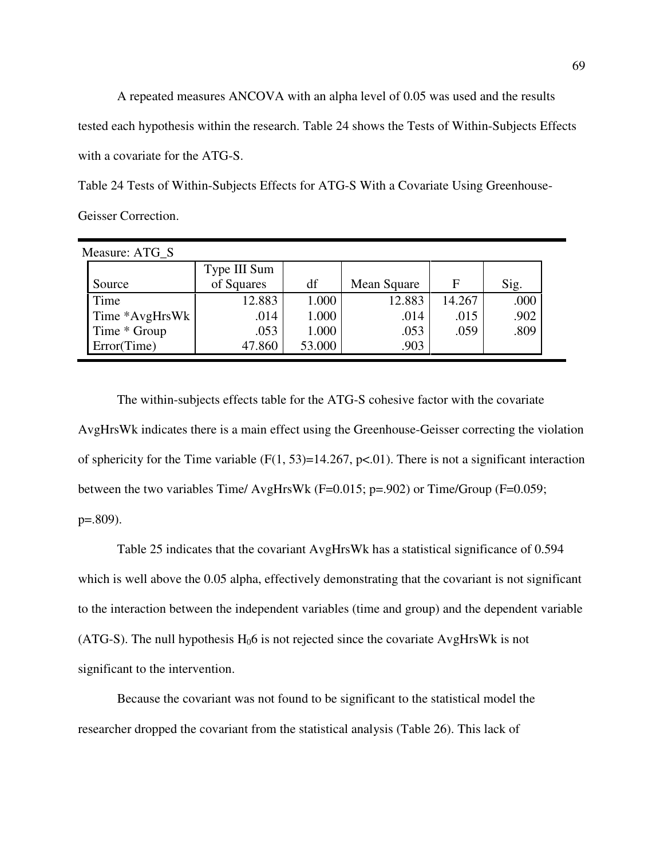A repeated measures ANCOVA with an alpha level of 0.05 was used and the results tested each hypothesis within the research. Table 24 shows the Tests of Within-Subjects Effects with a covariate for the ATG-S.

Table 24 Tests of Within-Subjects Effects for ATG-S With a Covariate Using Greenhouse-Geisser Correction.

| Measure: ATG S |              |        |             |        |      |
|----------------|--------------|--------|-------------|--------|------|
|                | Type III Sum |        |             |        |      |
| Source         | of Squares   | df     | Mean Square | F      | Sig. |
| Time           | 12.883       | 1.000  | 12.883      | 14.267 | .000 |
| Time *AvgHrsWk | .014         | 1.000  | .014        | .015   | .902 |
| Time * Group   | .053         | 1.000  | .053        | .059   | .809 |
| Error(Time)    | 47.860       | 53.000 | .903        |        |      |

The within-subjects effects table for the ATG-S cohesive factor with the covariate AvgHrsWk indicates there is a main effect using the Greenhouse-Geisser correcting the violation of sphericity for the Time variable ( $F(1, 53)=14.267$ ,  $p<.01$ ). There is not a significant interaction between the two variables Time/ AvgHrsWk (F=0.015; p=.902) or Time/Group (F=0.059; p=.809).

Table 25 indicates that the covariant AvgHrsWk has a statistical significance of 0.594 which is well above the 0.05 alpha, effectively demonstrating that the covariant is not significant to the interaction between the independent variables (time and group) and the dependent variable (ATG-S). The null hypothesis  $H_0$ 6 is not rejected since the covariate AvgHrsWk is not significant to the intervention.

Because the covariant was not found to be significant to the statistical model the researcher dropped the covariant from the statistical analysis (Table 26). This lack of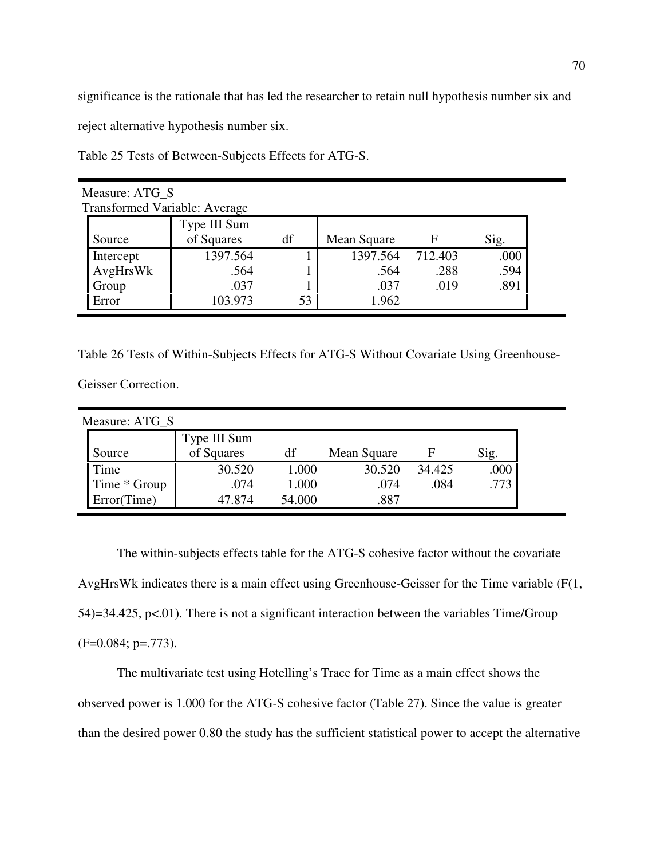significance is the rationale that has led the researcher to retain null hypothesis number six and

reject alternative hypothesis number six.

Table 25 Tests of Between-Subjects Effects for ATG-S.

| Measure: ATG_S                       |              |    |             |         |      |  |  |  |  |  |
|--------------------------------------|--------------|----|-------------|---------|------|--|--|--|--|--|
| <b>Transformed Variable: Average</b> |              |    |             |         |      |  |  |  |  |  |
|                                      | Type III Sum |    |             |         |      |  |  |  |  |  |
| Source                               | of Squares   | df | Mean Square | F       | Sig. |  |  |  |  |  |
| Intercept                            | 1397.564     |    | 1397.564    | 712.403 | .000 |  |  |  |  |  |
| AvgHrsWk                             | .564         |    | .564        | .288    | .594 |  |  |  |  |  |
| Group                                | .037         |    | .037        | .019    | .891 |  |  |  |  |  |
| Error                                | 103.973      | 53 | 1.962       |         |      |  |  |  |  |  |

Table 26 Tests of Within-Subjects Effects for ATG-S Without Covariate Using Greenhouse-

Geisser Correction.

| Measure: ATG S |              |        |             |        |      |
|----------------|--------------|--------|-------------|--------|------|
|                | Type III Sum |        |             |        |      |
| Source         | of Squares   | df     | Mean Square | F      | Sig. |
| Time           | 30.520       | 1.000  | 30.520      | 34.425 | .000 |
| Time * Group   | .074         | 1.000  | .074        | .084   | .773 |
| Error(Time)    | 47.874       | 54.000 | .887        |        |      |

The within-subjects effects table for the ATG-S cohesive factor without the covariate AvgHrsWk indicates there is a main effect using Greenhouse-Geisser for the Time variable (F(1, 54)=34.425, p<.01). There is not a significant interaction between the variables Time/Group  $(F=0.084; p=.773)$ .

The multivariate test using Hotelling's Trace for Time as a main effect shows the observed power is 1.000 for the ATG-S cohesive factor (Table 27). Since the value is greater than the desired power 0.80 the study has the sufficient statistical power to accept the alternative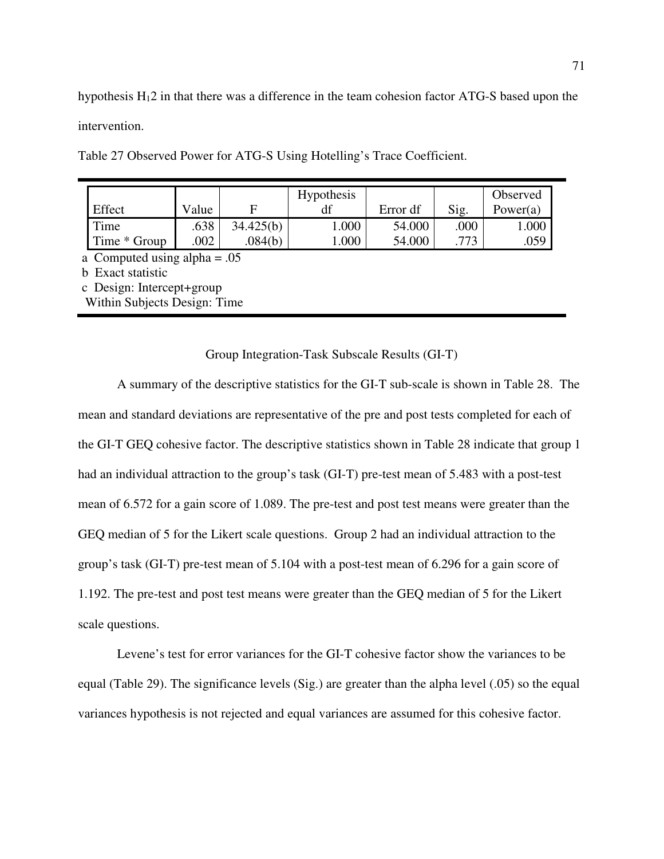hypothesis  $H<sub>1</sub>2$  in that there was a difference in the team cohesion factor ATG-S based upon the intervention.

|              |       |           | <b>Hypothesis</b> |          |      | Observed |
|--------------|-------|-----------|-------------------|----------|------|----------|
| Effect       | Value |           |                   | Error df | Sig. | Power(a) |
| Time         | .638  | 34.425(b) | 1.000             | 54.000   | .000 | 1.000    |
| Time * Group | 002   | .084(b)   | .000              | 54.000   | 773  | .059     |

Table 27 Observed Power for ATG-S Using Hotelling's Trace Coefficient.

a Computed using alpha  $= .05$ 

b Exact statistic

c Design: Intercept+group

Within Subjects Design: Time

Group Integration-Task Subscale Results (GI-T)

A summary of the descriptive statistics for the GI-T sub-scale is shown in Table 28. The mean and standard deviations are representative of the pre and post tests completed for each of the GI-T GEQ cohesive factor. The descriptive statistics shown in Table 28 indicate that group 1 had an individual attraction to the group's task (GI-T) pre-test mean of 5.483 with a post-test mean of 6.572 for a gain score of 1.089. The pre-test and post test means were greater than the GEQ median of 5 for the Likert scale questions. Group 2 had an individual attraction to the group's task (GI-T) pre-test mean of 5.104 with a post-test mean of 6.296 for a gain score of 1.192. The pre-test and post test means were greater than the GEQ median of 5 for the Likert scale questions.

 Levene's test for error variances for the GI-T cohesive factor show the variances to be equal (Table 29). The significance levels (Sig.) are greater than the alpha level (.05) so the equal variances hypothesis is not rejected and equal variances are assumed for this cohesive factor.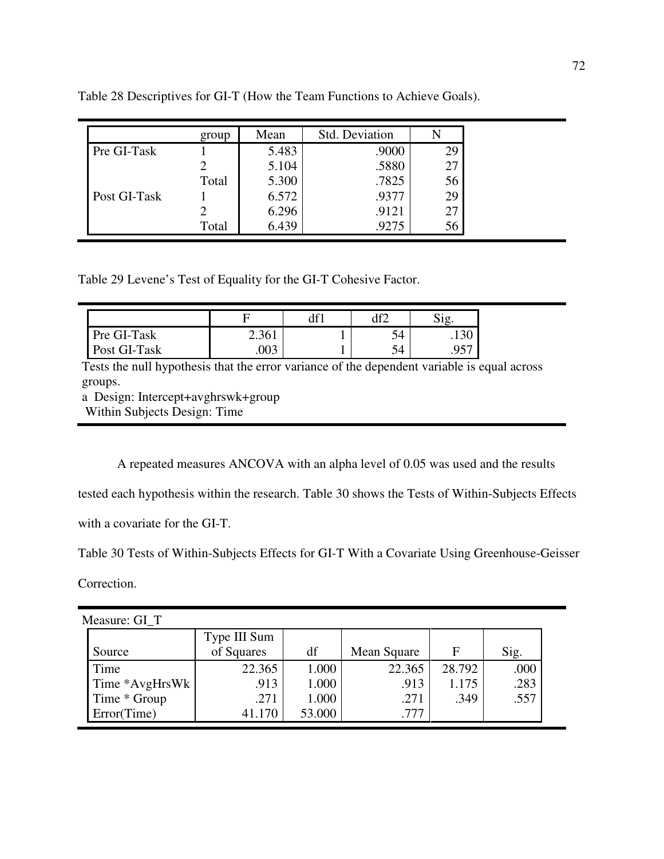|              | group | Mean  | Std. Deviation |    |
|--------------|-------|-------|----------------|----|
| Pre GI-Task  |       | 5.483 | .9000          | 29 |
|              |       | 5.104 | .5880          | 27 |
|              | Total | 5.300 | .7825          | 56 |
| Post GI-Task |       | 6.572 | .9377          | 29 |
|              |       | 6.296 | .9121          | 27 |
|              | Total | 6.439 | .9275          | 56 |

Table 28 Descriptives for GI-T (How the Team Functions to Achieve Goals).

Table 29 Levene's Test of Equality for the GI-T Cohesive Factor.

|              |       | ነድኅ |         |
|--------------|-------|-----|---------|
| Pre GI-Task  | 2.361 | 54  | . 1 J U |
| Post GI-Task |       | 54  | ر ر.    |

Tests the null hypothesis that the error variance of the dependent variable is equal across groups.

a Design: Intercept+avghrswk+group

Within Subjects Design: Time

A repeated measures ANCOVA with an alpha level of 0.05 was used and the results

tested each hypothesis within the research. Table 30 shows the Tests of Within-Subjects Effects

with a covariate for the GI-T.

Table 30 Tests of Within-Subjects Effects for GI-T With a Covariate Using Greenhouse-Geisser

Correction.

 $\blacksquare$ 

Measure: GI\_T

|                | Type III Sum |        |             |        |      |
|----------------|--------------|--------|-------------|--------|------|
| Source         | of Squares   | df     | Mean Square | F      | Sig. |
| Time           | 22.365       | 1.000  | 22.365      | 28.792 | .000 |
| Time *AvgHrsWk | .913         | 1.000  | .913        | 1.175  | .283 |
| Time * Group   | .271         | 1.000  | .271        | .349   | .557 |
| Error(Time)    |              | 53.000 | .777        |        |      |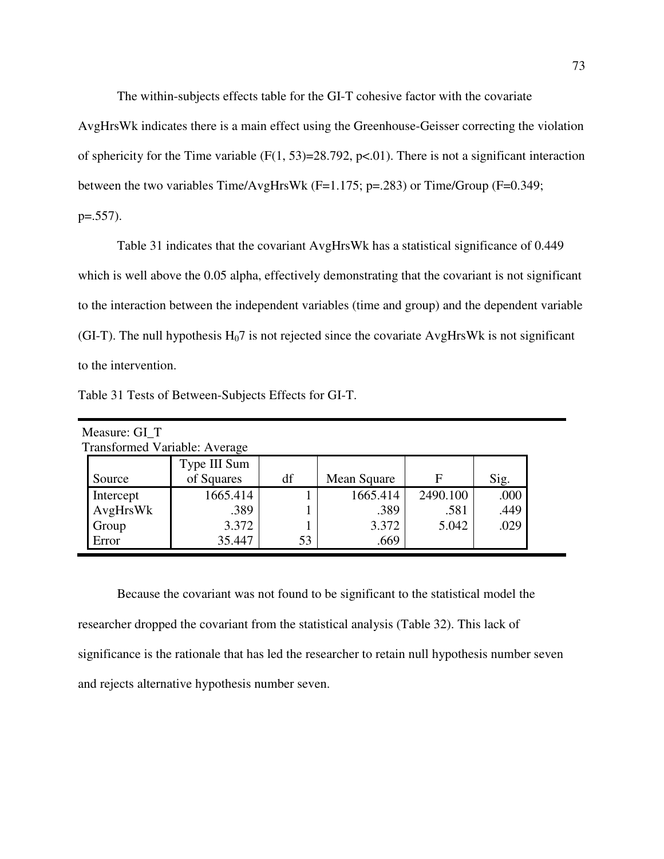The within-subjects effects table for the GI-T cohesive factor with the covariate

AvgHrsWk indicates there is a main effect using the Greenhouse-Geisser correcting the violation of sphericity for the Time variable  $(F(1, 53)=28.792, p<0.01)$ . There is not a significant interaction between the two variables Time/AvgHrsWk (F=1.175; p=.283) or Time/Group (F=0.349; p=.557).

Table 31 indicates that the covariant AvgHrsWk has a statistical significance of 0.449 which is well above the 0.05 alpha, effectively demonstrating that the covariant is not significant to the interaction between the independent variables (time and group) and the dependent variable (GI-T). The null hypothesis  $H_0$ 7 is not rejected since the covariate AvgHrsWk is not significant to the intervention.

|  | Table 31 Tests of Between-Subjects Effects for GI-T. |  |  |
|--|------------------------------------------------------|--|--|
|  |                                                      |  |  |

| Measure: GI_T                        |              |    |             |          |      |  |  |  |  |  |  |
|--------------------------------------|--------------|----|-------------|----------|------|--|--|--|--|--|--|
| <b>Transformed Variable: Average</b> |              |    |             |          |      |  |  |  |  |  |  |
|                                      | Type III Sum |    |             |          |      |  |  |  |  |  |  |
| Source                               | of Squares   | df | Mean Square | F        | Sig. |  |  |  |  |  |  |
| Intercept                            | 1665.414     |    | 1665.414    | 2490.100 | .000 |  |  |  |  |  |  |
| AvgHrsWk                             | .389         |    | .389        | .581     | .449 |  |  |  |  |  |  |
| Group                                | 3.372        |    | 3.372       | 5.042    | .029 |  |  |  |  |  |  |
| Error                                | 35.447       | 53 | .669        |          |      |  |  |  |  |  |  |

Because the covariant was not found to be significant to the statistical model the researcher dropped the covariant from the statistical analysis (Table 32). This lack of significance is the rationale that has led the researcher to retain null hypothesis number seven and rejects alternative hypothesis number seven.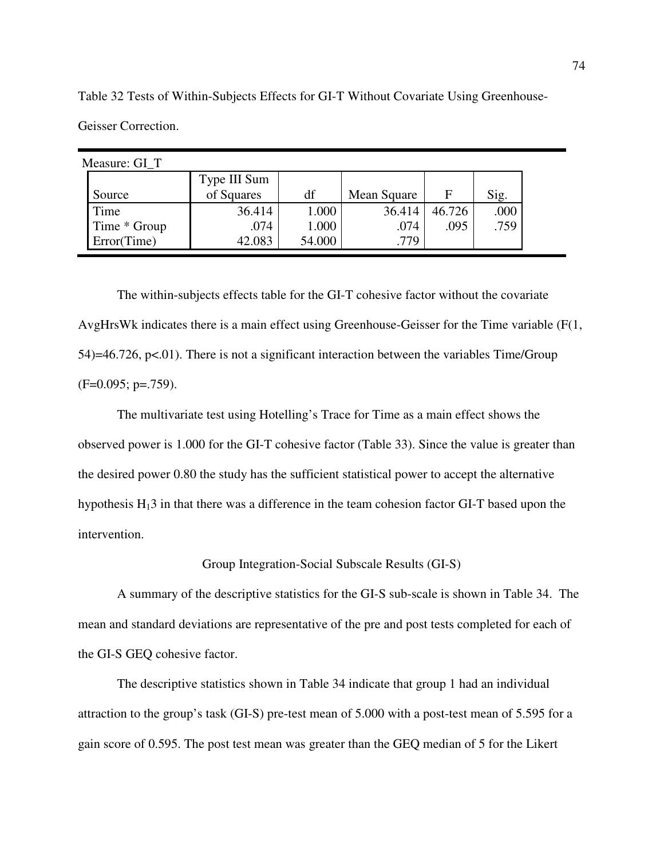Measure: GI\_T Source Type III Sum of Squares  $df$  Mean Square  $F$  Sig. Time 1.000 36.414 1.000 36.414 46.726 .000 Time \* Group 1.000 .074 | 1.000 .074 .095 | .759 Error(Time) 42.083 54.000 54.000 .779

Table 32 Tests of Within-Subjects Effects for GI-T Without Covariate Using Greenhouse-Geisser Correction.

The within-subjects effects table for the GI-T cohesive factor without the covariate AvgHrsWk indicates there is a main effect using Greenhouse-Geisser for the Time variable (F(1,  $54$ )=46.726, p<.01). There is not a significant interaction between the variables Time/Group  $(F=0.095; p=.759)$ .

The multivariate test using Hotelling's Trace for Time as a main effect shows the observed power is 1.000 for the GI-T cohesive factor (Table 33). Since the value is greater than the desired power 0.80 the study has the sufficient statistical power to accept the alternative hypothesis  $H_13$  in that there was a difference in the team cohesion factor GI-T based upon the intervention.

Group Integration-Social Subscale Results (GI-S)

A summary of the descriptive statistics for the GI-S sub-scale is shown in Table 34. The mean and standard deviations are representative of the pre and post tests completed for each of the GI-S GEQ cohesive factor.

The descriptive statistics shown in Table 34 indicate that group 1 had an individual attraction to the group's task (GI-S) pre-test mean of 5.000 with a post-test mean of 5.595 for a gain score of 0.595. The post test mean was greater than the GEQ median of 5 for the Likert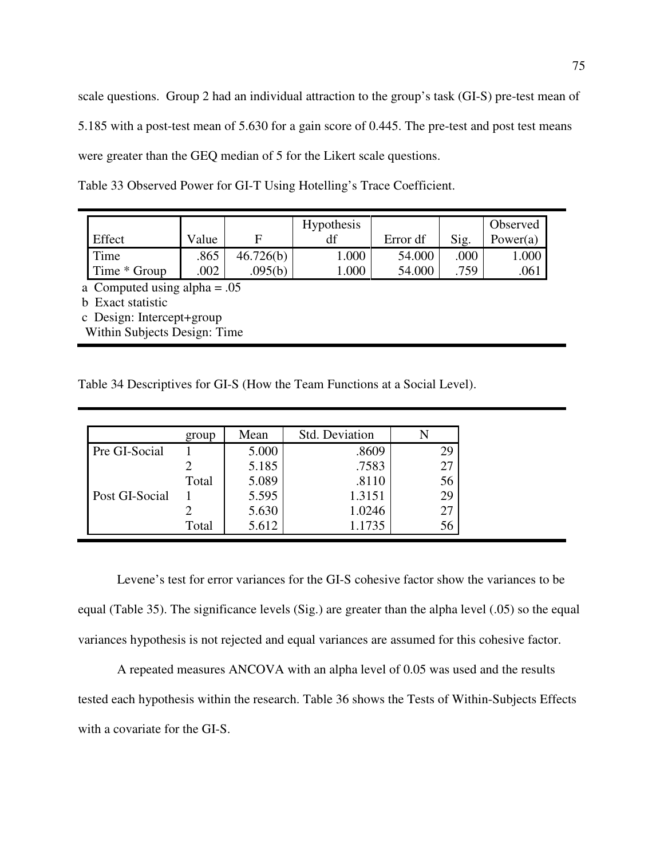scale questions. Group 2 had an individual attraction to the group's task (GI-S) pre-test mean of 5.185 with a post-test mean of 5.630 for a gain score of 0.445. The pre-test and post test means were greater than the GEQ median of 5 for the Likert scale questions.

Table 33 Observed Power for GI-T Using Hotelling's Trace Coefficient.

|              |       |           | <b>Hypothesis</b> |          |      | Observed |
|--------------|-------|-----------|-------------------|----------|------|----------|
| Effect       | Value |           |                   | Error df | Sig. | Power(a) |
| Time         | .865  | 46.726(b) | 000.1             | 54.000   | .000 | .000     |
| Time * Group | .002  | 095(b)    | 000.              | 54.000   | 759  | .061     |

a Computed using alpha = .05

b Exact statistic

c Design: Intercept+group

Within Subjects Design: Time

Table 34 Descriptives for GI-S (How the Team Functions at a Social Level).

|                | group | Mean  | Std. Deviation |    |
|----------------|-------|-------|----------------|----|
| Pre GI-Social  |       | 5.000 | .8609          | 29 |
|                |       | 5.185 | .7583          | 27 |
|                | Total | 5.089 | .8110          | 56 |
| Post GI-Social |       | 5.595 | 1.3151         | 29 |
|                |       | 5.630 | 1.0246         | 27 |
|                | Total | 5.612 | 1.1735         | 56 |

 Levene's test for error variances for the GI-S cohesive factor show the variances to be equal (Table 35). The significance levels (Sig.) are greater than the alpha level (.05) so the equal variances hypothesis is not rejected and equal variances are assumed for this cohesive factor.

A repeated measures ANCOVA with an alpha level of 0.05 was used and the results tested each hypothesis within the research. Table 36 shows the Tests of Within-Subjects Effects with a covariate for the GI-S.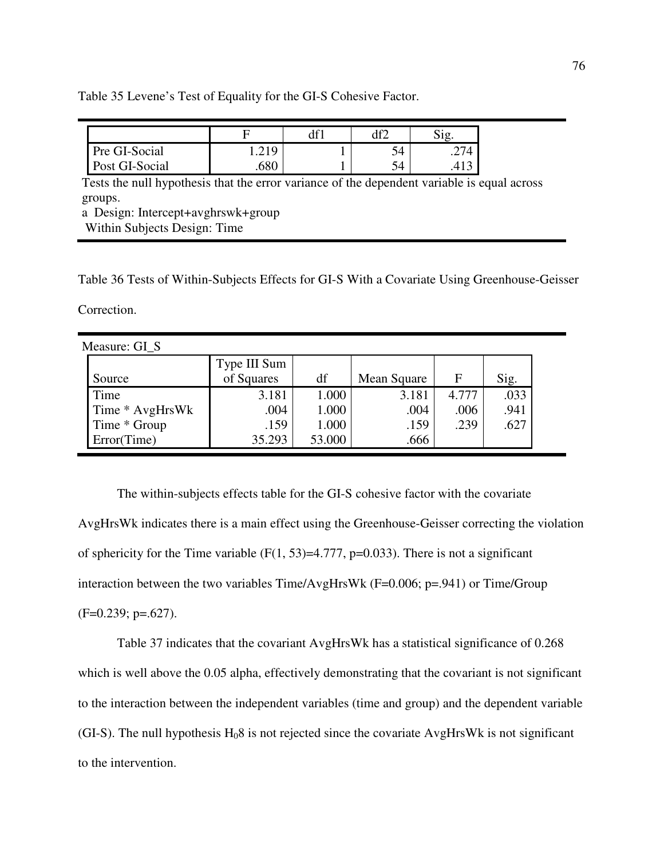Table 35 Levene's Test of Equality for the GI-S Cohesive Factor.

| Pre GI-Social  | $\mathbf{I} \cdot \mathbf{A} \cdot \mathbf{I}$ . | ے ر  |  |
|----------------|--------------------------------------------------|------|--|
| Post GI-Social | .680                                             | - 34 |  |

Tests the null hypothesis that the error variance of the dependent variable is equal across groups.

a Design: Intercept+avghrswk+group

Within Subjects Design: Time

Table 36 Tests of Within-Subjects Effects for GI-S With a Covariate Using Greenhouse-Geisser

Correction.

| Measure: GI S   |              |        |             |       |      |
|-----------------|--------------|--------|-------------|-------|------|
|                 | Type III Sum |        |             |       |      |
| Source          | of Squares   | df     | Mean Square | F     | Sig. |
| Time            | 3.181        | 1.000  | 3.181       | 4.777 | .033 |
| Time * AvgHrsWk | .004         | 1.000  | .004        | .006  | .941 |
| Time * Group    | .159         | 1.000  | .159        | .239  | .627 |
| Error(Time)     | 35.293       | 53.000 | .666        |       |      |

The within-subjects effects table for the GI-S cohesive factor with the covariate AvgHrsWk indicates there is a main effect using the Greenhouse-Geisser correcting the violation of sphericity for the Time variable  $(F(1, 53)=4.777, p=0.033)$ . There is not a significant interaction between the two variables Time/AvgHrsWk (F=0.006; p=.941) or Time/Group  $(F=0.239; p=.627)$ .

Table 37 indicates that the covariant AvgHrsWk has a statistical significance of 0.268 which is well above the 0.05 alpha, effectively demonstrating that the covariant is not significant to the interaction between the independent variables (time and group) and the dependent variable (GI-S). The null hypothesis  $H_08$  is not rejected since the covariate AvgHrsWk is not significant to the intervention.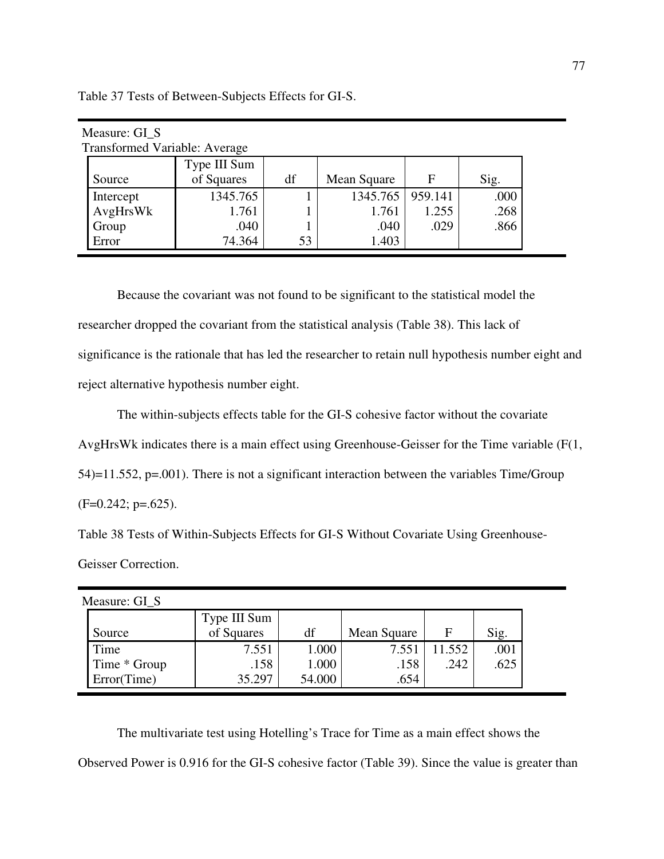| Measure: GI_S                 |              |    |                    |       |      |  |  |  |
|-------------------------------|--------------|----|--------------------|-------|------|--|--|--|
| Transformed Variable: Average |              |    |                    |       |      |  |  |  |
|                               | Type III Sum |    |                    |       |      |  |  |  |
| Source                        | of Squares   | df | Mean Square        | F     | Sig. |  |  |  |
| Intercept                     | 1345.765     |    | 1345.765   959.141 |       | .000 |  |  |  |
| AvgHrsWk                      | 1.761        |    | 1.761              | 1.255 | .268 |  |  |  |
| Group                         | .040         |    | .040               | .029  | .866 |  |  |  |
| Error                         | 74.364       | 53 | 1.403              |       |      |  |  |  |

Table 37 Tests of Between-Subjects Effects for GI-S.

Because the covariant was not found to be significant to the statistical model the researcher dropped the covariant from the statistical analysis (Table 38). This lack of significance is the rationale that has led the researcher to retain null hypothesis number eight and reject alternative hypothesis number eight.

The within-subjects effects table for the GI-S cohesive factor without the covariate AvgHrsWk indicates there is a main effect using Greenhouse-Geisser for the Time variable (F(1, 54)=11.552, p=.001). There is not a significant interaction between the variables Time/Group  $(F=0.242; p=.625)$ .

Table 38 Tests of Within-Subjects Effects for GI-S Without Covariate Using Greenhouse-Geisser Correction.

| Measure: GI_S |              |        |             |       |      |
|---------------|--------------|--------|-------------|-------|------|
|               | Type III Sum |        |             |       |      |
| Source        | of Squares   | df     | Mean Square | F     | Sig. |
| Time          | 7.551        | 1.000  | 7.551       | 1.552 | .001 |
| Time * Group  | .158         | 1.000  | .158        | .242  | .625 |
| Error(Time)   | 35.297       | 54.000 | .654        |       |      |

The multivariate test using Hotelling's Trace for Time as a main effect shows the Observed Power is 0.916 for the GI-S cohesive factor (Table 39). Since the value is greater than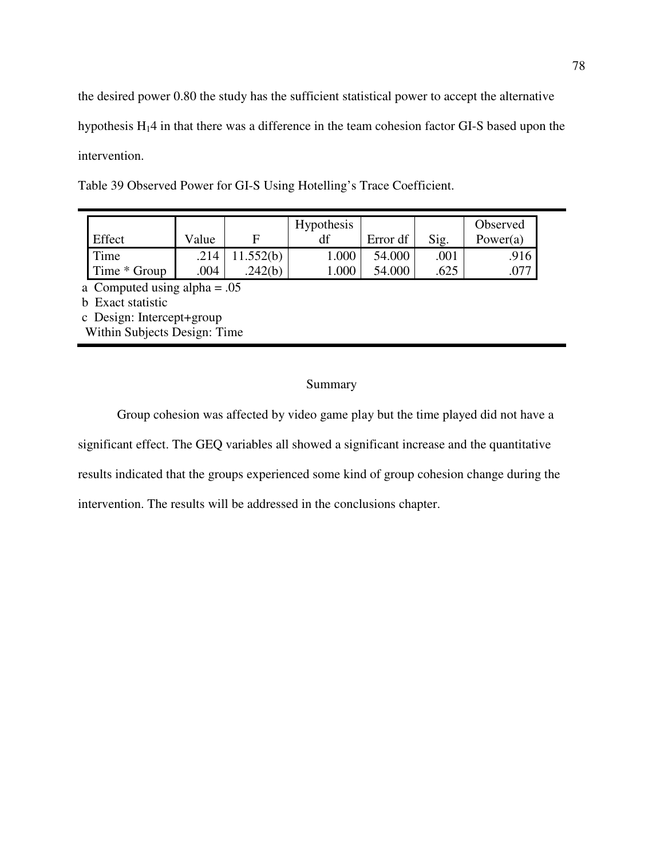the desired power 0.80 the study has the sufficient statistical power to accept the alternative hypothesis H14 in that there was a difference in the team cohesion factor GI-S based upon the intervention.

| Effect                              | Value | F         | <b>Hypothesis</b> | Error df | Sig. | Observed<br>Power $(a)$ |
|-------------------------------------|-------|-----------|-------------------|----------|------|-------------------------|
| Time                                | .214  | 11.552(b) | 1.000             | 54.000   | .001 | .916                    |
| Time * Group                        | .004  | 242(b)    | 0.000             | 54.000   | .625 | .077                    |
| $\alpha$ Computed using alpha $-05$ |       |           |                   |          |      |                         |

Table 39 Observed Power for GI-S Using Hotelling's Trace Coefficient.

a Computed using alpha = .05

b Exact statistic

c Design: Intercept+group Within Subjects Design: Time

# Summary

 Group cohesion was affected by video game play but the time played did not have a significant effect. The GEQ variables all showed a significant increase and the quantitative results indicated that the groups experienced some kind of group cohesion change during the intervention. The results will be addressed in the conclusions chapter.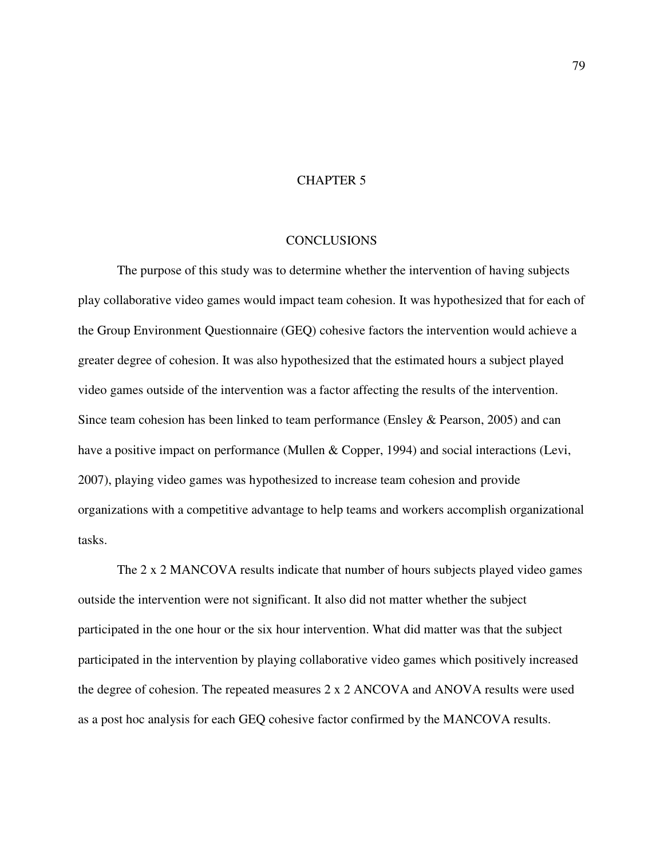## CHAPTER 5

#### CONCLUSIONS

The purpose of this study was to determine whether the intervention of having subjects play collaborative video games would impact team cohesion. It was hypothesized that for each of the Group Environment Questionnaire (GEQ) cohesive factors the intervention would achieve a greater degree of cohesion. It was also hypothesized that the estimated hours a subject played video games outside of the intervention was a factor affecting the results of the intervention. Since team cohesion has been linked to team performance (Ensley & Pearson, 2005) and can have a positive impact on performance (Mullen & Copper, 1994) and social interactions (Levi, 2007), playing video games was hypothesized to increase team cohesion and provide organizations with a competitive advantage to help teams and workers accomplish organizational tasks.

The 2 x 2 MANCOVA results indicate that number of hours subjects played video games outside the intervention were not significant. It also did not matter whether the subject participated in the one hour or the six hour intervention. What did matter was that the subject participated in the intervention by playing collaborative video games which positively increased the degree of cohesion. The repeated measures 2 x 2 ANCOVA and ANOVA results were used as a post hoc analysis for each GEQ cohesive factor confirmed by the MANCOVA results.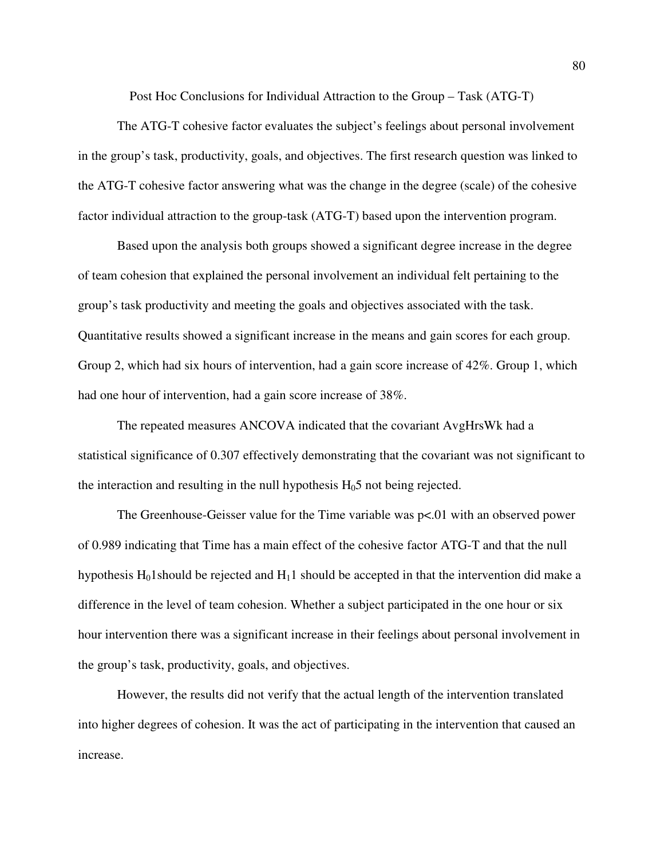Post Hoc Conclusions for Individual Attraction to the Group – Task (ATG-T)

The ATG-T cohesive factor evaluates the subject's feelings about personal involvement in the group's task, productivity, goals, and objectives. The first research question was linked to the ATG-T cohesive factor answering what was the change in the degree (scale) of the cohesive factor individual attraction to the group-task (ATG-T) based upon the intervention program.

Based upon the analysis both groups showed a significant degree increase in the degree of team cohesion that explained the personal involvement an individual felt pertaining to the group's task productivity and meeting the goals and objectives associated with the task. Quantitative results showed a significant increase in the means and gain scores for each group. Group 2, which had six hours of intervention, had a gain score increase of 42%. Group 1, which had one hour of intervention, had a gain score increase of 38%.

The repeated measures ANCOVA indicated that the covariant AvgHrsWk had a statistical significance of 0.307 effectively demonstrating that the covariant was not significant to the interaction and resulting in the null hypothesis  $H_0$ 5 not being rejected.

 The Greenhouse-Geisser value for the Time variable was p<.01 with an observed power of 0.989 indicating that Time has a main effect of the cohesive factor ATG-T and that the null hypothesis  $H_01$ should be rejected and  $H_11$  should be accepted in that the intervention did make a difference in the level of team cohesion. Whether a subject participated in the one hour or six hour intervention there was a significant increase in their feelings about personal involvement in the group's task, productivity, goals, and objectives.

 However, the results did not verify that the actual length of the intervention translated into higher degrees of cohesion. It was the act of participating in the intervention that caused an increase.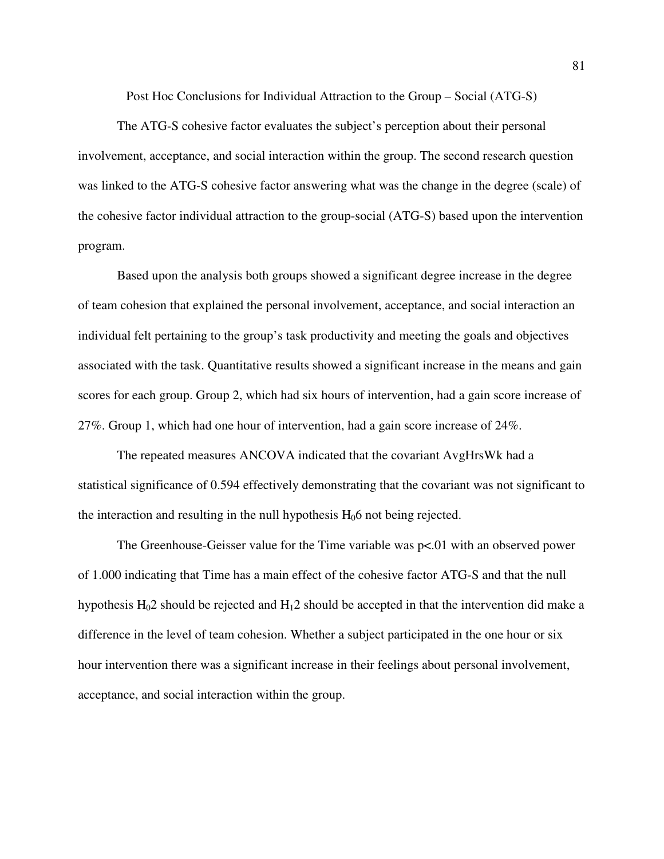Post Hoc Conclusions for Individual Attraction to the Group – Social (ATG-S)

The ATG-S cohesive factor evaluates the subject's perception about their personal involvement, acceptance, and social interaction within the group. The second research question was linked to the ATG-S cohesive factor answering what was the change in the degree (scale) of the cohesive factor individual attraction to the group-social (ATG-S) based upon the intervention program.

Based upon the analysis both groups showed a significant degree increase in the degree of team cohesion that explained the personal involvement, acceptance, and social interaction an individual felt pertaining to the group's task productivity and meeting the goals and objectives associated with the task. Quantitative results showed a significant increase in the means and gain scores for each group. Group 2, which had six hours of intervention, had a gain score increase of 27%. Group 1, which had one hour of intervention, had a gain score increase of 24%.

The repeated measures ANCOVA indicated that the covariant AvgHrsWk had a statistical significance of 0.594 effectively demonstrating that the covariant was not significant to the interaction and resulting in the null hypothesis  $H_0$ 6 not being rejected.

 The Greenhouse-Geisser value for the Time variable was p<.01 with an observed power of 1.000 indicating that Time has a main effect of the cohesive factor ATG-S and that the null hypothesis  $H_0$ 2 should be rejected and  $H_1$ 2 should be accepted in that the intervention did make a difference in the level of team cohesion. Whether a subject participated in the one hour or six hour intervention there was a significant increase in their feelings about personal involvement, acceptance, and social interaction within the group.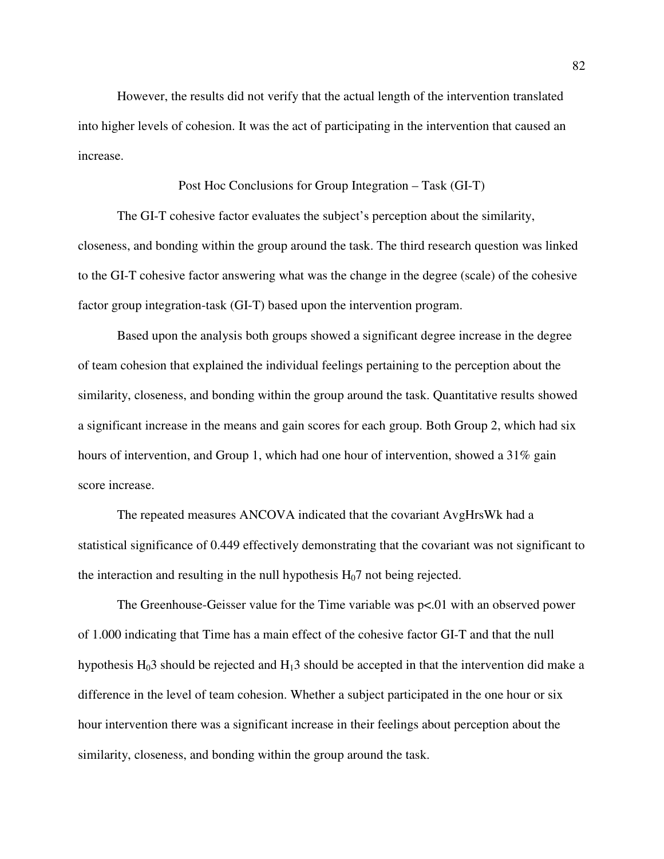However, the results did not verify that the actual length of the intervention translated into higher levels of cohesion. It was the act of participating in the intervention that caused an increase.

## Post Hoc Conclusions for Group Integration – Task (GI-T)

The GI-T cohesive factor evaluates the subject's perception about the similarity, closeness, and bonding within the group around the task. The third research question was linked to the GI-T cohesive factor answering what was the change in the degree (scale) of the cohesive factor group integration-task (GI-T) based upon the intervention program.

Based upon the analysis both groups showed a significant degree increase in the degree of team cohesion that explained the individual feelings pertaining to the perception about the similarity, closeness, and bonding within the group around the task. Quantitative results showed a significant increase in the means and gain scores for each group. Both Group 2, which had six hours of intervention, and Group 1, which had one hour of intervention, showed a 31% gain score increase.

The repeated measures ANCOVA indicated that the covariant AvgHrsWk had a statistical significance of 0.449 effectively demonstrating that the covariant was not significant to the interaction and resulting in the null hypothesis  $H<sub>0</sub>7$  not being rejected.

 The Greenhouse-Geisser value for the Time variable was p<.01 with an observed power of 1.000 indicating that Time has a main effect of the cohesive factor GI-T and that the null hypothesis  $H_0$ 3 should be rejected and  $H_1$ 3 should be accepted in that the intervention did make a difference in the level of team cohesion. Whether a subject participated in the one hour or six hour intervention there was a significant increase in their feelings about perception about the similarity, closeness, and bonding within the group around the task.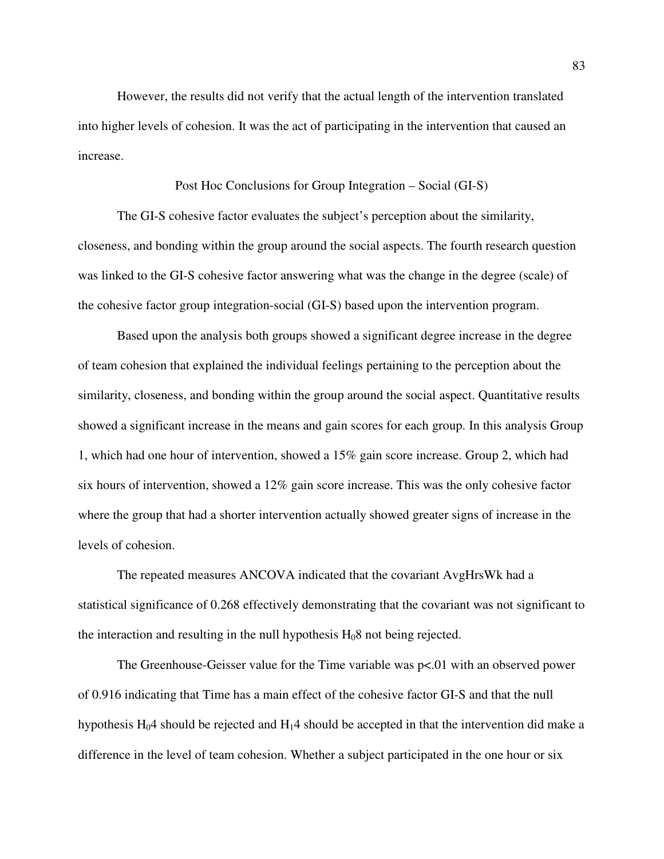However, the results did not verify that the actual length of the intervention translated into higher levels of cohesion. It was the act of participating in the intervention that caused an increase.

#### Post Hoc Conclusions for Group Integration – Social (GI-S)

The GI-S cohesive factor evaluates the subject's perception about the similarity, closeness, and bonding within the group around the social aspects. The fourth research question was linked to the GI-S cohesive factor answering what was the change in the degree (scale) of the cohesive factor group integration-social (GI-S) based upon the intervention program.

Based upon the analysis both groups showed a significant degree increase in the degree of team cohesion that explained the individual feelings pertaining to the perception about the similarity, closeness, and bonding within the group around the social aspect. Quantitative results showed a significant increase in the means and gain scores for each group. In this analysis Group 1, which had one hour of intervention, showed a 15% gain score increase. Group 2, which had six hours of intervention, showed a 12% gain score increase. This was the only cohesive factor where the group that had a shorter intervention actually showed greater signs of increase in the levels of cohesion.

The repeated measures ANCOVA indicated that the covariant AvgHrsWk had a statistical significance of 0.268 effectively demonstrating that the covariant was not significant to the interaction and resulting in the null hypothesis  $H_08$  not being rejected.

 The Greenhouse-Geisser value for the Time variable was p<.01 with an observed power of 0.916 indicating that Time has a main effect of the cohesive factor GI-S and that the null hypothesis  $H_0$ 4 should be rejected and  $H_1$ 4 should be accepted in that the intervention did make a difference in the level of team cohesion. Whether a subject participated in the one hour or six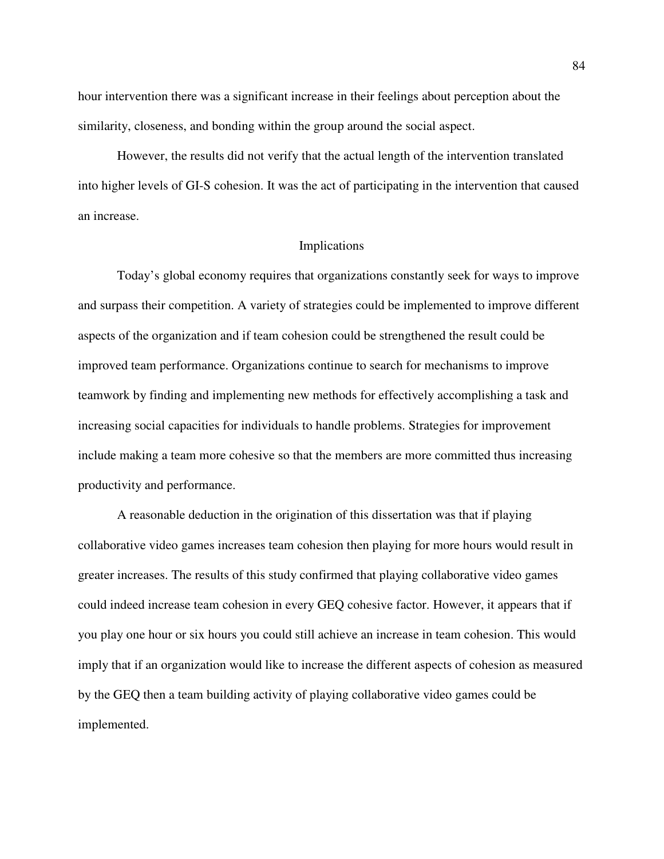hour intervention there was a significant increase in their feelings about perception about the similarity, closeness, and bonding within the group around the social aspect.

 However, the results did not verify that the actual length of the intervention translated into higher levels of GI-S cohesion. It was the act of participating in the intervention that caused an increase.

#### Implications

 Today's global economy requires that organizations constantly seek for ways to improve and surpass their competition. A variety of strategies could be implemented to improve different aspects of the organization and if team cohesion could be strengthened the result could be improved team performance. Organizations continue to search for mechanisms to improve teamwork by finding and implementing new methods for effectively accomplishing a task and increasing social capacities for individuals to handle problems. Strategies for improvement include making a team more cohesive so that the members are more committed thus increasing productivity and performance.

A reasonable deduction in the origination of this dissertation was that if playing collaborative video games increases team cohesion then playing for more hours would result in greater increases. The results of this study confirmed that playing collaborative video games could indeed increase team cohesion in every GEQ cohesive factor. However, it appears that if you play one hour or six hours you could still achieve an increase in team cohesion. This would imply that if an organization would like to increase the different aspects of cohesion as measured by the GEQ then a team building activity of playing collaborative video games could be implemented.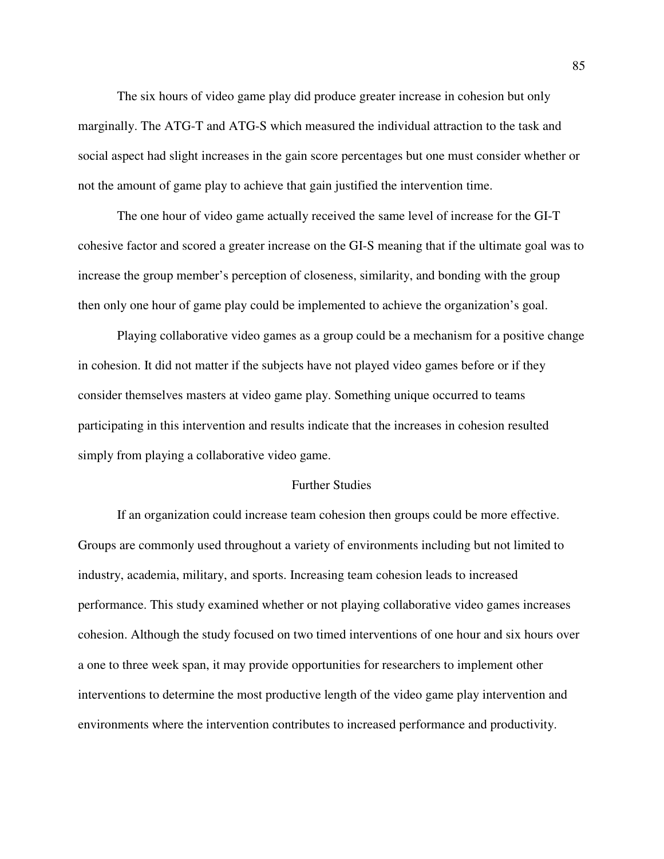The six hours of video game play did produce greater increase in cohesion but only marginally. The ATG-T and ATG-S which measured the individual attraction to the task and social aspect had slight increases in the gain score percentages but one must consider whether or not the amount of game play to achieve that gain justified the intervention time.

 The one hour of video game actually received the same level of increase for the GI-T cohesive factor and scored a greater increase on the GI-S meaning that if the ultimate goal was to increase the group member's perception of closeness, similarity, and bonding with the group then only one hour of game play could be implemented to achieve the organization's goal.

 Playing collaborative video games as a group could be a mechanism for a positive change in cohesion. It did not matter if the subjects have not played video games before or if they consider themselves masters at video game play. Something unique occurred to teams participating in this intervention and results indicate that the increases in cohesion resulted simply from playing a collaborative video game.

## Further Studies

If an organization could increase team cohesion then groups could be more effective. Groups are commonly used throughout a variety of environments including but not limited to industry, academia, military, and sports. Increasing team cohesion leads to increased performance. This study examined whether or not playing collaborative video games increases cohesion. Although the study focused on two timed interventions of one hour and six hours over a one to three week span, it may provide opportunities for researchers to implement other interventions to determine the most productive length of the video game play intervention and environments where the intervention contributes to increased performance and productivity.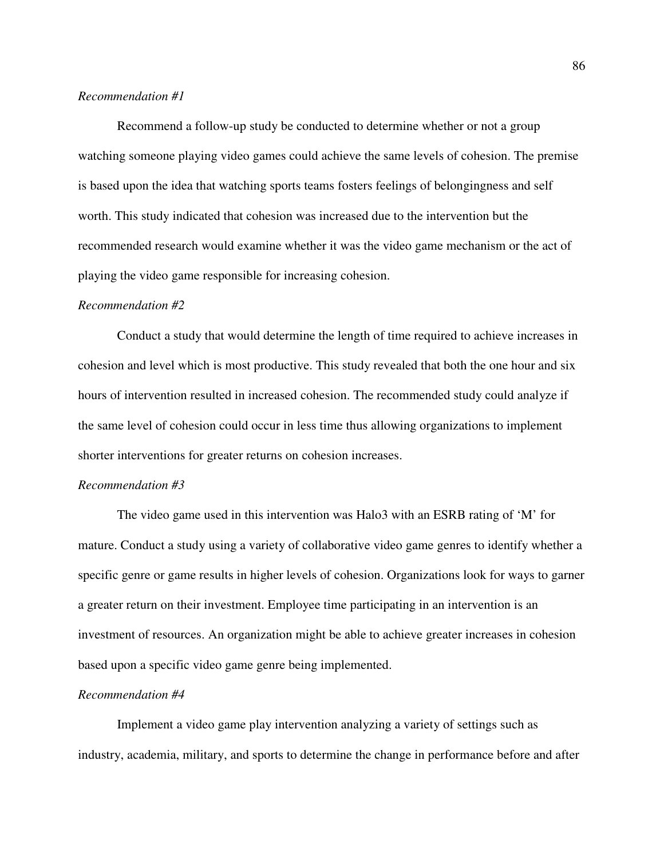## *Recommendation #1*

Recommend a follow-up study be conducted to determine whether or not a group watching someone playing video games could achieve the same levels of cohesion. The premise is based upon the idea that watching sports teams fosters feelings of belongingness and self worth. This study indicated that cohesion was increased due to the intervention but the recommended research would examine whether it was the video game mechanism or the act of playing the video game responsible for increasing cohesion.

#### *Recommendation #2*

Conduct a study that would determine the length of time required to achieve increases in cohesion and level which is most productive. This study revealed that both the one hour and six hours of intervention resulted in increased cohesion. The recommended study could analyze if the same level of cohesion could occur in less time thus allowing organizations to implement shorter interventions for greater returns on cohesion increases.

## *Recommendation #3*

The video game used in this intervention was Halo3 with an ESRB rating of 'M' for mature. Conduct a study using a variety of collaborative video game genres to identify whether a specific genre or game results in higher levels of cohesion. Organizations look for ways to garner a greater return on their investment. Employee time participating in an intervention is an investment of resources. An organization might be able to achieve greater increases in cohesion based upon a specific video game genre being implemented.

### *Recommendation #4*

Implement a video game play intervention analyzing a variety of settings such as industry, academia, military, and sports to determine the change in performance before and after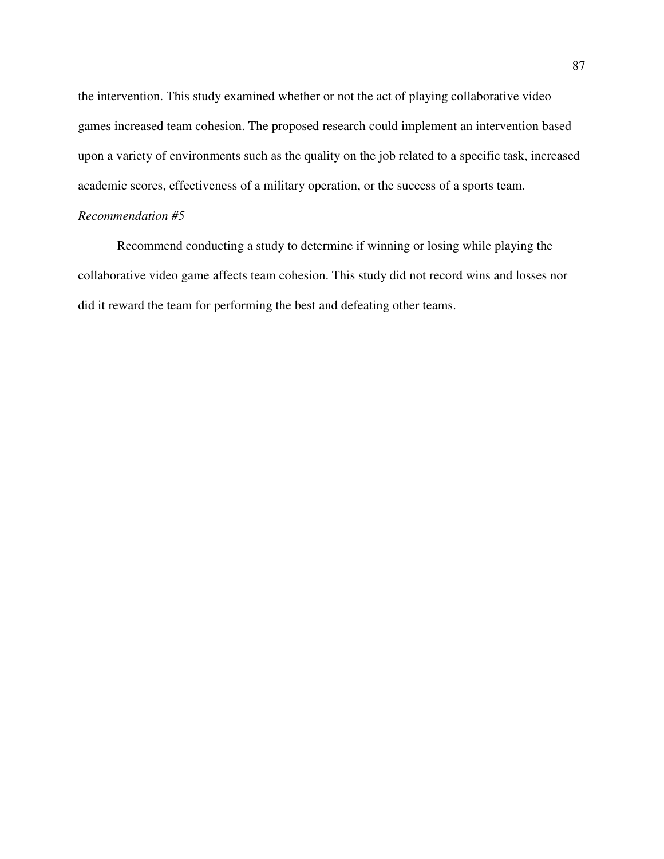the intervention. This study examined whether or not the act of playing collaborative video games increased team cohesion. The proposed research could implement an intervention based upon a variety of environments such as the quality on the job related to a specific task, increased academic scores, effectiveness of a military operation, or the success of a sports team.

# *Recommendation #5*

Recommend conducting a study to determine if winning or losing while playing the collaborative video game affects team cohesion. This study did not record wins and losses nor did it reward the team for performing the best and defeating other teams.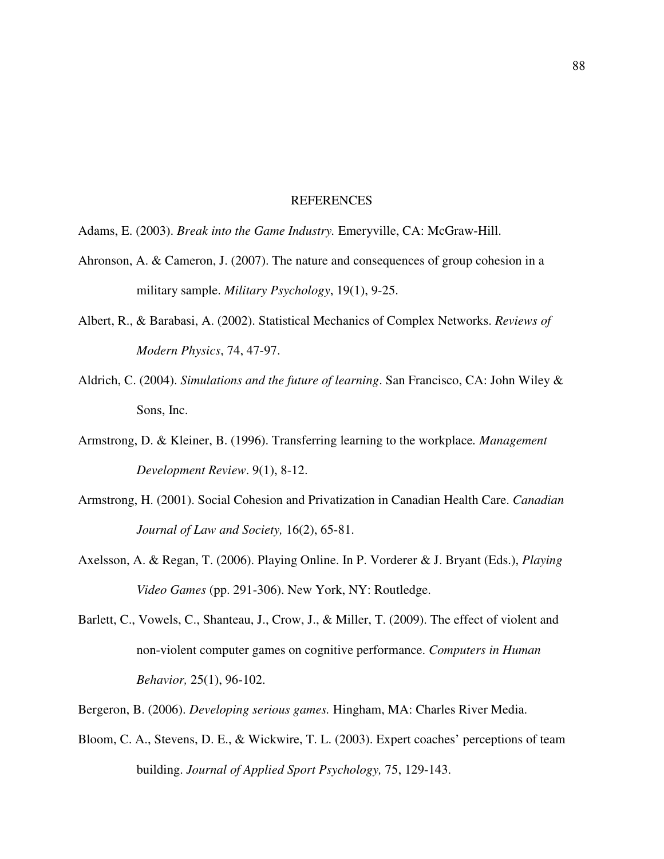#### REFERENCES

- Adams, E. (2003). *Break into the Game Industry.* Emeryville, CA: McGraw-Hill.
- Ahronson, A. & Cameron, J. (2007). The nature and consequences of group cohesion in a military sample. *Military Psychology*, 19(1), 9-25.
- Albert, R., & Barabasi, A. (2002). Statistical Mechanics of Complex Networks. *Reviews of Modern Physics*, 74, 47-97.
- Aldrich, C. (2004). *Simulations and the future of learning*. San Francisco, CA: John Wiley & Sons, Inc.
- Armstrong, D. & Kleiner, B. (1996). Transferring learning to the workplace*. Management Development Review*. 9(1), 8-12.
- Armstrong, H. (2001). Social Cohesion and Privatization in Canadian Health Care. *Canadian Journal of Law and Society,* 16(2), 65-81.
- Axelsson, A. & Regan, T. (2006). Playing Online. In P. Vorderer & J. Bryant (Eds.), *Playing Video Games* (pp. 291-306). New York, NY: Routledge.
- Barlett, C., Vowels, C., Shanteau, J., Crow, J., & Miller, T. (2009). The effect of violent and non-violent computer games on cognitive performance. *Computers in Human Behavior,* 25(1), 96-102.
- Bergeron, B. (2006). *Developing serious games.* Hingham, MA: Charles River Media.
- Bloom, C. A., Stevens, D. E., & Wickwire, T. L. (2003). Expert coaches' perceptions of team building. *Journal of Applied Sport Psychology,* 75, 129-143.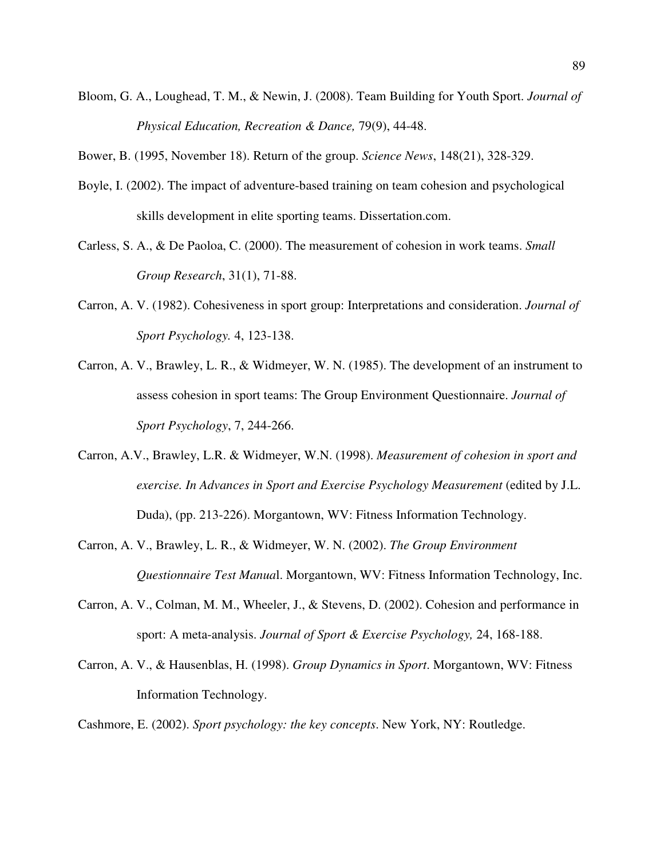Bloom, G. A., Loughead, T. M., & Newin, J. (2008). Team Building for Youth Sport. *Journal of Physical Education, Recreation & Dance,* 79(9), 44-48.

Bower, B. (1995, November 18). Return of the group. *Science News*, 148(21), 328-329.

- Boyle, I. (2002). The impact of adventure-based training on team cohesion and psychological skills development in elite sporting teams. Dissertation.com.
- Carless, S. A., & De Paoloa, C. (2000). The measurement of cohesion in work teams. *Small Group Research*, 31(1), 71-88.
- Carron, A. V. (1982). Cohesiveness in sport group: Interpretations and consideration. *Journal of Sport Psychology.* 4, 123-138.
- Carron, A. V., Brawley, L. R., & Widmeyer, W. N. (1985). The development of an instrument to assess cohesion in sport teams: The Group Environment Questionnaire. *Journal of Sport Psychology*, 7, 244-266.
- Carron, A.V., Brawley, L.R. & Widmeyer, W.N. (1998). *Measurement of cohesion in sport and exercise. In Advances in Sport and Exercise Psychology Measurement* (edited by J.L. Duda), (pp. 213-226). Morgantown, WV: Fitness Information Technology.
- Carron, A. V., Brawley, L. R., & Widmeyer, W. N. (2002). *The Group Environment Questionnaire Test Manua*l. Morgantown, WV: Fitness Information Technology, Inc.
- Carron, A. V., Colman, M. M., Wheeler, J., & Stevens, D. (2002). Cohesion and performance in sport: A meta-analysis. *Journal of Sport & Exercise Psychology,* 24, 168-188.
- Carron, A. V., & Hausenblas, H. (1998). *Group Dynamics in Sport*. Morgantown, WV: Fitness Information Technology.

Cashmore, E. (2002). *Sport psychology: the key concepts*. New York, NY: Routledge.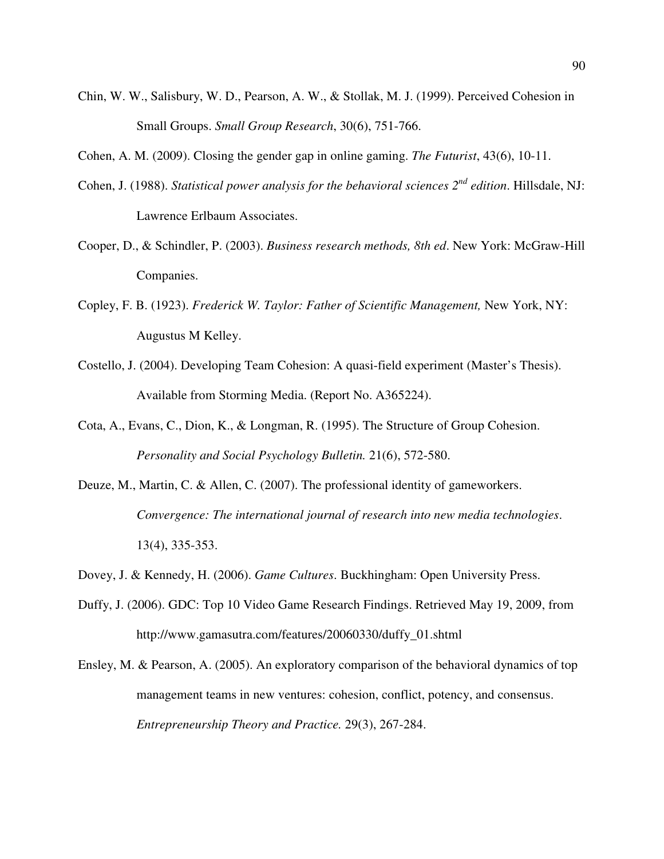- Chin, W. W., Salisbury, W. D., Pearson, A. W., & Stollak, M. J. (1999). Perceived Cohesion in Small Groups. *Small Group Research*, 30(6), 751-766.
- Cohen, A. M. (2009). Closing the gender gap in online gaming. *The Futurist*, 43(6), 10-11.
- Cohen, J. (1988). *Statistical power analysis for the behavioral sciences 2nd edition*. Hillsdale, NJ: Lawrence Erlbaum Associates.
- Cooper, D., & Schindler, P. (2003). *Business research methods, 8th ed*. New York: McGraw-Hill Companies.
- Copley, F. B. (1923). *Frederick W. Taylor: Father of Scientific Management,* New York, NY: Augustus M Kelley.
- Costello, J. (2004). Developing Team Cohesion: A quasi-field experiment (Master's Thesis). Available from Storming Media. (Report No. A365224).
- Cota, A., Evans, C., Dion, K., & Longman, R. (1995). The Structure of Group Cohesion. *Personality and Social Psychology Bulletin.* 21(6), 572-580.
- Deuze, M., Martin, C. & Allen, C. (2007). The professional identity of gameworkers. *Convergence: The international journal of research into new media technologies*. 13(4), 335-353.
- Dovey, J. & Kennedy, H. (2006). *Game Cultures*. Buckhingham: Open University Press.
- Duffy, J. (2006). GDC: Top 10 Video Game Research Findings. Retrieved May 19, 2009, from http://www.gamasutra.com/features/20060330/duffy\_01.shtml
- Ensley, M. & Pearson, A. (2005). An exploratory comparison of the behavioral dynamics of top management teams in new ventures: cohesion, conflict, potency, and consensus. *Entrepreneurship Theory and Practice.* 29(3), 267-284.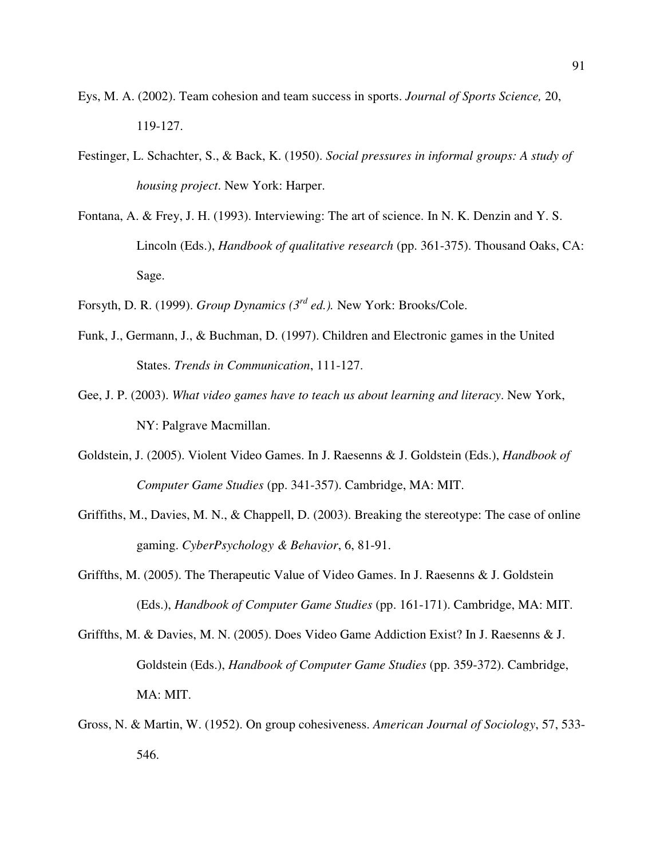- Eys, M. A. (2002). Team cohesion and team success in sports. *Journal of Sports Science,* 20, 119-127.
- Festinger, L. Schachter, S., & Back, K. (1950). *Social pressures in informal groups: A study of housing project*. New York: Harper.
- Fontana, A. & Frey, J. H. (1993). Interviewing: The art of science. In N. K. Denzin and Y. S. Lincoln (Eds.), *Handbook of qualitative research* (pp. 361-375). Thousand Oaks, CA: Sage.
- Forsyth, D. R. (1999). *Group Dynamics (3rd ed.).* New York: Brooks/Cole.
- Funk, J., Germann, J., & Buchman, D. (1997). Children and Electronic games in the United States. *Trends in Communication*, 111-127.
- Gee, J. P. (2003). *What video games have to teach us about learning and literacy*. New York, NY: Palgrave Macmillan.
- Goldstein, J. (2005). Violent Video Games. In J. Raesenns & J. Goldstein (Eds.), *Handbook of Computer Game Studies* (pp. 341-357). Cambridge, MA: MIT.
- Griffiths, M., Davies, M. N., & Chappell, D. (2003). Breaking the stereotype: The case of online gaming. *CyberPsychology & Behavior*, 6, 81-91.
- Griffths, M. (2005). The Therapeutic Value of Video Games. In J. Raesenns & J. Goldstein (Eds.), *Handbook of Computer Game Studies* (pp. 161-171). Cambridge, MA: MIT.
- Griffths, M. & Davies, M. N. (2005). Does Video Game Addiction Exist? In J. Raesenns & J. Goldstein (Eds.), *Handbook of Computer Game Studies* (pp. 359-372). Cambridge, MA: MIT.
- Gross, N. & Martin, W. (1952). On group cohesiveness. *American Journal of Sociology*, 57, 533- 546.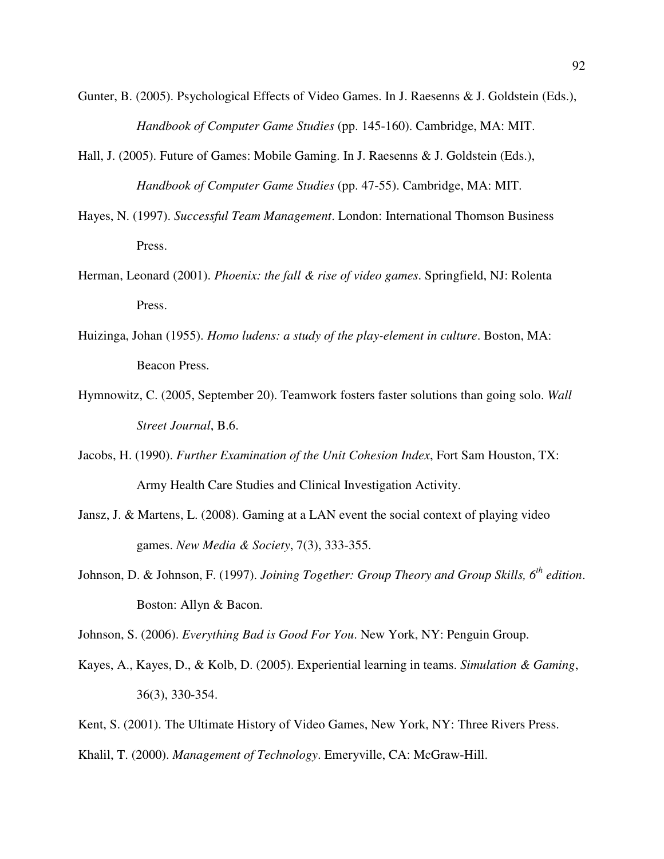- Gunter, B. (2005). Psychological Effects of Video Games. In J. Raesenns & J. Goldstein (Eds.), *Handbook of Computer Game Studies* (pp. 145-160). Cambridge, MA: MIT.
- Hall, J. (2005). Future of Games: Mobile Gaming. In J. Raesenns & J. Goldstein (Eds.), *Handbook of Computer Game Studies* (pp. 47-55). Cambridge, MA: MIT.
- Hayes, N. (1997). *Successful Team Management*. London: International Thomson Business Press.
- Herman, Leonard (2001). *Phoenix: the fall & rise of video games*. Springfield, NJ: Rolenta Press.
- Huizinga, Johan (1955). *Homo ludens: a study of the play-element in culture*. Boston, MA: Beacon Press.
- Hymnowitz, C. (2005, September 20). Teamwork fosters faster solutions than going solo. *Wall Street Journal*, B.6.
- Jacobs, H. (1990). *Further Examination of the Unit Cohesion Index*, Fort Sam Houston, TX: Army Health Care Studies and Clinical Investigation Activity.
- Jansz, J. & Martens, L. (2008). Gaming at a LAN event the social context of playing video games. *New Media & Society*, 7(3), 333-355.
- Johnson, D. & Johnson, F. (1997). *Joining Together: Group Theory and Group Skills, 6th edition*. Boston: Allyn & Bacon.

Johnson, S. (2006). *Everything Bad is Good For You*. New York, NY: Penguin Group.

- Kayes, A., Kayes, D., & Kolb, D. (2005). Experiential learning in teams. *Simulation & Gaming*, 36(3), 330-354.
- Kent, S. (2001). The Ultimate History of Video Games, New York, NY: Three Rivers Press.

Khalil, T. (2000). *Management of Technology*. Emeryville, CA: McGraw-Hill.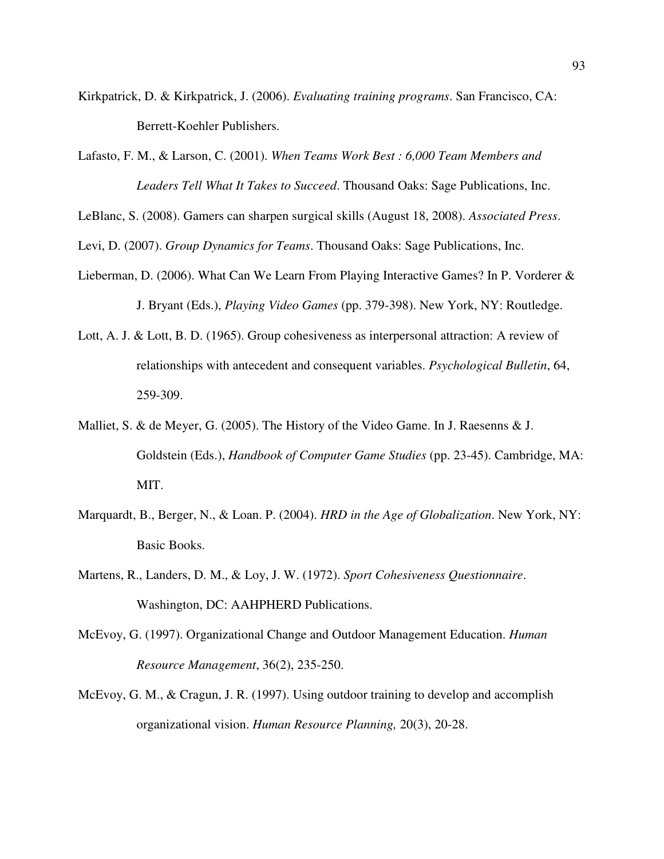- Kirkpatrick, D. & Kirkpatrick, J. (2006). *Evaluating training programs*. San Francisco, CA: Berrett-Koehler Publishers.
- Lafasto, F. M., & Larson, C. (2001). *When Teams Work Best : 6,000 Team Members and Leaders Tell What It Takes to Succeed*. Thousand Oaks: Sage Publications, Inc.

LeBlanc, S. (2008). Gamers can sharpen surgical skills (August 18, 2008). *Associated Press*.

Levi, D. (2007). *Group Dynamics for Teams*. Thousand Oaks: Sage Publications, Inc.

- Lieberman, D. (2006). What Can We Learn From Playing Interactive Games? In P. Vorderer & J. Bryant (Eds.), *Playing Video Games* (pp. 379-398). New York, NY: Routledge.
- Lott, A. J. & Lott, B. D. (1965). Group cohesiveness as interpersonal attraction: A review of relationships with antecedent and consequent variables. *Psychological Bulletin*, 64, 259-309.
- Malliet, S. & de Meyer, G. (2005). The History of the Video Game. In J. Raesenns & J. Goldstein (Eds.), *Handbook of Computer Game Studies* (pp. 23-45). Cambridge, MA: MIT.
- Marquardt, B., Berger, N., & Loan. P. (2004). *HRD in the Age of Globalization*. New York, NY: Basic Books.
- Martens, R., Landers, D. M., & Loy, J. W. (1972). *Sport Cohesiveness Questionnaire*. Washington, DC: AAHPHERD Publications.
- McEvoy, G. (1997). Organizational Change and Outdoor Management Education. *Human Resource Management*, 36(2), 235-250.
- McEvoy, G. M., & Cragun, J. R. (1997). Using outdoor training to develop and accomplish organizational vision. *Human Resource Planning,* 20(3), 20-28.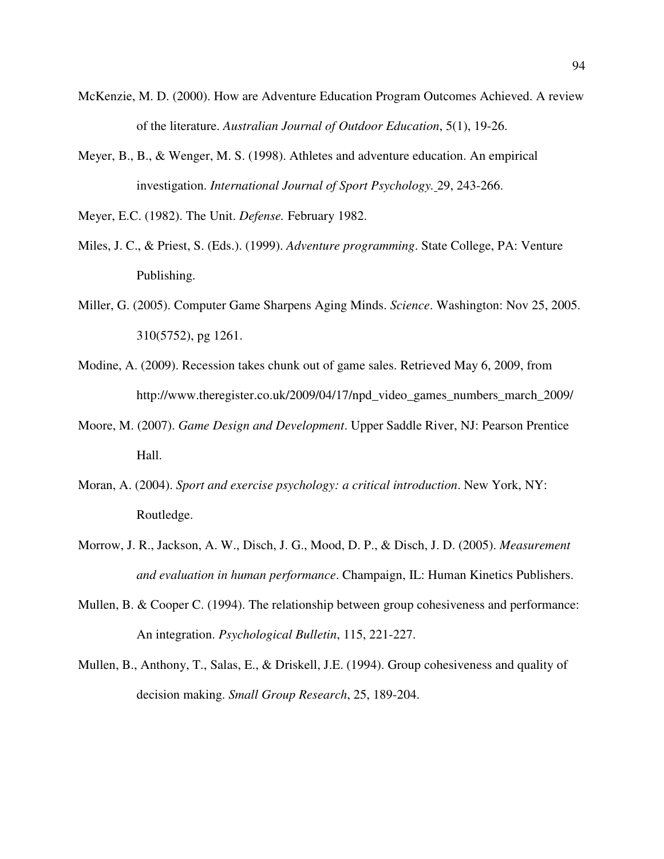- McKenzie, M. D. (2000). How are Adventure Education Program Outcomes Achieved. A review of the literature. *Australian Journal of Outdoor Education*, 5(1), 19-26.
- Meyer, B., B., & Wenger, M. S. (1998). Athletes and adventure education. An empirical investigation. *International Journal of Sport Psychology.* 29, 243-266.

Meyer, E.C. (1982). The Unit. *Defense.* February 1982.

- Miles, J. C., & Priest, S. (Eds.). (1999). *Adventure programming*. State College, PA: Venture Publishing.
- Miller, G. (2005). Computer Game Sharpens Aging Minds. *Science*. Washington: Nov 25, 2005. 310(5752), pg 1261.
- Modine, A. (2009). Recession takes chunk out of game sales. Retrieved May 6, 2009, from http://www.theregister.co.uk/2009/04/17/npd\_video\_games\_numbers\_march\_2009/
- Moore, M. (2007). *Game Design and Development*. Upper Saddle River, NJ: Pearson Prentice Hall.
- Moran, A. (2004). *Sport and exercise psychology: a critical introduction*. New York, NY: Routledge.
- Morrow, J. R., Jackson, A. W., Disch, J. G., Mood, D. P., & Disch, J. D. (2005). *Measurement and evaluation in human performance*. Champaign, IL: Human Kinetics Publishers.
- Mullen, B. & Cooper C. (1994). The relationship between group cohesiveness and performance: An integration. *Psychological Bulletin*, 115, 221-227.
- Mullen, B., Anthony, T., Salas, E., & Driskell, J.E. (1994). Group cohesiveness and quality of decision making. *Small Group Research*, 25, 189-204.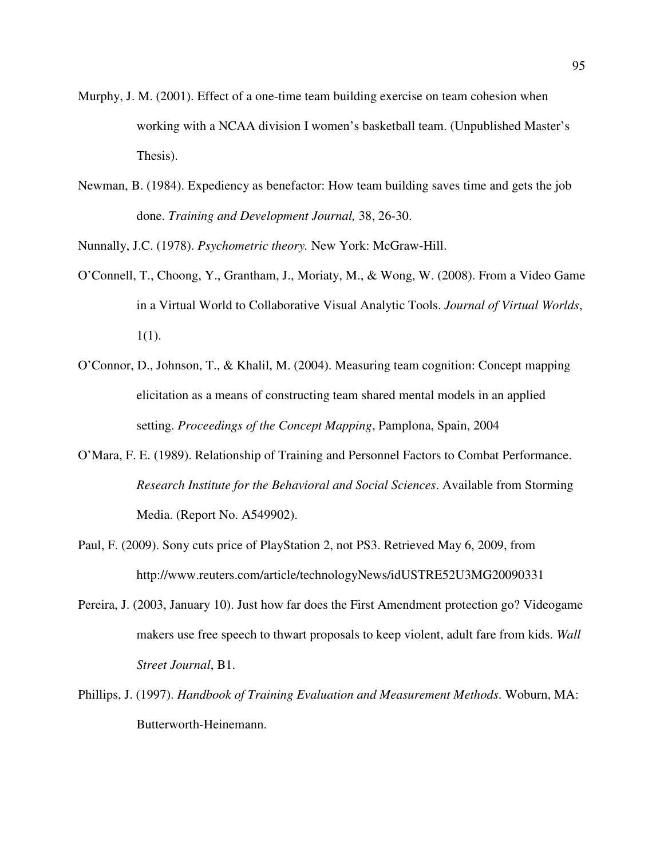- Murphy, J. M. (2001). Effect of a one-time team building exercise on team cohesion when working with a NCAA division I women's basketball team. (Unpublished Master's Thesis).
- Newman, B. (1984). Expediency as benefactor: How team building saves time and gets the job done. *Training and Development Journal,* 38, 26-30.
- Nunnally, J.C. (1978). *Psychometric theory.* New York: McGraw-Hill.
- O'Connell, T., Choong, Y., Grantham, J., Moriaty, M., & Wong, W. (2008). From a Video Game in a Virtual World to Collaborative Visual Analytic Tools. *Journal of Virtual Worlds*, 1(1).
- O'Connor, D., Johnson, T., & Khalil, M. (2004). Measuring team cognition: Concept mapping elicitation as a means of constructing team shared mental models in an applied setting. *Proceedings of the Concept Mapping*, Pamplona, Spain, 2004
- O'Mara, F. E. (1989). Relationship of Training and Personnel Factors to Combat Performance. *Research Institute for the Behavioral and Social Sciences*. Available from Storming Media. (Report No. A549902).
- Paul, F. (2009). Sony cuts price of PlayStation 2, not PS3. Retrieved May 6, 2009, from http://www.reuters.com/article/technologyNews/idUSTRE52U3MG20090331
- Pereira, J. (2003, January 10). Just how far does the First Amendment protection go? Videogame makers use free speech to thwart proposals to keep violent, adult fare from kids. *Wall Street Journal*, B1.
- Phillips, J. (1997). *Handbook of Training Evaluation and Measurement Methods*. Woburn, MA: Butterworth-Heinemann.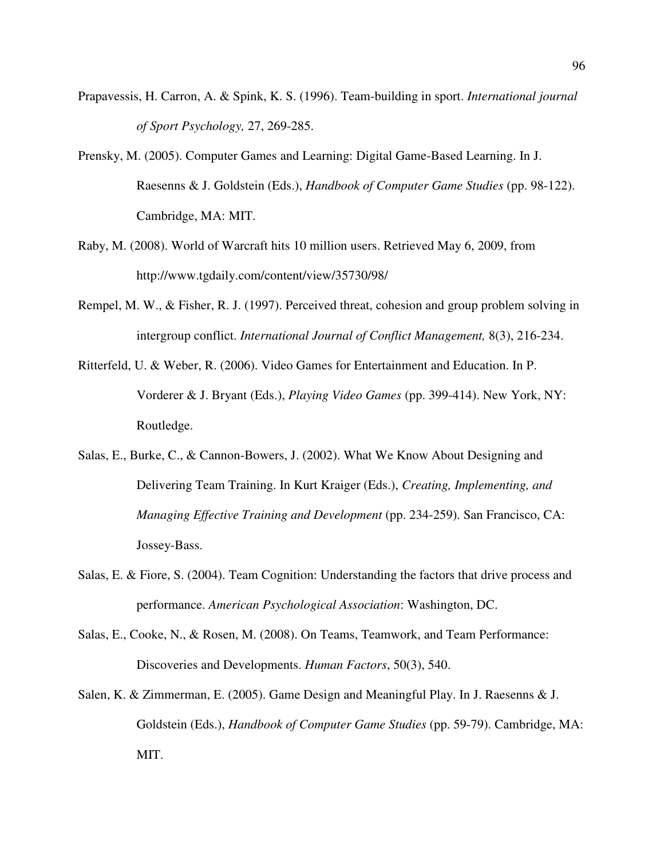- Prapavessis, H. Carron, A. & Spink, K. S. (1996). Team-building in sport. *International journal of Sport Psychology,* 27, 269-285.
- Prensky, M. (2005). Computer Games and Learning: Digital Game-Based Learning. In J. Raesenns & J. Goldstein (Eds.), *Handbook of Computer Game Studies* (pp. 98-122). Cambridge, MA: MIT.
- Raby, M. (2008). World of Warcraft hits 10 million users. Retrieved May 6, 2009, from http://www.tgdaily.com/content/view/35730/98/
- Rempel, M. W., & Fisher, R. J. (1997). Perceived threat, cohesion and group problem solving in intergroup conflict. *International Journal of Conflict Management,* 8(3), 216-234.
- Ritterfeld, U. & Weber, R. (2006). Video Games for Entertainment and Education. In P. Vorderer & J. Bryant (Eds.), *Playing Video Games* (pp. 399-414). New York, NY: Routledge.
- Salas, E., Burke, C., & Cannon-Bowers, J. (2002). What We Know About Designing and Delivering Team Training. In Kurt Kraiger (Eds.), *Creating, Implementing, and Managing Effective Training and Development* (pp. 234-259). San Francisco, CA: Jossey-Bass.
- Salas, E. & Fiore, S. (2004). Team Cognition: Understanding the factors that drive process and performance. *American Psychological Association*: Washington, DC.
- Salas, E., Cooke, N., & Rosen, M. (2008). On Teams, Teamwork, and Team Performance: Discoveries and Developments. *Human Factors*, 50(3), 540.
- Salen, K. & Zimmerman, E. (2005). Game Design and Meaningful Play. In J. Raesenns & J. Goldstein (Eds.), *Handbook of Computer Game Studies* (pp. 59-79). Cambridge, MA: MIT.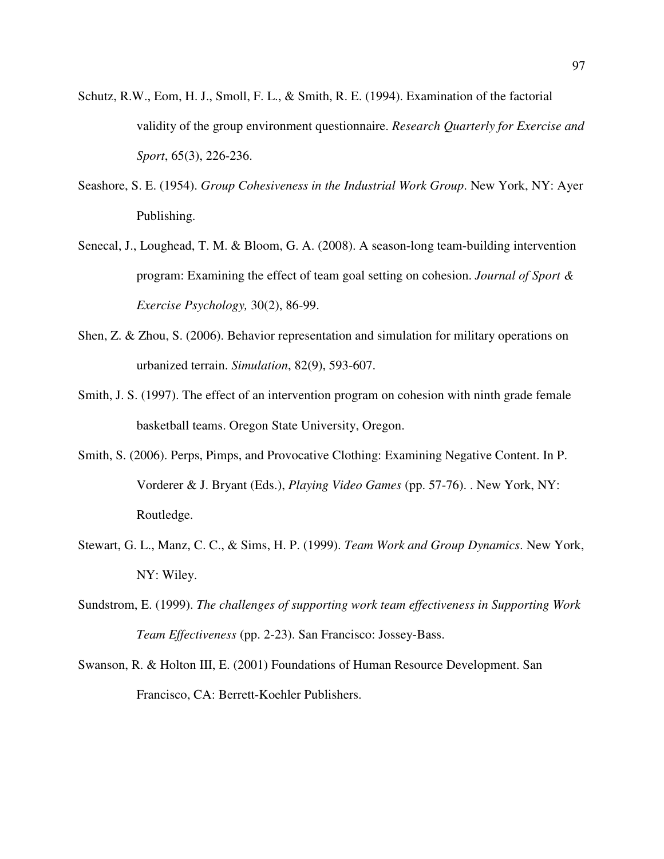- Schutz, R.W., Eom, H. J., Smoll, F. L., & Smith, R. E. (1994). Examination of the factorial validity of the group environment questionnaire. *Research Quarterly for Exercise and Sport*, 65(3), 226-236.
- Seashore, S. E. (1954). *Group Cohesiveness in the Industrial Work Group*. New York, NY: Ayer Publishing.
- Senecal, J., Loughead, T. M. & Bloom, G. A. (2008). A season-long team-building intervention program: Examining the effect of team goal setting on cohesion. *Journal of Sport & Exercise Psychology,* 30(2), 86-99.
- Shen, Z. & Zhou, S. (2006). Behavior representation and simulation for military operations on urbanized terrain. *Simulation*, 82(9), 593-607.
- Smith, J. S. (1997). The effect of an intervention program on cohesion with ninth grade female basketball teams. Oregon State University, Oregon.
- Smith, S. (2006). Perps, Pimps, and Provocative Clothing: Examining Negative Content. In P. Vorderer & J. Bryant (Eds.), *Playing Video Games* (pp. 57-76). . New York, NY: Routledge.
- Stewart, G. L., Manz, C. C., & Sims, H. P. (1999). *Team Work and Group Dynamics*. New York, NY: Wiley.
- Sundstrom, E. (1999). *The challenges of supporting work team effectiveness in Supporting Work Team Effectiveness* (pp. 2-23). San Francisco: Jossey-Bass.
- Swanson, R. & Holton III, E. (2001) Foundations of Human Resource Development. San Francisco, CA: Berrett-Koehler Publishers.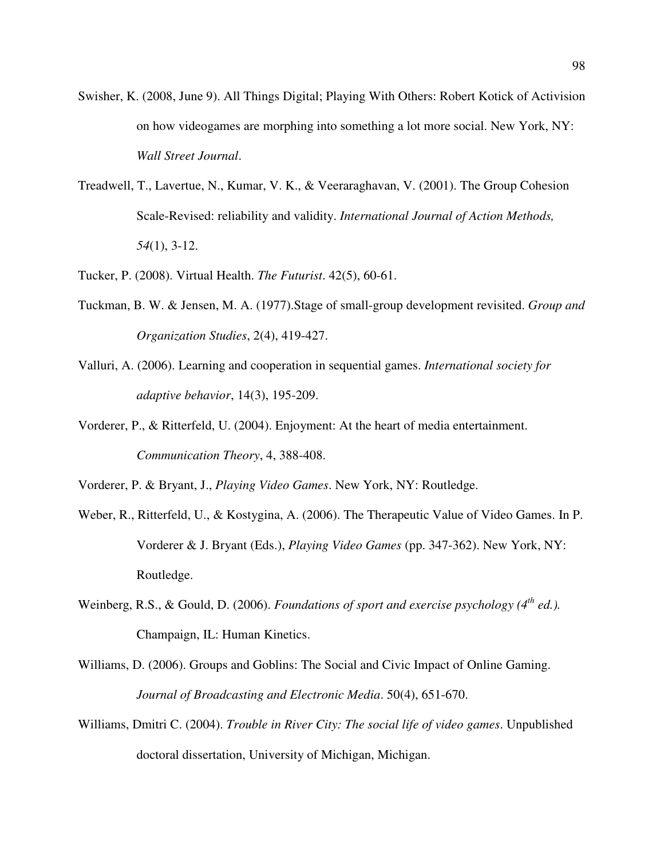- Swisher, K. (2008, June 9). All Things Digital; Playing With Others: Robert Kotick of Activision on how videogames are morphing into something a lot more social. New York, NY: *Wall Street Journal*.
- Treadwell, T., Lavertue, N., Kumar, V. K., & Veeraraghavan, V. (2001). The Group Cohesion Scale-Revised: reliability and validity. *International Journal of Action Methods, 54*(1), 3-12.
- Tucker, P. (2008). Virtual Health. *The Futurist*. 42(5), 60-61.
- Tuckman, B. W. & Jensen, M. A. (1977).Stage of small-group development revisited. *Group and Organization Studies*, 2(4), 419-427.
- Valluri, A. (2006). Learning and cooperation in sequential games. *International society for adaptive behavior*, 14(3), 195-209.
- Vorderer, P., & Ritterfeld, U. (2004). Enjoyment: At the heart of media entertainment. *Communication Theory*, 4, 388-408.

Vorderer, P. & Bryant, J., *Playing Video Games*. New York, NY: Routledge.

- Weber, R., Ritterfeld, U., & Kostygina, A. (2006). The Therapeutic Value of Video Games. In P. Vorderer & J. Bryant (Eds.), *Playing Video Games* (pp. 347-362). New York, NY: Routledge.
- Weinberg, R.S., & Gould, D. (2006). *Foundations of sport and exercise psychology (4th ed.).* Champaign, IL: Human Kinetics.
- Williams, D. (2006). Groups and Goblins: The Social and Civic Impact of Online Gaming. *Journal of Broadcasting and Electronic Media*. 50(4), 651-670.
- Williams, Dmitri C. (2004). *Trouble in River City: The social life of video games*. Unpublished doctoral dissertation, University of Michigan, Michigan.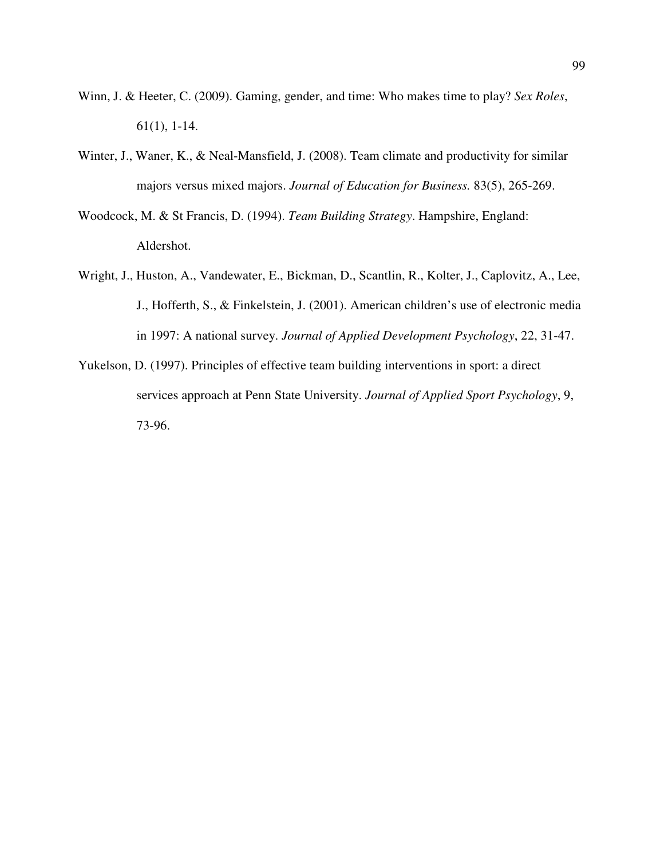- Winn, J. & Heeter, C. (2009). Gaming, gender, and time: Who makes time to play? *Sex Roles*, 61(1), 1-14.
- Winter, J., Waner, K., & Neal-Mansfield, J. (2008). Team climate and productivity for similar majors versus mixed majors. *Journal of Education for Business.* 83(5), 265-269.
- Woodcock, M. & St Francis, D. (1994). *Team Building Strategy*. Hampshire, England: Aldershot.
- Wright, J., Huston, A., Vandewater, E., Bickman, D., Scantlin, R., Kolter, J., Caplovitz, A., Lee, J., Hofferth, S., & Finkelstein, J. (2001). American children's use of electronic media in 1997: A national survey. *Journal of Applied Development Psychology*, 22, 31-47.
- Yukelson, D. (1997). Principles of effective team building interventions in sport: a direct services approach at Penn State University. *Journal of Applied Sport Psychology*, 9, 73-96.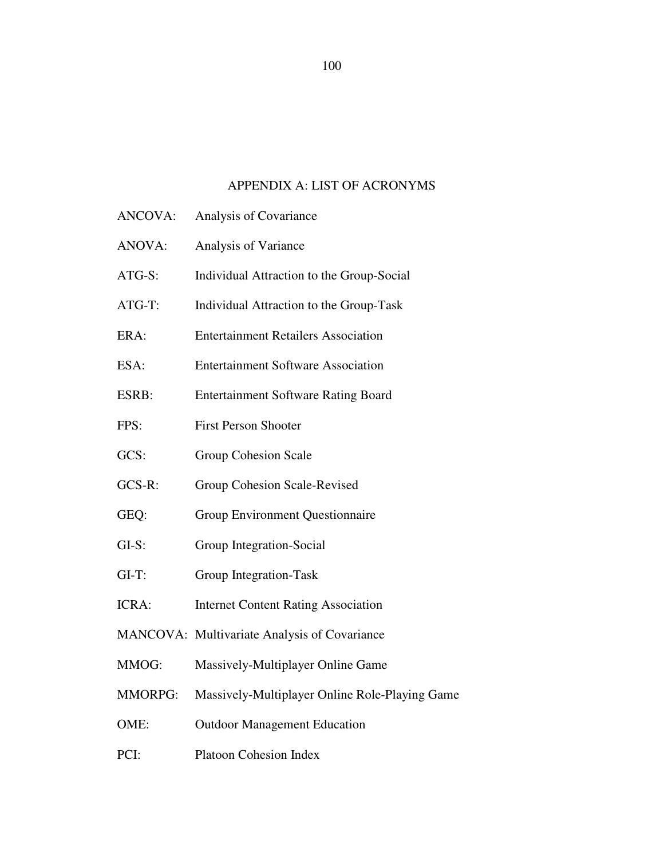## APPENDIX A: LIST OF ACRONYMS

- ANCOVA: Analysis of Covariance
- ANOVA: Analysis of Variance
- ATG-S: Individual Attraction to the Group-Social
- ATG-T: Individual Attraction to the Group-Task
- ERA: Entertainment Retailers Association
- ESA: Entertainment Software Association
- ESRB: Entertainment Software Rating Board
- FPS: First Person Shooter
- GCS: Group Cohesion Scale
- GCS-R: Group Cohesion Scale-Revised
- GEQ: Group Environment Questionnaire
- GI-S: Group Integration-Social
- GI-T: Group Integration-Task
- ICRA: Internet Content Rating Association
- MANCOVA: Multivariate Analysis of Covariance
- MMOG: Massively-Multiplayer Online Game
- MMORPG: Massively-Multiplayer Online Role-Playing Game
- OME: Outdoor Management Education
- PCI: Platoon Cohesion Index

100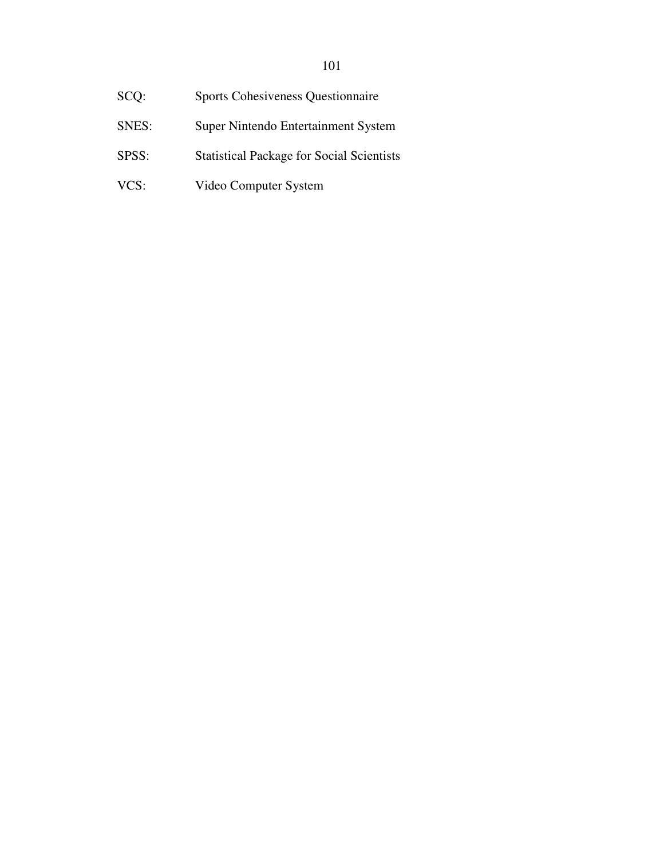| SCO:  | <b>Sports Cohesiveness Questionnaire</b>         |
|-------|--------------------------------------------------|
| SNES: | Super Nintendo Entertainment System              |
| SPSS: | <b>Statistical Package for Social Scientists</b> |
| VCS:  | Video Computer System                            |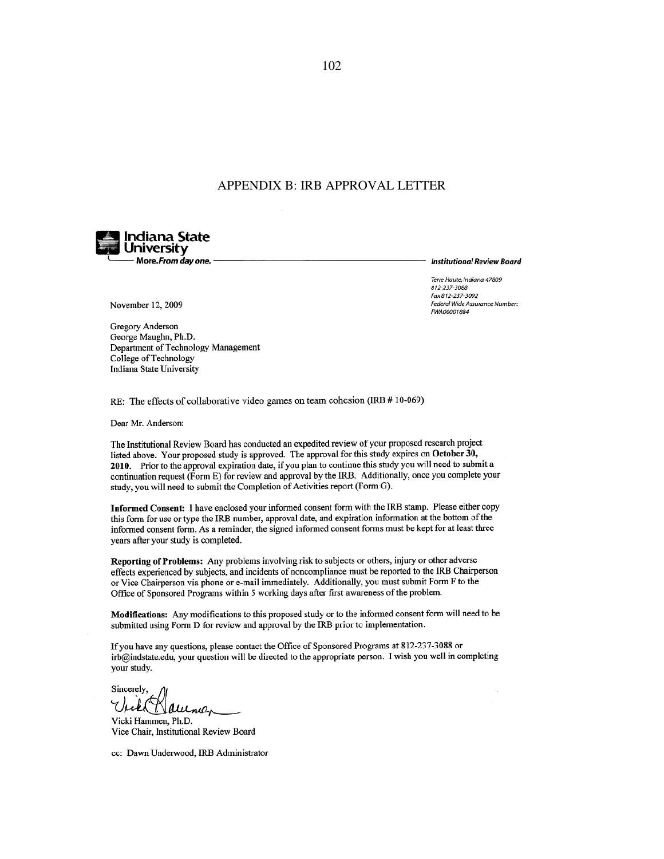#### APPENDIX B: IRB APPROVAL LETTER



**Institutional Review Board** 

Terre Haute, Indiana 47809 812-237-3088 Fax 812-237-3092 Federal Wide Assurance Number: FWA00001884

November 12, 2009

Gregory Anderson George Maughn, Ph.D. Department of Technology Management College of Technology Indiana State University

RE: The effects of collaborative video games on team cohesion (IRB # 10-069)

Dear Mr. Anderson:

The Institutional Review Board has conducted an expedited review of your proposed research project listed above. Your proposed study is approved. The approval for this study expires on October 30, 2010. Prior to the approval expiration date, if you plan to continue this study you will need to submit a continuation request (Form E) for review and approval by the IRB. Additionally, once you complete your study, you will need to submit the Completion of Activities report (Form G).

Informed Consent: I have enclosed your informed consent form with the IRB stamp. Please either copy this form for use or type the IRB number, approval date, and expiration information at the bottom of the informed consent form. As a reminder, the signed informed consent forms must be kept for at least three years after your study is completed.

Reporting of Problems: Any problems involving risk to subjects or others, injury or other adverse effects experienced by subjects, and incidents of noncompliance must be reported to the IRB Chairperson or Vice Chairperson via phone or e-mail immediately. Additionally, you must submit Form F to the Office of Sponsored Programs within 5 working days after first awareness of the problem.

Modifications: Any modifications to this proposed study or to the informed consent form will need to be submitted using Form D for review and approval by the IRB prior to implementation.

If you have any questions, please contact the Office of Sponsored Programs at 812-237-3088 or irb@indstate.edu, your question will be directed to the appropriate person. I wish you well in completing your study.

Sincerely, litne,

Vicki Hammen, Ph.D. Vice Chair, Institutional Review Board

cc: Dawn Underwood, IRB Administrator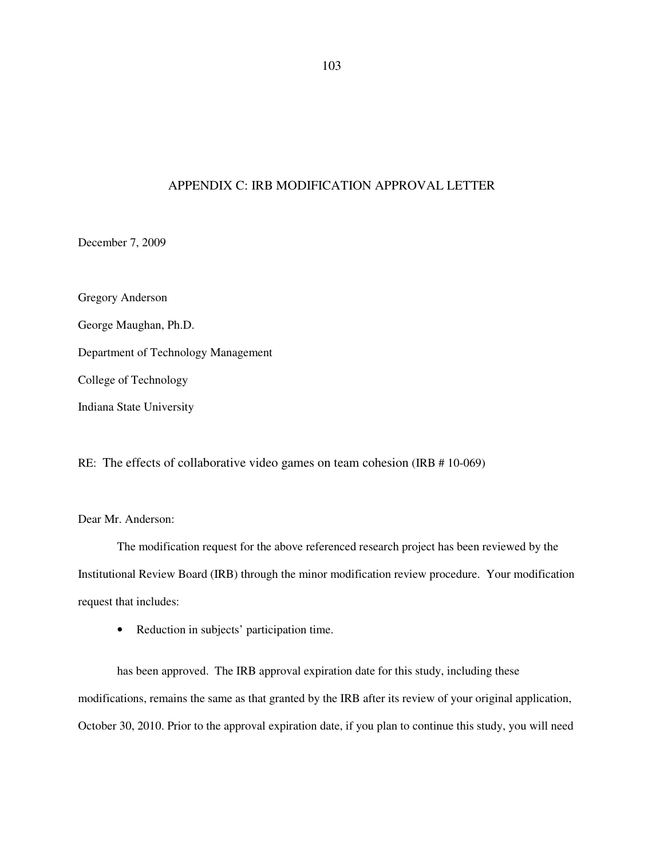### APPENDIX C: IRB MODIFICATION APPROVAL LETTER

December 7, 2009

Gregory Anderson George Maughan, Ph.D. Department of Technology Management College of Technology Indiana State University

RE: The effects of collaborative video games on team cohesion (IRB # 10-069)

Dear Mr. Anderson:

The modification request for the above referenced research project has been reviewed by the Institutional Review Board (IRB) through the minor modification review procedure. Your modification request that includes:

• Reduction in subjects' participation time.

has been approved. The IRB approval expiration date for this study, including these modifications, remains the same as that granted by the IRB after its review of your original application, October 30, 2010. Prior to the approval expiration date, if you plan to continue this study, you will need

103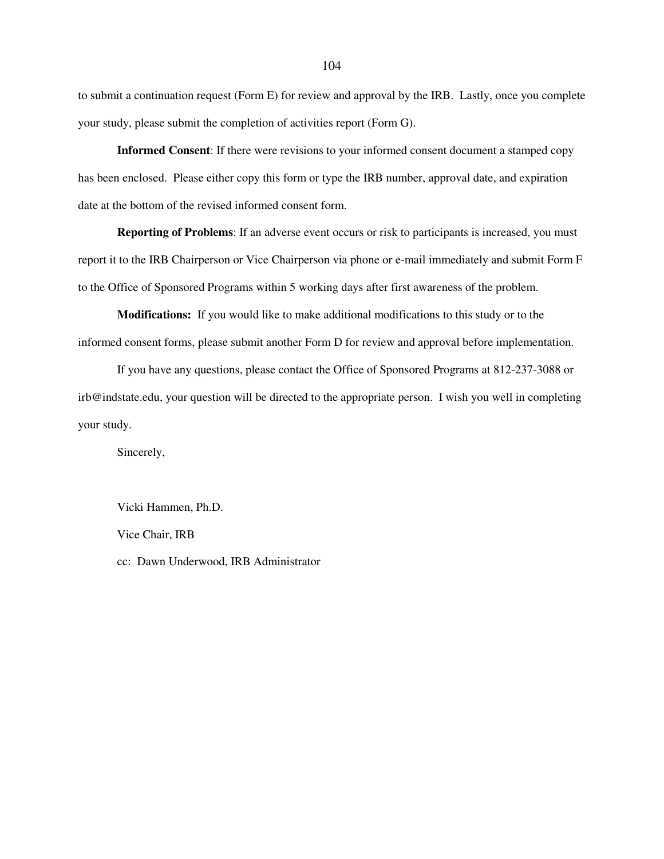to submit a continuation request (Form E) for review and approval by the IRB. Lastly, once you complete your study, please submit the completion of activities report (Form G).

**Informed Consent**: If there were revisions to your informed consent document a stamped copy has been enclosed. Please either copy this form or type the IRB number, approval date, and expiration date at the bottom of the revised informed consent form.

**Reporting of Problems**: If an adverse event occurs or risk to participants is increased, you must report it to the IRB Chairperson or Vice Chairperson via phone or e-mail immediately and submit Form F to the Office of Sponsored Programs within 5 working days after first awareness of the problem.

**Modifications:** If you would like to make additional modifications to this study or to the informed consent forms, please submit another Form D for review and approval before implementation.

If you have any questions, please contact the Office of Sponsored Programs at 812-237-3088 or irb@indstate.edu, your question will be directed to the appropriate person. I wish you well in completing your study.

Sincerely,

Vicki Hammen, Ph.D. Vice Chair, IRB cc: Dawn Underwood, IRB Administrator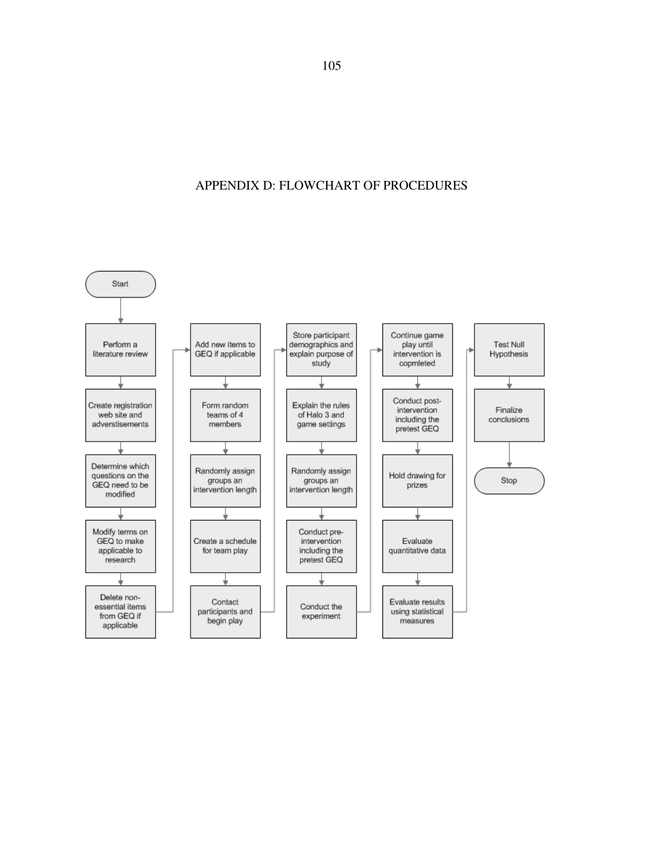## APPENDIX D: FLOWCHART OF PROCEDURES

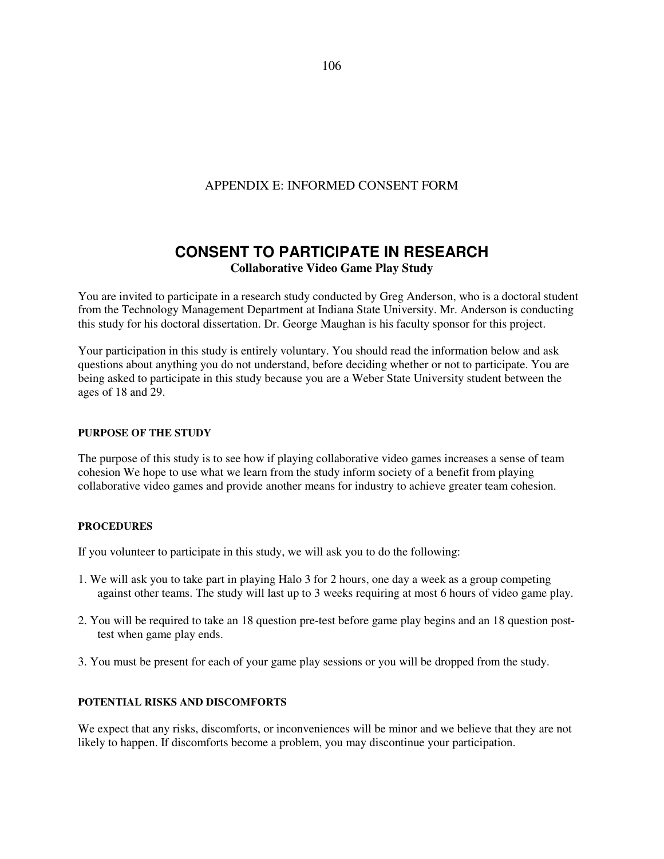## APPENDIX E: INFORMED CONSENT FORM

## **CONSENT TO PARTICIPATE IN RESEARCH Collaborative Video Game Play Study**

You are invited to participate in a research study conducted by Greg Anderson, who is a doctoral student from the Technology Management Department at Indiana State University. Mr. Anderson is conducting this study for his doctoral dissertation. Dr. George Maughan is his faculty sponsor for this project.

Your participation in this study is entirely voluntary. You should read the information below and ask questions about anything you do not understand, before deciding whether or not to participate. You are being asked to participate in this study because you are a Weber State University student between the ages of 18 and 29.

#### **PURPOSE OF THE STUDY**

The purpose of this study is to see how if playing collaborative video games increases a sense of team cohesion We hope to use what we learn from the study inform society of a benefit from playing collaborative video games and provide another means for industry to achieve greater team cohesion.

#### **PROCEDURES**

If you volunteer to participate in this study, we will ask you to do the following:

- 1. We will ask you to take part in playing Halo 3 for 2 hours, one day a week as a group competing against other teams. The study will last up to 3 weeks requiring at most 6 hours of video game play.
- 2. You will be required to take an 18 question pre-test before game play begins and an 18 question posttest when game play ends.
- 3. You must be present for each of your game play sessions or you will be dropped from the study.

#### **POTENTIAL RISKS AND DISCOMFORTS**

We expect that any risks, discomforts, or inconveniences will be minor and we believe that they are not likely to happen. If discomforts become a problem, you may discontinue your participation.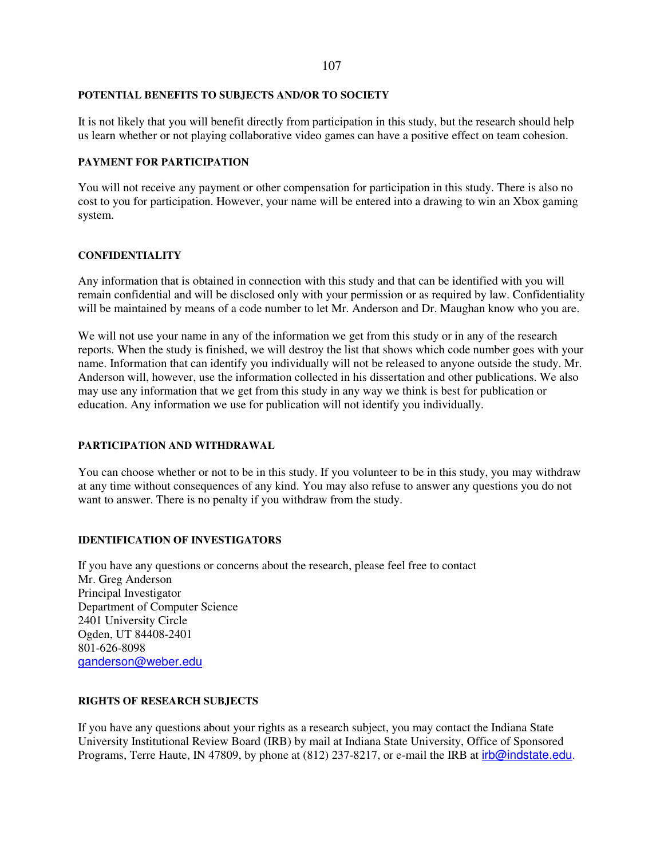#### **POTENTIAL BENEFITS TO SUBJECTS AND/OR TO SOCIETY**

It is not likely that you will benefit directly from participation in this study, but the research should help us learn whether or not playing collaborative video games can have a positive effect on team cohesion.

#### **PAYMENT FOR PARTICIPATION**

You will not receive any payment or other compensation for participation in this study. There is also no cost to you for participation. However, your name will be entered into a drawing to win an Xbox gaming system.

#### **CONFIDENTIALITY**

Any information that is obtained in connection with this study and that can be identified with you will remain confidential and will be disclosed only with your permission or as required by law. Confidentiality will be maintained by means of a code number to let Mr. Anderson and Dr. Maughan know who you are.

We will not use your name in any of the information we get from this study or in any of the research reports. When the study is finished, we will destroy the list that shows which code number goes with your name. Information that can identify you individually will not be released to anyone outside the study. Mr. Anderson will, however, use the information collected in his dissertation and other publications. We also may use any information that we get from this study in any way we think is best for publication or education. Any information we use for publication will not identify you individually.

#### **PARTICIPATION AND WITHDRAWAL**

You can choose whether or not to be in this study. If you volunteer to be in this study, you may withdraw at any time without consequences of any kind. You may also refuse to answer any questions you do not want to answer. There is no penalty if you withdraw from the study.

#### **IDENTIFICATION OF INVESTIGATORS**

If you have any questions or concerns about the research, please feel free to contact Mr. Greg Anderson Principal Investigator Department of Computer Science 2401 University Circle Ogden, UT 84408-2401 801-626-8098 ganderson@weber.edu

#### **RIGHTS OF RESEARCH SUBJECTS**

If you have any questions about your rights as a research subject, you may contact the Indiana State University Institutional Review Board (IRB) by mail at Indiana State University, Office of Sponsored Programs, Terre Haute, IN 47809, by phone at (812) 237-8217, or e-mail the IRB at irb@indstate.edu.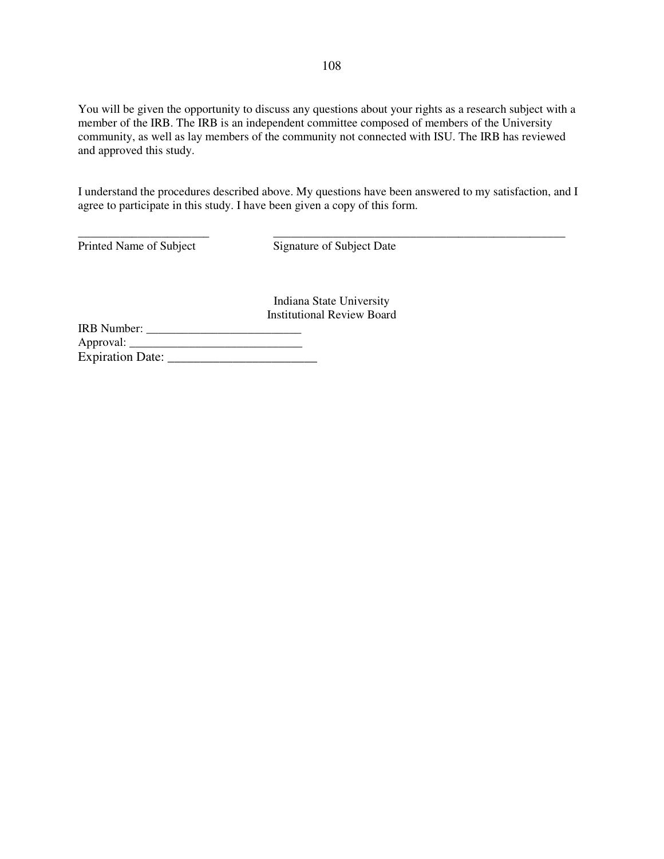You will be given the opportunity to discuss any questions about your rights as a research subject with a member of the IRB. The IRB is an independent committee composed of members of the University community, as well as lay members of the community not connected with ISU. The IRB has reviewed and approved this study.

I understand the procedures described above. My questions have been answered to my satisfaction, and I agree to participate in this study. I have been given a copy of this form.

\_\_\_\_\_\_\_\_\_\_\_\_\_\_\_\_\_\_\_\_\_\_ \_\_\_\_\_\_\_\_\_\_\_\_\_\_\_\_\_\_\_\_\_\_\_\_\_\_\_\_\_\_\_\_\_\_\_\_\_\_\_\_\_\_\_\_\_\_\_\_\_

Printed Name of Subject Signature of Subject Date

Indiana State University Institutional Review Board

| <b>IRB</b> Number:      |  |
|-------------------------|--|
| Approval:               |  |
| <b>Expiration Date:</b> |  |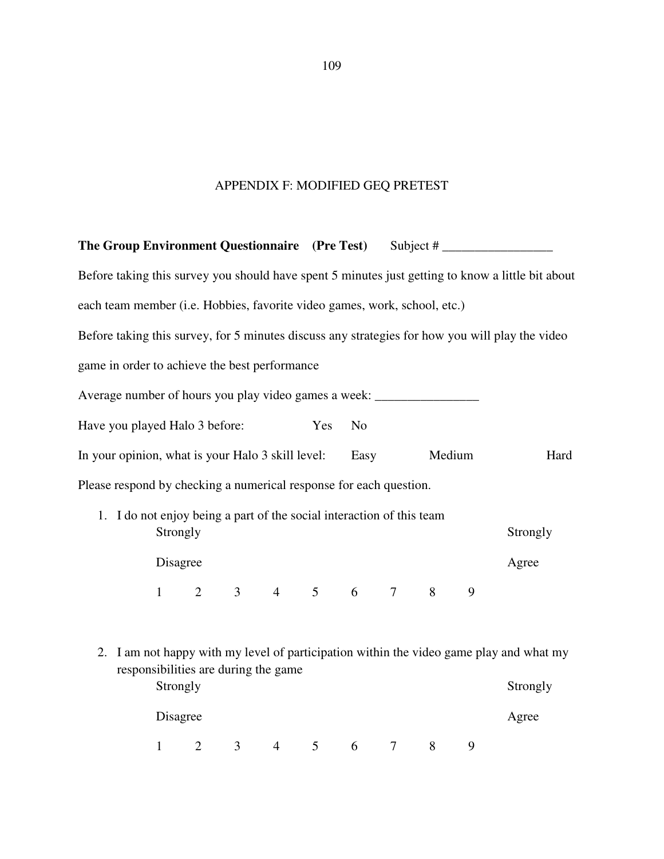# APPENDIX F: MODIFIED GEQ PRETEST

|  |              |                                |                                      |                                                                                   |                |                |                 |        |   | The Group Environment Questionnaire (Pre Test) Subject #                                          |
|--|--------------|--------------------------------|--------------------------------------|-----------------------------------------------------------------------------------|----------------|----------------|-----------------|--------|---|---------------------------------------------------------------------------------------------------|
|  |              |                                |                                      |                                                                                   |                |                |                 |        |   | Before taking this survey you should have spent 5 minutes just getting to know a little bit about |
|  |              |                                |                                      | each team member (i.e. Hobbies, favorite video games, work, school, etc.)         |                |                |                 |        |   |                                                                                                   |
|  |              |                                |                                      |                                                                                   |                |                |                 |        |   | Before taking this survey, for 5 minutes discuss any strategies for how you will play the video   |
|  |              |                                |                                      | game in order to achieve the best performance                                     |                |                |                 |        |   |                                                                                                   |
|  |              |                                |                                      | Average number of hours you play video games a week: ____________________________ |                |                |                 |        |   |                                                                                                   |
|  |              | Have you played Halo 3 before: |                                      |                                                                                   | Yes            | N <sub>0</sub> |                 |        |   |                                                                                                   |
|  |              |                                |                                      | In your opinion, what is your Halo 3 skill level:                                 |                | Easy           |                 | Medium |   | Hard                                                                                              |
|  |              |                                |                                      | Please respond by checking a numerical response for each question.                |                |                |                 |        |   |                                                                                                   |
|  |              |                                |                                      | 1. I do not enjoy being a part of the social interaction of this team             |                |                |                 |        |   |                                                                                                   |
|  | Strongly     |                                |                                      |                                                                                   |                |                |                 |        |   | Strongly                                                                                          |
|  | Disagree     |                                |                                      |                                                                                   |                |                |                 |        |   | Agree                                                                                             |
|  |              |                                |                                      | $1 \t2 \t3 \t4 \t5 \t6 \t7 \t8$                                                   |                |                |                 |        | 9 |                                                                                                   |
|  |              |                                |                                      |                                                                                   |                |                |                 |        |   |                                                                                                   |
|  |              |                                |                                      |                                                                                   |                |                |                 |        |   | 2. I am not happy with my level of participation within the video game play and what my           |
|  | Strongly     |                                | responsibilities are during the game |                                                                                   |                |                |                 |        |   | Strongly                                                                                          |
|  | Disagree     |                                |                                      |                                                                                   |                |                |                 |        |   | Agree                                                                                             |
|  | $\mathbf{1}$ | $\overline{2}$                 | $\mathfrak{Z}$                       | $\overline{4}$                                                                    | 5 <sup>5</sup> | $6\degree$     | $7\overline{ }$ | 8      | 9 |                                                                                                   |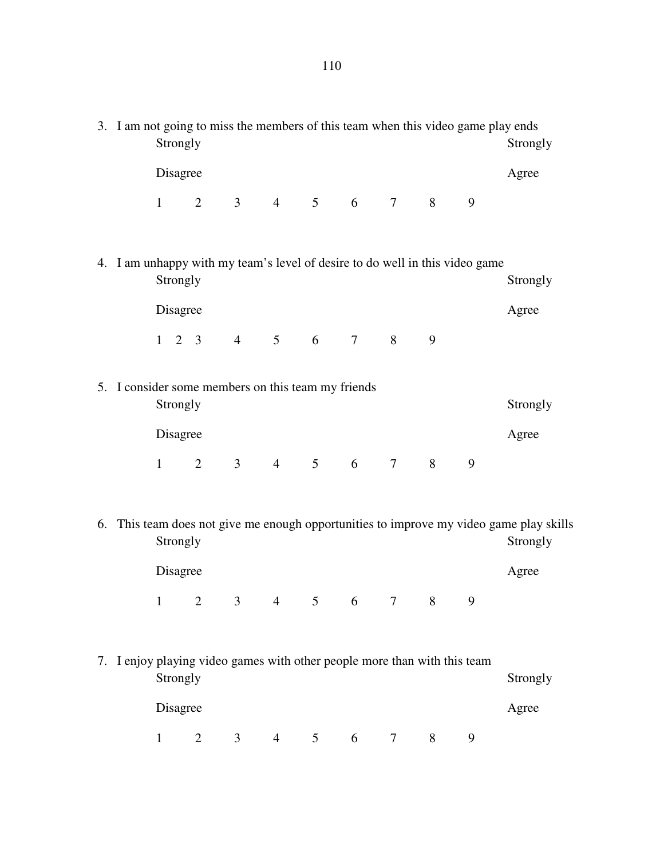| 3. I am not going to miss the members of this team when this video game play ends<br>Strongly |  |                      |                                                                           |                |                |                |       |   |   |                                                                              | Strongly                                                                                            |
|-----------------------------------------------------------------------------------------------|--|----------------------|---------------------------------------------------------------------------|----------------|----------------|----------------|-------|---|---|------------------------------------------------------------------------------|-----------------------------------------------------------------------------------------------------|
|                                                                                               |  | Disagree             |                                                                           |                |                |                |       |   |   |                                                                              | Agree                                                                                               |
|                                                                                               |  | $\mathbf{1}$         | $\overline{2}$                                                            | 3 <sup>7</sup> | $\overline{4}$ |                | 5 6 7 |   | 8 | 9                                                                            |                                                                                                     |
|                                                                                               |  | Strongly             |                                                                           |                |                |                |       |   |   | 4. I am unhappy with my team's level of desire to do well in this video game | Strongly                                                                                            |
|                                                                                               |  | Disagree             |                                                                           |                |                |                |       |   |   |                                                                              | Agree                                                                                               |
|                                                                                               |  |                      | $1 \t2 \t3 \t4 \t5 \t6 \t7 \t8$                                           |                |                |                |       |   | 9 |                                                                              |                                                                                                     |
|                                                                                               |  | Strongly             | 5. I consider some members on this team my friends                        |                |                |                |       |   |   |                                                                              | Strongly                                                                                            |
|                                                                                               |  | Disagree             |                                                                           |                |                |                |       |   |   |                                                                              | Agree                                                                                               |
|                                                                                               |  | $\mathbf{1}$         | $\overline{2}$                                                            |                | 3 4 5 6 7      |                |       |   | 8 | 9                                                                            |                                                                                                     |
|                                                                                               |  | Strongly             |                                                                           |                |                |                |       |   |   |                                                                              | 6. This team does not give me enough opportunities to improve my video game play skills<br>Strongly |
|                                                                                               |  | Disagree             |                                                                           |                |                |                |       |   |   |                                                                              | Agree                                                                                               |
|                                                                                               |  | 1                    | $\overline{2}$                                                            |                | 3 4 5 6 7 8    |                |       |   |   |                                                                              |                                                                                                     |
|                                                                                               |  | Strongly<br>Disagree | 7. I enjoy playing video games with other people more than with this team |                |                |                |       |   |   |                                                                              | Strongly<br>Agree                                                                                   |
|                                                                                               |  | $\mathbf{1}$         | 2                                                                         | 3              | $\overline{4}$ | 5 <sup>5</sup> | 6     | 7 | 8 | 9                                                                            |                                                                                                     |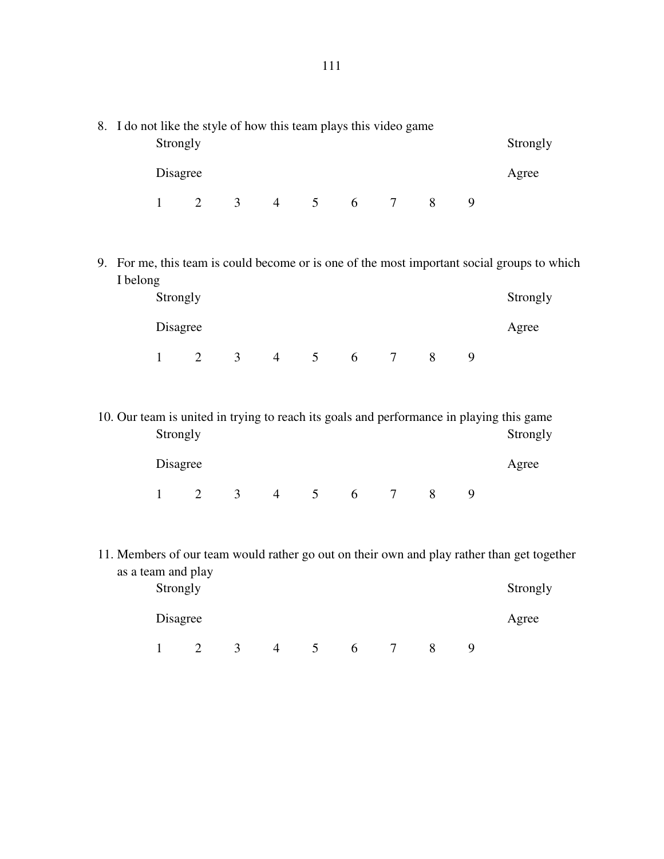| 8. I do not like the style of how this team plays this video game | Strongly     |                |   |                |                 |   |        |   |   |                                                                                                      |
|-------------------------------------------------------------------|--------------|----------------|---|----------------|-----------------|---|--------|---|---|------------------------------------------------------------------------------------------------------|
|                                                                   | Disagree     |                |   |                |                 |   |        |   |   | Agree                                                                                                |
|                                                                   | $\mathbf{1}$ | $\overline{2}$ |   | 3 4 5 6 7      |                 |   |        | 8 | 9 |                                                                                                      |
|                                                                   |              |                |   |                |                 |   |        |   |   |                                                                                                      |
| I belong                                                          |              |                |   |                |                 |   |        |   |   | 9. For me, this team is could become or is one of the most important social groups to which          |
|                                                                   | Strongly     |                |   |                |                 |   |        |   |   |                                                                                                      |
|                                                                   | Disagree     |                |   |                |                 |   |        |   |   | Agree                                                                                                |
|                                                                   | $\mathbf{1}$ | $\overline{2}$ |   | 3 4 5 6 7      |                 |   |        | 8 | 9 |                                                                                                      |
|                                                                   |              |                |   |                |                 |   |        |   |   |                                                                                                      |
|                                                                   | Strongly     |                |   |                |                 |   |        |   |   | 10. Our team is united in trying to reach its goals and performance in playing this game<br>Strongly |
|                                                                   | Disagree     |                |   |                |                 |   |        |   |   | Agree                                                                                                |
|                                                                   | $\mathbf{1}$ | $\overline{2}$ | 3 | $\overline{4}$ | $5\overline{)}$ | 6 | $\tau$ | 8 | 9 |                                                                                                      |

11. Members of our team would rather go out on their own and play rather than get together as a team and play

| Strongly |                      |          |   |  |   | Strongly |
|----------|----------------------|----------|---|--|---|----------|
| Disagree |                      |          |   |  |   | Agree    |
|          | $\blacktriangleleft$ | $\Delta$ | O |  | Q |          |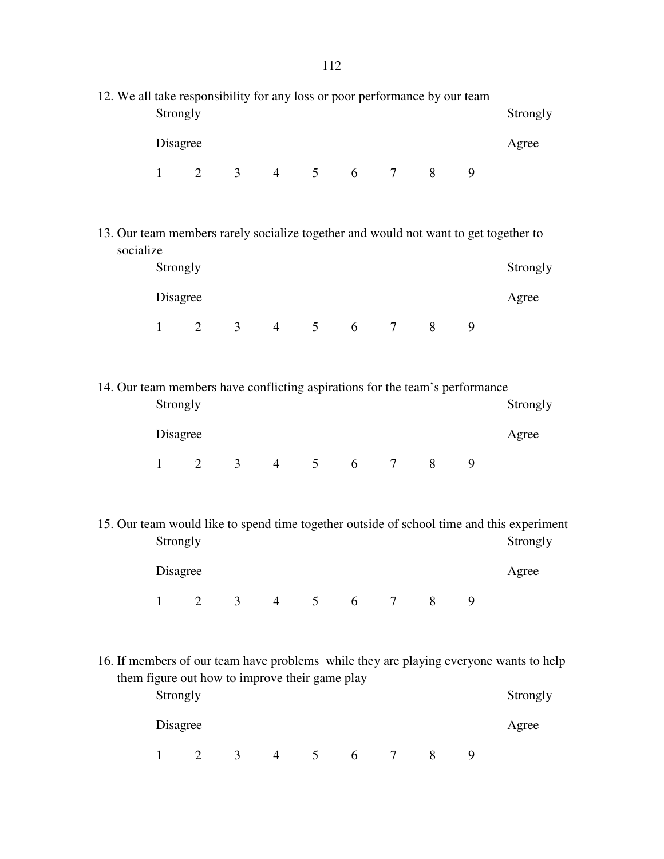|                                                                                                      | 12. We all take responsibility for any loss or poor performance by our team<br>Strongly<br>Strongly |                |   |                                                |                |   |            |   |   |                                                                                                       |  |  |
|------------------------------------------------------------------------------------------------------|-----------------------------------------------------------------------------------------------------|----------------|---|------------------------------------------------|----------------|---|------------|---|---|-------------------------------------------------------------------------------------------------------|--|--|
|                                                                                                      | Disagree                                                                                            |                |   |                                                |                |   |            |   |   | Agree                                                                                                 |  |  |
|                                                                                                      |                                                                                                     |                |   | $1 \t2 \t3 \t4 \t5 \t6 \t7 \t8$                |                |   |            |   | 9 |                                                                                                       |  |  |
|                                                                                                      |                                                                                                     |                |   |                                                |                |   |            |   |   |                                                                                                       |  |  |
| 13. Our team members rarely socialize together and would not want to get together to<br>socialize    |                                                                                                     |                |   |                                                |                |   |            |   |   |                                                                                                       |  |  |
|                                                                                                      | Strongly                                                                                            |                |   |                                                |                |   |            |   |   | Strongly                                                                                              |  |  |
|                                                                                                      | Disagree                                                                                            |                |   |                                                |                |   |            |   |   | Agree                                                                                                 |  |  |
|                                                                                                      |                                                                                                     |                |   | $1 \t2 \t3 \t4 \t5 \t6 \t7 \t8$                |                |   |            |   | 9 |                                                                                                       |  |  |
|                                                                                                      |                                                                                                     |                |   |                                                |                |   |            |   |   |                                                                                                       |  |  |
| 14. Our team members have conflicting aspirations for the team's performance<br>Strongly<br>Strongly |                                                                                                     |                |   |                                                |                |   |            |   |   |                                                                                                       |  |  |
|                                                                                                      | Disagree                                                                                            |                |   |                                                |                |   |            |   |   | Agree                                                                                                 |  |  |
|                                                                                                      |                                                                                                     |                |   | $1 \t2 \t3 \t4 \t5 \t6 \t7 \t8$                |                |   |            |   | 9 |                                                                                                       |  |  |
|                                                                                                      |                                                                                                     |                |   |                                                |                |   |            |   |   |                                                                                                       |  |  |
|                                                                                                      | Strongly                                                                                            |                |   |                                                |                |   |            |   |   | 15. Our team would like to spend time together outside of school time and this experiment<br>Strongly |  |  |
|                                                                                                      | Disagree                                                                                            |                |   |                                                |                |   |            |   |   | Agree                                                                                                 |  |  |
|                                                                                                      | $\mathbf{1}$                                                                                        | 2              |   | 3 4 5 6                                        |                |   | $7\degree$ | 8 | 9 |                                                                                                       |  |  |
|                                                                                                      |                                                                                                     |                |   |                                                |                |   |            |   |   |                                                                                                       |  |  |
|                                                                                                      |                                                                                                     |                |   |                                                |                |   |            |   |   | 16. If members of our team have problems while they are playing everyone wants to help                |  |  |
|                                                                                                      | Strongly                                                                                            |                |   | them figure out how to improve their game play |                |   |            |   |   | Strongly                                                                                              |  |  |
|                                                                                                      | Disagree                                                                                            |                |   |                                                |                |   |            |   |   | Agree                                                                                                 |  |  |
|                                                                                                      | $\mathbf{1}$                                                                                        | $\overline{2}$ | 3 | 4                                              | 5 <sup>5</sup> | 6 | 7          | 8 | 9 |                                                                                                       |  |  |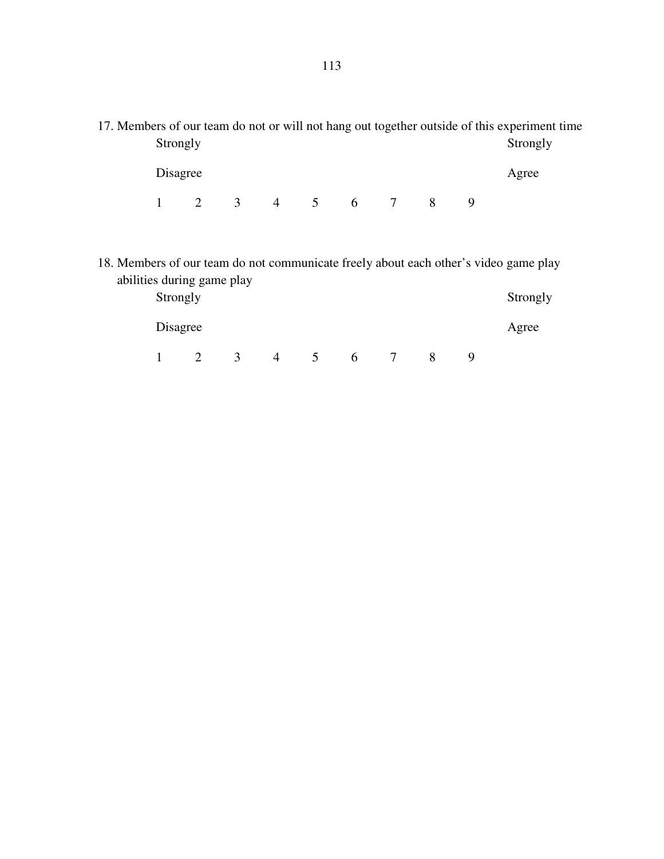|          |  |           |  |  | 17. Members of our team do not or will not hang out together outside of this experiment time |
|----------|--|-----------|--|--|----------------------------------------------------------------------------------------------|
| Strongly |  |           |  |  | Strongly                                                                                     |
|          |  |           |  |  |                                                                                              |
| Disagree |  |           |  |  | Agree                                                                                        |
|          |  |           |  |  |                                                                                              |
|          |  | 3 4 5 6 7 |  |  |                                                                                              |

18. Members of our team do not communicate freely about each other's video game play abilities during game play

| Strongly |   |   |   |  | Strongly |
|----------|---|---|---|--|----------|
| Disagree |   |   |   |  | Agree    |
|          | ≺ | 4 | 6 |  |          |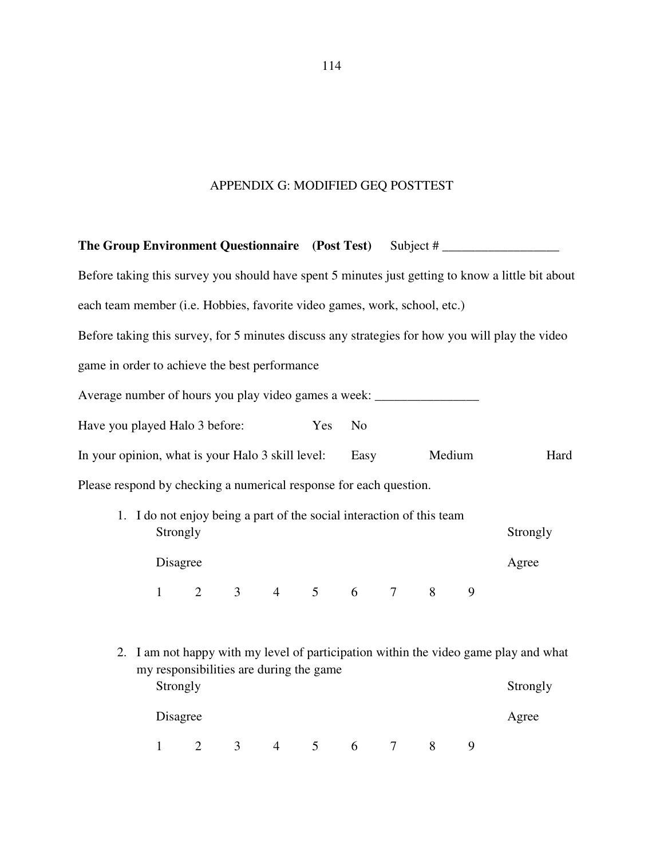# APPENDIX G: MODIFIED GEQ POSTTEST

|                                                                                   |                                                                       |                |   |                                 |                |                |                 |        |   | The Group Environment Questionnaire (Post Test) Subject # ______________________                  |
|-----------------------------------------------------------------------------------|-----------------------------------------------------------------------|----------------|---|---------------------------------|----------------|----------------|-----------------|--------|---|---------------------------------------------------------------------------------------------------|
|                                                                                   |                                                                       |                |   |                                 |                |                |                 |        |   | Before taking this survey you should have spent 5 minutes just getting to know a little bit about |
| each team member (i.e. Hobbies, favorite video games, work, school, etc.)         |                                                                       |                |   |                                 |                |                |                 |        |   |                                                                                                   |
|                                                                                   |                                                                       |                |   |                                 |                |                |                 |        |   | Before taking this survey, for 5 minutes discuss any strategies for how you will play the video   |
| game in order to achieve the best performance                                     |                                                                       |                |   |                                 |                |                |                 |        |   |                                                                                                   |
| Average number of hours you play video games a week: ____________________________ |                                                                       |                |   |                                 |                |                |                 |        |   |                                                                                                   |
| Have you played Halo 3 before:                                                    |                                                                       |                |   |                                 | Yes            | N <sub>0</sub> |                 |        |   |                                                                                                   |
| In your opinion, what is your Halo 3 skill level:                                 |                                                                       |                |   |                                 |                |                | Easy            | Medium |   | Hard                                                                                              |
| Please respond by checking a numerical response for each question.                |                                                                       |                |   |                                 |                |                |                 |        |   |                                                                                                   |
|                                                                                   | 1. I do not enjoy being a part of the social interaction of this team |                |   |                                 |                |                |                 |        |   |                                                                                                   |
|                                                                                   | Strongly                                                              |                |   |                                 |                |                |                 |        |   | Strongly                                                                                          |
|                                                                                   | Disagree                                                              |                |   |                                 |                |                |                 |        |   | Agree                                                                                             |
|                                                                                   |                                                                       |                |   | $1 \t2 \t3 \t4 \t5 \t6 \t7 \t8$ |                |                |                 |        | 9 |                                                                                                   |
|                                                                                   |                                                                       |                |   |                                 |                |                |                 |        |   |                                                                                                   |
|                                                                                   |                                                                       |                |   |                                 |                |                |                 |        |   | 2. I am not happy with my level of participation within the video game play and what              |
|                                                                                   | my responsibilities are during the game<br>Strongly                   |                |   |                                 |                |                |                 |        |   | Strongly                                                                                          |
|                                                                                   | Disagree                                                              |                |   |                                 |                |                |                 |        |   | Agree                                                                                             |
|                                                                                   | $\mathbf{1}$                                                          | $\overline{2}$ | 3 | $\overline{4}$                  | 5 <sup>5</sup> | 6              | $7\overline{ }$ | 8      | 9 |                                                                                                   |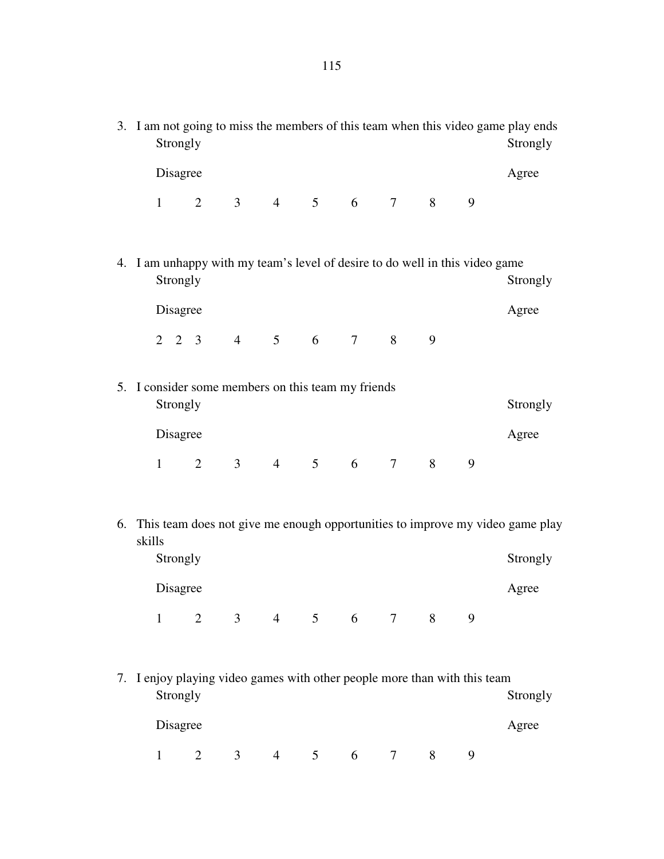3. I am not going to miss the members of this team when this video game play ends Strongly Strongly Strongly Disagree Agree 1 2 3 4 5 6 7 8 9 4. I am unhappy with my team's level of desire to do well in this video game Strongly Strongly Strongly Disagree Agree 2 2 3 4 5 6 7 8 9 5. I consider some members on this team my friends Strongly Strongly Strongly Disagree Agree 1 2 3 4 5 6 7 8 9 6. This team does not give me enough opportunities to improve my video game play skills Strongly Strongly Strongly Strongly Strongly Strongly Strongly Strongly Strongly Strongly Strongly Strongly Strongly Strongly Strongly Strongly Strongly Strongly Strongly Strongly Strongly Strongly Strongly Strongly Strong Disagree Agree 1 2 3 4 5 6 7 8 9 7. I enjoy playing video games with other people more than with this team Strongly Strongly Strongly Strongly Strongly Strongly Strongly Strongly Strongly Strongly Strongly Strongly Strongly Strongly Strongly Strongly Strongly Strongly Strongly Strongly Strongly Strongly Strongly Strongly Strong Disagree Agree 1 2 3 4 5 6 7 8 9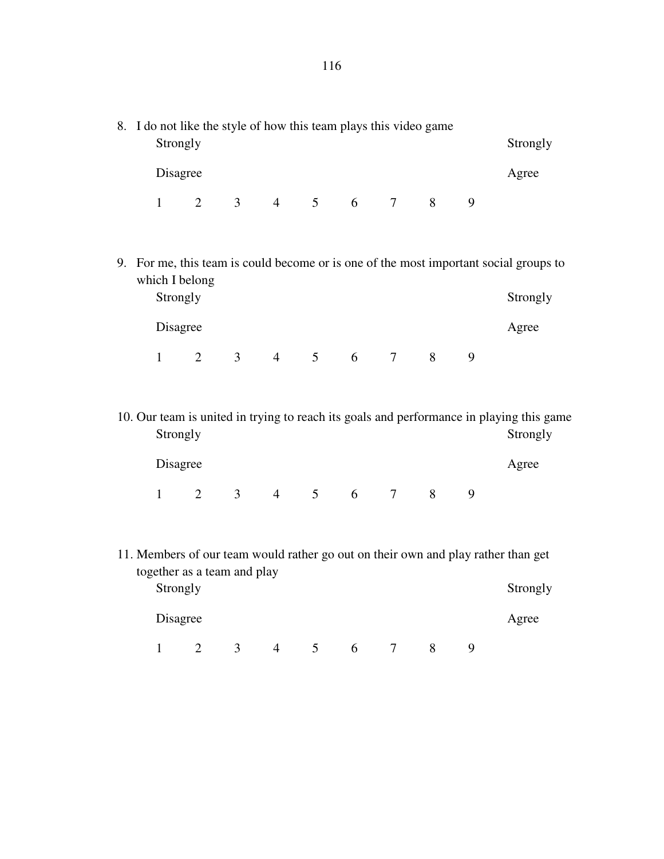- 8. I do not like the style of how this team plays this video game Strongly Strongly Strongly Disagree Agree 1 2 3 4 5 6 7 8 9 9. For me, this team is could become or is one of the most important social groups to which I belong Strongly Strongly Strongly Strongly Strongly Strongly Strongly Strongly Strongly Strongly Strongly Strongly Strongly Strongly Strongly Strongly Strongly Strongly Strongly Strongly Strongly Strongly Strongly Strongly Strong Disagree Agree 1 2 3 4 5 6 7 8 9 10. Our team is united in trying to reach its goals and performance in playing this game Strongly Strongly Strongly Disagree Agree 1 2 3 4 5 6 7 8 9
- 11. Members of our team would rather go out on their own and play rather than get together as a team and play Strongly Strongly Strongly

Disagree Agree

|  |  |  | $1 \t2 \t3 \t4 \t5 \t6 \t7 \t8 \t9$ |  |
|--|--|--|-------------------------------------|--|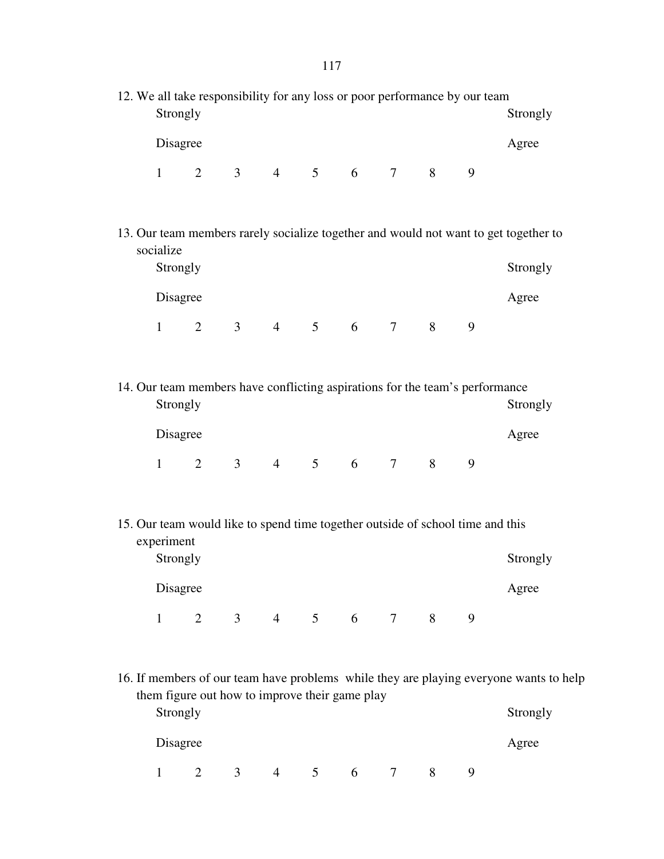|                                                                                                                           | 12. We all take responsibility for any loss or poor performance by our team<br>Strongly<br>Strongly |                                                                                |   |   |                |   |   |   |   |                                                                                                    |  |
|---------------------------------------------------------------------------------------------------------------------------|-----------------------------------------------------------------------------------------------------|--------------------------------------------------------------------------------|---|---|----------------|---|---|---|---|----------------------------------------------------------------------------------------------------|--|
|                                                                                                                           | Disagree                                                                                            |                                                                                |   |   |                |   |   |   |   | Agree                                                                                              |  |
|                                                                                                                           | $\mathbf{1}$                                                                                        | $\overline{2}$                                                                 |   |   | 3 4 5 6 7 8    |   |   |   | 9 |                                                                                                    |  |
| 13. Our team members rarely socialize together and would not want to get together to<br>socialize<br>Strongly<br>Strongly |                                                                                                     |                                                                                |   |   |                |   |   |   |   |                                                                                                    |  |
|                                                                                                                           | Disagree                                                                                            |                                                                                |   |   |                |   |   |   |   | Agree                                                                                              |  |
|                                                                                                                           | $\mathbf{1}$                                                                                        | $\overline{2}$                                                                 |   |   | 3 4 5 6 7 8    |   |   |   | 9 |                                                                                                    |  |
|                                                                                                                           |                                                                                                     |                                                                                |   |   |                |   |   |   |   |                                                                                                    |  |
|                                                                                                                           | Strongly                                                                                            | 14. Our team members have conflicting aspirations for the team's performance   |   |   |                |   |   |   |   | Strongly                                                                                           |  |
|                                                                                                                           | Disagree                                                                                            |                                                                                |   |   |                |   |   |   |   | Agree                                                                                              |  |
|                                                                                                                           | $1 \quad \Box$                                                                                      | $\overline{2}$                                                                 |   |   | 3 4 5 6 7 8    |   |   |   | 9 |                                                                                                    |  |
|                                                                                                                           | experiment                                                                                          | 15. Our team would like to spend time together outside of school time and this |   |   |                |   |   |   |   |                                                                                                    |  |
|                                                                                                                           | Strongly                                                                                            |                                                                                |   |   |                |   |   |   |   | Strongly                                                                                           |  |
|                                                                                                                           | Disagree                                                                                            |                                                                                |   |   |                |   |   |   |   | Agree                                                                                              |  |
|                                                                                                                           | $\mathbf{1}$                                                                                        | $\overline{2}$                                                                 |   |   | 3 4 5 6 7      |   |   | 8 | 9 |                                                                                                    |  |
|                                                                                                                           | Strongly                                                                                            | them figure out how to improve their game play                                 |   |   |                |   |   |   |   | 16. If members of our team have problems while they are playing everyone wants to help<br>Strongly |  |
|                                                                                                                           | Disagree                                                                                            |                                                                                |   |   |                |   |   |   |   | Agree                                                                                              |  |
|                                                                                                                           | 1                                                                                                   | 2                                                                              | 3 | 4 | 5 <sup>5</sup> | 6 | 7 | 8 | 9 |                                                                                                    |  |